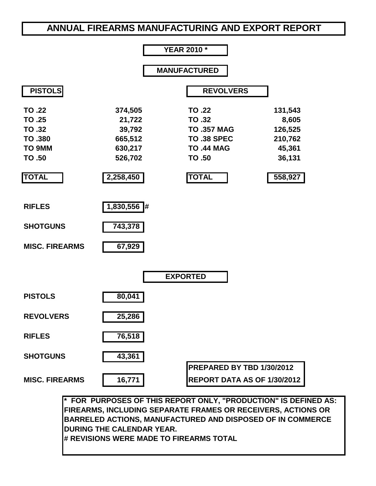# **ANNUAL FIREARMS MANUFACTURING AND EXPORT REPORT**



**\* FOR PURPOSES OF THIS REPORT ONLY, "PRODUCTION" IS DEFINED AS: FIREARMS, INCLUDING SEPARATE FRAMES OR RECEIVERS, ACTIONS OR BARRELED ACTIONS, MANUFACTURED AND DISPOSED OF IN COMMERCE DURING THE CALENDAR YEAR. # REVISIONS WERE MADE TO FIREARMS TOTAL**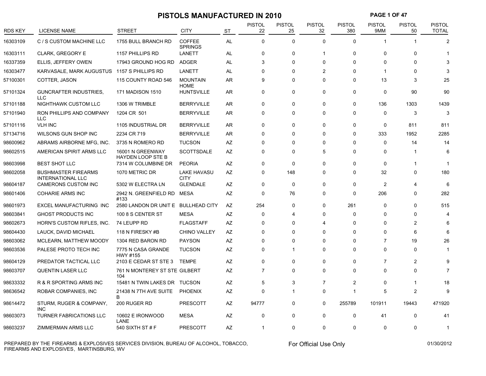# **PISTOLS MANUFACTURED IN 2010 PAGE 1 OF 47**

| <b>RDS KEY</b> | <b>LICENSE NAME</b>                                    | <b>STREET</b>                                | <b>CITY</b>                     | <b>ST</b> | <b>PISTOL</b><br>22 | <b>PISTOL</b><br>25 | <b>PISTOL</b><br>32     | <b>PISTOL</b><br>380 | PISTOL<br>9MM  | PISTOL<br>50   | PISTOL<br><b>TOTAL</b> |
|----------------|--------------------------------------------------------|----------------------------------------------|---------------------------------|-----------|---------------------|---------------------|-------------------------|----------------------|----------------|----------------|------------------------|
| 16303109       | C / S CUSTOM MACHINE LLC                               | 1755 BULL BRANCH RD                          | <b>COFFEE</b><br><b>SPRINGS</b> | <b>AL</b> | $\Omega$            | 0                   | $\Omega$                | $\Omega$             |                |                | $\overline{2}$         |
| 16303111       | <b>CLARK, GREGORY E</b>                                | 1157 PHILLIPS RD                             | LANETT                          | <b>AL</b> | 0                   | $\Omega$            | $\overline{\mathbf{1}}$ | 0                    | 0              | 0              |                        |
| 16337359       | ELLIS, JEFFERY OWEN                                    | 17943 GROUND HOG RD                          | <b>ADGER</b>                    | AL        | 3                   | $\Omega$            | $\mathbf 0$             | 0                    | $\Omega$       | $\Omega$       |                        |
| 16303477       | KARVASALE, MARK AUGUSTUS                               | 1157 S PHILLIPS RD                           | LANETT                          | <b>AL</b> | 0                   | 0                   | $\overline{2}$          | $\Omega$             | -1             | $\Omega$       |                        |
| 57100301       | COTTER, JASON                                          | 115 COUNTY ROAD 546                          | <b>MOUNTAIN</b><br><b>HOME</b>  | AR        | 9                   | $\Omega$            | $\mathbf 0$             | 0                    | 13             | 3              | 25                     |
| 57101324       | <b>GUNCRAFTER INDUSTRIES,</b><br><b>LLC</b>            | 171 MADISON 1510                             | <b>HUNTSVILLE</b>               | AR        | 0                   | $\mathbf 0$         | $\mathbf 0$             | 0                    | 0              | 90             | 90                     |
| 57101188       | NIGHTHAWK CUSTOM LLC                                   | 1306 W TRIMBLE                               | <b>BERRYVILLE</b>               | <b>AR</b> | $\Omega$            | 0                   | $\Omega$                | $\Omega$             | 136            | 1303           | 1439                   |
| 57101940       | RON PHILLIPS AND COMPANY<br><b>LLC</b>                 | 1204 CR 501                                  | <b>BERRYVILLE</b>               | AR        | $\Omega$            | $\mathbf 0$         | $\Omega$                | 0                    | 0              | 3              | 3                      |
| 57101116       | <b>VLH INC</b>                                         | 1105 INDUSTRIAL DR                           | <b>BERRYVILLE</b>               | AR        | 0                   | 0                   | $\Omega$                | 0                    | 0              | 811            | 811                    |
| 57134716       | WILSONS GUN SHOP INC                                   | 2234 CR 719                                  | <b>BERRYVILLE</b>               | <b>AR</b> | $\Omega$            | $\Omega$            | $\Omega$                | 0                    | 333            | 1952           | 2285                   |
| 98600962       | ABRAMS AIRBORNE MFG, INC.                              | 3735 N ROMERO RD                             | <b>TUCSON</b>                   | AZ        | $\Omega$            | $\Omega$            | $\Omega$                | $\Omega$             | $\Omega$       | 14             | 14                     |
| 98602515       | AMERICAN SPIRIT ARMS LLC                               | 16001 N GREENWAY<br><b>HAYDEN LOOP STE B</b> | <b>SCOTTSDALE</b>               | AZ        | $\Omega$            | $\Omega$            | 5                       | $\Omega$             | $\Omega$       |                |                        |
| 98603998       | <b>BEST SHOT LLC</b>                                   | 7314 W COLUMBINE DR                          | <b>PEORIA</b>                   | AZ        | 0                   | $\Omega$            | $\mathbf 0$             | 0                    | $\Omega$       |                |                        |
| 98602058       | <b>BUSHMASTER FIREARMS</b><br><b>INTERNATIONAL LLC</b> | 1070 METRIC DR                               | LAKE HAVASU<br><b>CITY</b>      | AZ        | 0                   | 148                 | $\Omega$                | 0                    | 32             | $\mathbf 0$    | 180                    |
| 98604187       | CAMERONS CUSTOM INC                                    | 5302 W ELECTRA LN                            | <b>GLENDALE</b>                 | AZ        | $\Omega$            | 0                   | $\Omega$                | 0                    | $\overline{2}$ | 4              | 6                      |
| 98601406       | <b>COHARIE ARMS INC</b>                                | 2942 N. GREENFIELD RD<br>#133                | <b>MESA</b>                     | AZ        | 0                   | 76                  | $\mathbf 0$             | 0                    | 206            | 0              | 282                    |
| 98601973       | EXCEL MANUFACTURING INC                                | 2580 LANDON DR UNIT E                        | <b>BULLHEAD CITY</b>            | AZ        | 254                 | 0                   | $\Omega$                | 261                  | $\Omega$       | $\Omega$       | 515                    |
| 98603841       | <b>GHOST PRODUCTS INC</b>                              | 100 8 S CENTER ST                            | <b>MESA</b>                     | AZ        | $\Omega$            | 4                   | $\Omega$                | $\Omega$             | $\Omega$       | $\Omega$       |                        |
| 98602673       | HORN'S CUSTOM RIFLES, INC.                             | 74 LEUPP RD                                  | <b>FLAGSTAFF</b>                | AZ        | 0                   | $\Omega$            | Δ                       | $\Omega$             | $\Omega$       | 2              |                        |
| 98604430       | LAUCK, DAVID MICHAEL                                   | 118 N FIRESKY #B                             | <b>CHINO VALLEY</b>             | AZ        | 0                   | $\Omega$            | $\Omega$                | $\Omega$             | 0              | 6              |                        |
| 98603062       | MCLEARN, MATTHEW MOODY                                 | 1304 RED BARON RD                            | <b>PAYSON</b>                   | AZ        | 0                   | $\mathbf 0$         | $\Omega$                | 0                    | 7              | 19             | 26                     |
| 98603536       | PALESE PROTO TECH INC                                  | 7775 N CASA GRANDE<br>HWY #155               | <b>TUCSON</b>                   | AZ        | 0                   | 1                   | $\Omega$                | 0                    | $\Omega$       | $\mathbf 0$    |                        |
| 98604129       | PREDATOR TACTICAL LLC                                  | 2103 E CEDAR ST STE 3                        | <b>TEMPE</b>                    | AZ        | 0                   | $\mathbf 0$         | $\Omega$                | 0                    | 7              | $\overline{2}$ |                        |
| 98603707       | <b>QUENTIN LASER LLC</b>                               | 761 N MONTEREY ST STE GILBERT<br>104         |                                 | AZ        | $\overline{7}$      | $\Omega$            | $\mathbf 0$             | 0                    | $\Omega$       | 0              |                        |
| 98633332       | R & R SPORTING ARMS INC                                | 15481 N TWIN LAKES DR TUCSON                 |                                 | AZ        | 5                   | 3                   | $\overline{7}$          | $\overline{c}$       | $\Omega$       | 1              | 18                     |
| 98636542       | ROBAR COMPANIES, INC                                   | 21438 N 7TH AVE SUITE<br>B                   | <b>PHOENIX</b>                  | AZ        | 0                   | 1                   | 0                       | -1                   | 5              | 2              |                        |
| 98614472       | STURM, RUGER & COMPANY,<br><b>INC</b>                  | 200 RUGER RD                                 | PRESCOTT                        | AZ        | 94777               | $\Omega$            | $\mathbf 0$             | 255789               | 101911         | 19443          | 471920                 |
| 98603073       | TURNER FABRICATIONS LLC                                | 10602 E IRONWOOD<br>LANE                     | <b>MESA</b>                     | AZ        | 0                   | $\Omega$            | $\mathbf 0$             | 0                    | 41             | $\mathbf 0$    | 41                     |
| 98603237       | ZIMMERMAN ARMS LLC                                     | 540 SIXTH ST # F                             | PRESCOTT                        | <b>AZ</b> | -1                  | $\Omega$            | $\Omega$                | $\Omega$             | 0              | $\Omega$       | -1                     |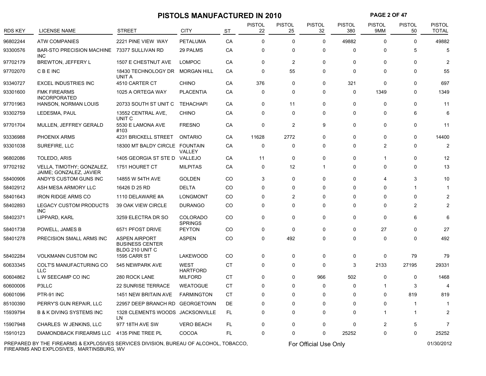## **PISTOLS MANUFACTURED IN 2010 PAGE 2 OF 47**

| <b>RDS KEY</b> | <b>LICENSE NAME</b>                                  | STREET                                                            | <b>CITY</b>                       | <b>ST</b> | <b>PISTOL</b><br>22 | PISTOL<br>25            | <b>PISTOL</b><br>32 | PISTOL<br>380 | <b>PISTOL</b><br>9MM | <b>PISTOL</b><br>50 | PISTOL<br><b>TOTAL</b> |
|----------------|------------------------------------------------------|-------------------------------------------------------------------|-----------------------------------|-----------|---------------------|-------------------------|---------------------|---------------|----------------------|---------------------|------------------------|
| 96802244       | <b>ATW COMPANIES</b>                                 | 2221 PINE VIEW WAY                                                | <b>PETALUMA</b>                   | CA        | $\mathbf 0$         | $\mathbf 0$             | $\mathbf 0$         | 49882         | 0                    | 0                   | 49882                  |
| 93300576       | <b>BAR-STO PRECISION MACHINE</b><br><b>INC</b>       | 73377 SULLIVAN RD                                                 | 29 PALMS                          | CA        | $\mathbf 0$         | $\mathbf 0$             | $\mathbf 0$         | 0             | $\Omega$             | 5                   | 5                      |
| 97702179       | BREWTON, JEFFERY L                                   | 1507 E CHESTNUT AVE                                               | <b>LOMPOC</b>                     | CA        | $\mathbf 0$         | $\overline{2}$          | $\mathbf 0$         | 0             | 0                    | 0                   | $\overline{2}$         |
| 97702070       | <b>CBEINC</b>                                        | 18430 TECHNOLOGY DR<br>UNIT A                                     | <b>MORGAN HILL</b>                | CA        | $\mathbf 0$         | 55                      | 0                   | 0             | 0                    | 0                   | 55                     |
| 93340727       | <b>EXCEL INDUSTRIES INC</b>                          | 4510 CARTER CT                                                    | <b>CHINO</b>                      | CA        | 376                 | $\mathbf 0$             | $\mathbf 0$         | 321           | $\mathbf 0$          | 0                   | 697                    |
| 93301600       | <b>FMK FIREARMS</b><br><b>INCORPORATED</b>           | 1025 A ORTEGA WAY                                                 | <b>PLACENTIA</b>                  | CA        | 0                   | 0                       | $\Omega$            | 0             | 1349                 | $\Omega$            | 1349                   |
| 97701963       | <b>HANSON, NORMAN LOUIS</b>                          | 20733 SOUTH ST UNIT C                                             | <b>TEHACHAPI</b>                  | CA        | $\mathbf 0$         | 11                      | $\mathbf{0}$        | 0             | $\Omega$             | $\Omega$            | 11                     |
| 93302759       | LEDESMA, PAUL                                        | 13552 CENTRAL AVE,<br>UNIT <sub>C</sub>                           | <b>CHINO</b>                      | CA        | $\mathbf 0$         | $\Omega$                | $\Omega$            | $\Omega$      | $\Omega$             | 6                   |                        |
| 97701704       | MULLEN, JEFFREY GERALD                               | 5530 E LAMONA AVE<br>#103                                         | <b>FRESNO</b>                     | CA        | $\mathbf 0$         | $\overline{2}$          | 9                   | 0             | 0                    | 0                   | 11                     |
| 93336988       | <b>PHOENIX ARMS</b>                                  | 4231 BRICKELL STREET                                              | <b>ONTARIO</b>                    | CA        | 11628               | 2772                    | $\mathbf 0$         | 0             | 0                    | 0                   | 14400                  |
| 93301038       | SUREFIRE, LLC                                        | 18300 MT BALDY CIRCLE FOUNTAIN                                    | <b>VALLEY</b>                     | CA        | $\mathbf 0$         | 0                       | 0                   | 0             | 2                    | $\Omega$            |                        |
| 96802086       | TOLEDO, ARIS                                         | 1405 GEORGIA ST STE D                                             | VALLEJO                           | CA        | 11                  | 0                       | 0                   | 0             |                      | 0                   | 12                     |
| 97702192       | VELLA, TIMOTHY; GONZALEZ,<br>JAIME; GONZALEZ, JAVIER | 1751 HOURET CT                                                    | <b>MILPITAS</b>                   | СA        | $\pmb{0}$           | 12                      | -1                  | 0             | 0                    | 0                   | 13                     |
| 58400906       | ANDY'S CUSTOM GUNS INC                               | 14855 W 54TH AVE                                                  | <b>GOLDEN</b>                     | CO        | 3                   | 0                       | $\Omega$            | $\Omega$      | 4                    | 3                   | 10                     |
| 58402912       | ASH MESA ARMORY LLC                                  | 16426 D 25 RD                                                     | <b>DELTA</b>                      | CO        | $\Omega$            | $\Omega$                | $\Omega$            | $\Omega$      | $\Omega$             | 1                   |                        |
| 58401643       | <b>IRON RIDGE ARMS CO</b>                            | 1110 DELAWARE #A                                                  | LONGMONT                          | CO        | $\Omega$            | $\overline{\mathbf{c}}$ | $\Omega$            | $\Omega$      | $\Omega$             | 0                   |                        |
| 58402893       | <b>LEGACY CUSTOM PRODUCTS</b><br><b>INC</b>          | 39 OAK VIEW CIRCLE                                                | <b>DURANGO</b>                    | CO        | $\Omega$            | $\Omega$                | $\Omega$            | $\Omega$      | $\Omega$             | $\overline{2}$      |                        |
| 58402371       | LIPPARD, KARL                                        | 3259 ELECTRA DR SO                                                | <b>COLORADO</b><br><b>SPRINGS</b> | CO        | $\Omega$            | $\Omega$                | $\Omega$            | 0             | $\Omega$             | 6                   |                        |
| 58401738       | POWELL, JAMES B                                      | 6571 PFOST DRIVE                                                  | <b>PEYTON</b>                     | CO        | $\mathbf 0$         | 0                       | 0                   | 0             | 27                   | 0                   | 27                     |
| 58401278       | PRECISION SMALL ARMS INC                             | <b>ASPEN AIRPORT</b><br><b>BUSINESS CENTER</b><br>BLDG 210 UNIT C | <b>ASPEN</b>                      | CO        | $\Omega$            | 492                     | $\Omega$            | 0             | 0                    | $\Omega$            | 492                    |
| 58402284       | <b>VOLKMANN CUSTOM INC</b>                           | 1595 CARR ST                                                      | <b>LAKEWOOD</b>                   | CO        | $\mathbf 0$         | 0                       | 0                   | 0             | 0                    | 79                  | 79                     |
| 60633345       | COLT'S MANUFACTURING CO<br><b>LLC</b>                | 545 NEWPARK AVE                                                   | <b>WEST</b><br><b>HARTFORD</b>    | CT        | $\mathbf 0$         | 0                       | $\Omega$            | 3             | 2133                 | 27195               | 29331                  |
| 60604862       | L W SEECAMP CO INC                                   | 280 ROCK LANE                                                     | <b>MILFORD</b>                    | CT        | $\mathbf 0$         | $\mathbf{0}$            | 966                 | 502           | $\Omega$             | 0                   | 1468                   |
| 60600006       | P3LLC                                                | <b>22 SUNRISE TERRACE</b>                                         | <b>WEATOGUE</b>                   | СT        | 0                   | 0                       | 0                   | 0             | -1                   | 3                   | 4                      |
| 60601096       | PTR-91 INC                                           | 1451 NEW BRITAIN AVE                                              | <b>FARMINGTON</b>                 | СT        | $\mathbf 0$         | 0                       | 0                   | 0             | 0                    | 819                 | 819                    |
| 85100390       | PERRY'S GUN REPAIR, LLC                              | 22957 DEEP BRANCH RD                                              | <b>GEORGETOWN</b>                 | DE        | 0                   | 0                       | $\mathbf 0$         | 0             | 0                    | 1                   | $\mathbf 1$            |
| 15939794       | <b>B &amp; K DIVING SYSTEMS INC</b>                  | 1328 CLEMENTS WOODS<br>LN                                         | JACKSONVILLE                      | FL.       | 0                   | 0                       | 0                   | 0             | -1                   |                     | 2                      |
| 15907948       | CHARLES W JENKINS, LLC                               | 977 18TH AVE SW                                                   | <b>VERO BEACH</b>                 | <b>FL</b> | $\Omega$            | $\Omega$                | $\Omega$            | $\Omega$      | $\overline{c}$       | 5                   | 7                      |
| 15910123       | DIAMONDBACK FIREARMS LLC                             | 4135 PINE TREE PL                                                 | COCOA                             | <b>FL</b> | $\mathbf 0$         | $\mathbf 0$             | $\Omega$            | 25252         | $\Omega$             | 0                   | 25252                  |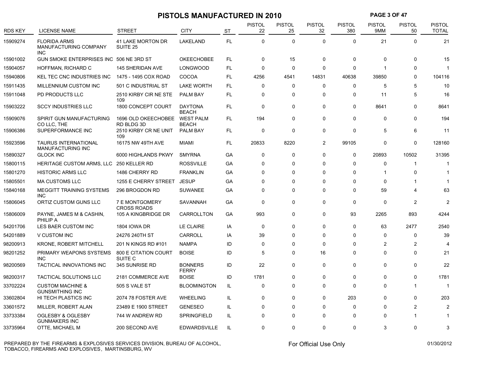|                |                                                            |                                          | PISTOLS MANUFACTURED IN 2010     |           |                     |                     |                     |                      | <b>PAGE 3 OF 47</b>  |                     |                               |
|----------------|------------------------------------------------------------|------------------------------------------|----------------------------------|-----------|---------------------|---------------------|---------------------|----------------------|----------------------|---------------------|-------------------------------|
| <b>RDS KEY</b> | <b>LICENSE NAME</b>                                        | <b>STREET</b>                            | <b>CITY</b>                      | <b>ST</b> | <b>PISTOL</b><br>22 | <b>PISTOL</b><br>25 | <b>PISTOL</b><br>32 | <b>PISTOL</b><br>380 | <b>PISTOL</b><br>9MM | <b>PISTOL</b><br>50 | <b>PISTOL</b><br><b>TOTAL</b> |
| 15909274       | <b>FLORIDA ARMS</b><br>MANUFACTURING COMPANY<br><b>INC</b> | 41 LAKE MORTON DR<br>SUITE <sub>25</sub> | LAKELAND                         | <b>FL</b> | $\mathbf 0$         | 0                   | $\mathbf 0$         | $\mathbf 0$          | 21                   | $\mathbf 0$         | 21                            |
| 15901002       | GUN SMOKE ENTERPRISES INC 506 NE 3RD ST                    |                                          | <b>OKEECHOBEE</b>                | FL.       | $\mathbf 0$         | 15                  | $\mathbf 0$         | $\Omega$             | $\Omega$             | $\mathbf{0}$        | 15                            |
| 15904057       | HOFFMAN, RICHARD C                                         | 145 SHERIDAN AVE                         | LONGWOOD                         | <b>FL</b> | $\mathbf 0$         | 0                   | $\Omega$            | $\Omega$             | $\overline{1}$       | $\mathbf{0}$        |                               |
| 15940806       | <b>KEL TEC CNC INDUSTRIES INC</b>                          | 1475 - 1495 COX ROAD                     | COCOA                            | FL.       | 4256                | 4541                | 14831               | 40638                | 39850                | 0                   | 104116                        |
| 15911435       | MILLENNIUM CUSTOM INC                                      | 501 C INDUSTRIAL ST                      | <b>LAKE WORTH</b>                | FL.       | $\mathbf 0$         | 0                   | $\Omega$            | 0                    | 5                    | 5                   | 10                            |
| 15911048       | PD PRODUCTS LLC                                            | 2510 KIRBY CIR NE STE<br>109             | PALM BAY                         | FL.       | $\mathbf 0$         | 0                   | $\Omega$            | 0                    | 11                   | 5                   | 16                            |
| 15903222       | <b>SCCY INDUSTRIES LLC</b>                                 | 1800 CONCEPT COURT                       | <b>DAYTONA</b><br><b>BEACH</b>   | FL.       | $\mathbf 0$         | 0                   | $\Omega$            | $\mathbf{0}$         | 8641                 | $\mathbf{0}$        | 8641                          |
| 15909076       | SPIRIT GUN MANUFACTURING<br>CO LLC, THE                    | 1696 OLD OKEECHOBEE<br>RD BLDG 3D        | <b>WEST PALM</b><br><b>BEACH</b> | FL.       | 194                 | 0                   | $\Omega$            | $\Omega$             | $\Omega$             | $\mathbf{0}$        | 194                           |
| 15906386       | SUPERFORMANCE INC                                          | 2510 KIRBY CR NE UNIT<br>109             | PALM BAY                         | FL.       | $\mathbf 0$         | 0                   | $\mathbf 0$         | $\mathbf 0$          | 5                    | 6                   | 11                            |
| 15923596       | <b>TAURUS INTERNATIONAL</b><br><b>MANUFACTURING INC</b>    | 16175 NW 49TH AVE                        | MIAMI                            | FL.       | 20833               | 8220                | 2                   | 99105                | 0                    | 0                   | 128160                        |
| 15890327       | <b>GLOCK INC</b>                                           | 6000 HIGHLANDS PKWY                      | <b>SMYRNA</b>                    | GA        | $\mathbf 0$         | 0                   | $\Omega$            | $\mathbf 0$          | 20893                | 10502               | 31395                         |
| 15800115       | HERITAGE CUSTOM ARMS, LLC                                  | 250 KELLER RD                            | <b>ROSSVILLE</b>                 | GA        | $\mathbf 0$         | 0                   | $\Omega$            | $\Omega$             | 0                    | $\mathbf{1}$        | -1                            |
| 15801270       | <b>HISTORIC ARMS LLC</b>                                   | 1486 CHERRY RD                           | <b>FRANKLIN</b>                  | GA        | $\mathbf{0}$        | 0                   | $\Omega$            | $\Omega$             | $\mathbf{1}$         | 0                   | -1                            |
| 15805501       | <b>MA CUSTOMS LLC</b>                                      | 1255 E CHERRY STREET                     | <b>JESUP</b>                     | GA        | $\mathbf 0$         | 0                   | $\Omega$            | 0                    | 0                    |                     |                               |
| 15840168       | MEGGITT TRAINING SYSTEMS<br><b>INC</b>                     | 296 BROGDON RD                           | <b>SUWANEE</b>                   | GA        | $\Omega$            | 0                   | $\Omega$            | $\mathbf 0$          | 59                   | 4                   | 63                            |
| 15806045       | ORTIZ CUSTOM GUNS LLC                                      | 7 E MONTGOMERY<br><b>CROSS ROADS</b>     | SAVANNAH                         | GA        | $\mathbf 0$         | 0                   | $\Omega$            | $\mathbf{0}$         | $\Omega$             | $\overline{2}$      | $\mathcal{P}$                 |
| 15806009       | PAYNE, JAMES M & CASHIN,<br>PHILIP A                       | 105 A KINGBRIDGE DR                      | CARROLLTON                       | GA        | 993                 | 0                   | $\Omega$            | 93                   | 2265                 | 893                 | 4244                          |
| 54201706       | LES BAER CUSTOM INC                                        | <b>1804 IOWA DR</b>                      | LE CLAIRE                        | IA        | $\mathbf 0$         | $\mathbf{0}$        | $\Omega$            | $\Omega$             | 63                   | 2477                | 2540                          |
| 54201889       | V CUSTOM INC                                               | 24276 240TH ST                           | CARROLL                          | IA        | 39                  | 0                   | $\Omega$            | 0                    | $\Omega$             | $\mathbf 0$         | 39                            |
| 98200913       | <b>KRONE, ROBERT MITCHELL</b>                              | 201 N KINGS RD #101                      | <b>NAMPA</b>                     | ID        | $\mathbf 0$         | 0                   | $\Omega$            | $\mathbf{0}$         | $\overline{2}$       | $\overline{2}$      | $\overline{4}$                |
| 98201252       | PRIMARY WEAPONS SYSTEMS<br><b>INC</b>                      | 800 E CITATION COURT<br>SUITE C          | <b>BOISE</b>                     | ID        | 5                   | $\Omega$            | 16                  | $\Omega$             | $\Omega$             | $\mathbf{0}$        | 21                            |
| 98200569       | TACTICAL INNOVATIONS INC                                   | 345 SUNRISE RD                           | <b>BONNERS</b><br><b>FERRY</b>   | ID        | 22                  | $\mathbf{0}$        | $\Omega$            | $\Omega$             | $\Omega$             | $\mathbf{0}$        | 22                            |
| 98200317       | <b>TACTICAL SOLUTIONS LLC</b>                              | 2181 COMMERCE AVE                        | <b>BOISE</b>                     | ID        | 1781                | 0                   | $\Omega$            | 0                    | $\Omega$             | 0                   | 1781                          |
| 33702224       | <b>CUSTOM MACHINE &amp;</b><br><b>GUNSMITHING INC</b>      | <b>505 S VALE ST</b>                     | <b>BLOOMINGTON</b>               | IL        | $\mathbf 0$         | 0                   | $\Omega$            | $\Omega$             | 0                    | -1                  | -1                            |
| 33602804       | HI TECH PLASTICS INC                                       | 2074 78 FOSTER AVE                       | <b>WHEELING</b>                  | IL        | $\mathbf 0$         | 0                   | $\Omega$            | 203                  | $\Omega$             | 0                   | 203                           |
| 33601572       | MILLER, ROBERT ALAN                                        | 23489 E 1900 STREET                      | <b>GENESEO</b>                   | IL        | $\mathbf 0$         | 0                   | $\Omega$            | 0                    | 0                    | $\overline{2}$      | 2                             |
| 33733384       | OGLESBY & OGLESBY<br><b>GUNMAKERS INC</b>                  | 744 W ANDREW RD                          | <b>SPRINGFIELD</b>               | IL        | $\Omega$            | $\Omega$            | $\Omega$            | $\Omega$             | $\Omega$             |                     |                               |
| 33735964       | OTTE, MICHAEL M                                            | 200 SECOND AVE                           | <b>EDWARDSVILLE</b>              | IL        | $\Omega$            | $\Omega$            | $\Omega$            | $\Omega$             | 3                    | $\Omega$            | 3                             |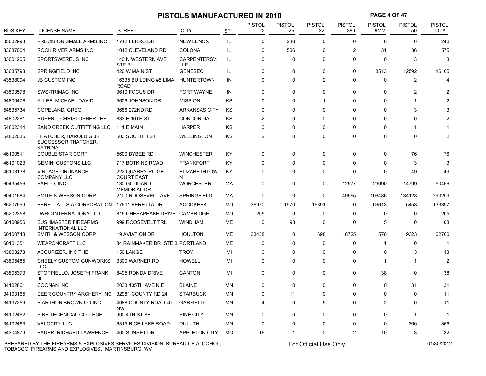# **PISTOLS MANUFACTURED IN 2010 PAGE 4 OF 47**

| <b>RDS KEY</b> | <b>LICENSE NAME</b>                                     | <b>STREET</b>                         | <b>CITY</b>                | <b>ST</b> | <b>PISTOL</b><br>22 | <b>PISTOL</b><br>25 | <b>PISTOL</b><br>32 | <b>PISTOL</b><br>380    | PISTOL<br>9MM  | PISTOL<br>50   | PISTOL<br><b>TOTAL</b> |
|----------------|---------------------------------------------------------|---------------------------------------|----------------------------|-----------|---------------------|---------------------|---------------------|-------------------------|----------------|----------------|------------------------|
| 33602993       | PRECISION SMALL ARMS INC                                | 1742 FERRO DR                         | <b>NEW LENOX</b>           | IL        | 0                   | 246                 | $\mathbf 0$         | 0                       | 0              | $\mathbf 0$    | 246                    |
| 33637004       | ROCK RIVER ARMS INC                                     | 1042 CLEVELAND RD                     | <b>COLONA</b>              | IL        | 0                   | 506                 | $\Omega$            | $\overline{\mathbf{c}}$ | 31             | 36             | 575                    |
| 33601205       | SPORTSWEREUS INC                                        | 140 N WESTERN AVE<br>STE <sub>B</sub> | <b>CARPENTERSVI</b><br>LLE | IL        | $\Omega$            | $\Omega$            | $\Omega$            | $\Omega$                | $\Omega$       | 3              |                        |
| 33635798       | SPRINGFIELD INC                                         | 420 W MAIN ST                         | <b>GENESEO</b>             | IL.       | 0                   | $\Omega$            | $\mathbf 0$         | 0                       | 3513           | 12592          | 16105                  |
| 43538094       | JB CUSTOM INC                                           | 16335 BUILDING #5 LIMA<br><b>ROAD</b> | <b>HUNTERTOWN</b>          | IN        | 0                   | $\Omega$            | $\overline{2}$      | $\Omega$                | $\Omega$       | $\overline{2}$ | $\overline{4}$         |
| 43503578       | <b>SWS-TRIMAC INC</b>                                   | 3610 FOCUS DR                         | FORT WAYNE                 | IN        | 0                   | $\mathbf 0$         | $\mathbf 0$         | 0                       | $\mathbf 0$    | $\overline{2}$ |                        |
| 54800478       | ALLEE, MICHAEL DAVID                                    | 5606 JOHNSON DR                       | <b>MISSION</b>             | KS        | 0                   | $\Omega$            | 1                   | $\Omega$                | $\Omega$       |                |                        |
| 54835734       | COPELAND, GREG                                          | 3686 272ND RD                         | <b>ARKANSAS CITY</b>       | KS        | $\Omega$            | $\Omega$            | $\Omega$            | $\Omega$                | $\Omega$       | 3              |                        |
| 54802261       | <b>RUPERT, CHRISTOPHER LEE</b>                          | 833 E 10TH ST                         | <b>CONCORDIA</b>           | KS        | $\overline{c}$      | $\Omega$            | $\Omega$            | $\Omega$                | $\Omega$       | $\Omega$       |                        |
| 54802314       | SAND CREEK OUTFITTING LLC                               | <b>111 E MAIN</b>                     | <b>HARPER</b>              | KS        | 0                   | $\Omega$            | $\Omega$            | $\Omega$                | $\Omega$       | 1              |                        |
| 54802035       | THATCHER, HAROLD G JR<br>SUCCESSOR THATCHER,<br>KATRINA | 503 SOUTH H ST                        | <b>WELLINGTON</b>          | KS        | 2                   | $\Omega$            | $\mathbf 0$         | 0                       | $\Omega$       | 0              |                        |
| 46100511       | DOUBLE STAR CORP                                        | 5600 BYBEE RD                         | <b>WINCHESTER</b>          | ΚY        | 0                   | $\Omega$            | 0                   | 0                       | $\Omega$       | 76             | 76                     |
| 46101023       | <b>GEMINI CUSTOMS LLC</b>                               | 717 BOTKINS ROAD                      | <b>FRANKFORT</b>           | KY        | $\Omega$            | $\Omega$            | $\Omega$            | $\Omega$                | $\Omega$       | 3              |                        |
| 46103138       | VINTAGE ORDNANCE<br><b>COMPANY LLC</b>                  | 222 QUARRY RIDGE<br><b>COURT EAST</b> | <b>ELIZABETHTOW</b><br>N   | KY        | $\Omega$            | $\Omega$            | $\Omega$            | $\Omega$                | $\Omega$       | 49             | 49                     |
| 60435456       | SAEILO, INC                                             | 130 GODDARD<br><b>MEMORIAL DR</b>     | <b>WORCESTER</b>           | МA        | 0                   | $\mathbf 0$         | $\mathbf 0$         | 12577                   | 23090          | 14799          | 50466                  |
| 60401684       | <b>SMITH &amp; WESSON CORP</b>                          | 2100 ROOSEVELT AVE                    | <b>SPRINGFIELD</b>         | МA        | 0                   | $\mathbf 0$         | $\mathbf 0$         | 49595                   | 106486         | 134128         | 290209                 |
| 85207699       | BERETTA U S A CORPORATION 17601 BERETTA DR              |                                       | <b>ACCOKEEK</b>            | MD        | 36970               | 1970                | 19391               | 0                       | 69613          | 5453           | 133397                 |
| 85202358       | <b>LWRC INTERNATIONAL LLC</b>                           | 815 CHESAPEAKE DRIVE CAMBRIDGE        |                            | MD        | 205                 | 0                   | $\Omega$            | $\Omega$                | $\Omega$       | $\mathbf 0$    | 205                    |
| 60100956       | <b>BUSHMASTER FIREARMS</b><br><b>INTERNATIONAL LLC</b>  | 999 ROOSEVELT TRL                     | <b>WINDHAM</b>             | ME        | $\mathbf 0$         | 98                  | $\Omega$            | $\Omega$                | 5              | $\mathbf 0$    | 103                    |
| 60100748       | <b>SMITH &amp; WESSON CORP</b>                          | <b>19 AVIATION DR</b>                 | <b>HOULTON</b>             | ME        | 33438               | 0                   | 698                 | 18725                   | 576            | 9323           | 62760                  |
| 60101351       | <b>WEAPONCRAFT LLC</b>                                  | 34 RAINMAKER DR STE 3 PORTLAND        |                            | ME        | 0                   | 0                   | 0                   | 0                       | -1             | 0              | -1                     |
| 43803278       | ACCURIZER, INC THE                                      | 150 LANGE                             | <b>TROY</b>                | MI        | 0                   | $\Omega$            | $\mathbf 0$         | 0                       | $\Omega$       | 13             | 13                     |
| 43805485       | <b>CHEELY CUSTOM GUNWORKS</b><br><b>LLC</b>             | 3300 WARNER RD                        | <b>HOWELL</b>              | MI        | $\Omega$            | $\Omega$            | $\Omega$            | $\Omega$                | $\overline{1}$ | -1             | 2                      |
| 43805373       | STOPPIELLO, JOSEPH FRANK<br>Ш                           | 8495 RONDA DRIVE                      | <b>CANTON</b>              | MI        | 0                   | $\Omega$            | $\mathbf 0$         | $\Omega$                | 38             | $\mathbf 0$    | 38                     |
| 34102861       | <b>COONAN INC</b>                                       | 2033 105TH AVE N E                    | <b>BLAINE</b>              | ΜN        | 0                   | $\mathbf 0$         | $\mathbf 0$         | 0                       | $\Omega$       | 31             | 31                     |
| 34103165       | DEER COUNTRY ARCHERY INC                                | 32981 COUNTY RD 24                    | <b>STARBUCK</b>            | MN        | $\Omega$            | 11                  | $\Omega$            | $\Omega$                | $\Omega$       | $\Omega$       | 11                     |
| 34137259       | E ARTHUR BROWN CO INC                                   | 4088 COUNTY ROAD 40<br><b>NW</b>      | <b>GARFIELD</b>            | MN        | 4                   | 0                   | 5                   | $\Omega$                | $\overline{2}$ | $\Omega$       | 11                     |
| 34102462       | PINE TECHNICAL COLLEGE                                  | 900 4TH ST SE                         | PINE CITY                  | <b>MN</b> | 0                   | 0                   | $\mathbf 0$         | $\Omega$                | $\mathbf 0$    | $\mathbf{1}$   | -1                     |
| 34102463       | <b>VELOCITY LLC</b>                                     | 6315 RICE LAKE ROAD                   | <b>DULUTH</b>              | ΜN        | 0                   | $\mathbf 0$         | 0                   | 0                       | $\Omega$       | 366            | 366                    |
| 54304879       | BAUER, RICHARD LAWRENCE                                 | 400 SUNSET DR                         | <b>APPLETON CITY</b>       | MO.       | 16                  | 1                   | 0                   | 2                       | 10             | 3              | 32                     |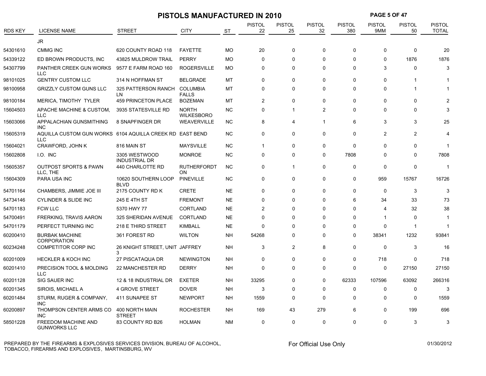|                |                                                                        |                                       | <b>PISTOLS MANUFACTURED IN 2010</b> |           |                     |                     |                     |                      | <b>PAGE 5 OF 47</b>  |                     |                               |
|----------------|------------------------------------------------------------------------|---------------------------------------|-------------------------------------|-----------|---------------------|---------------------|---------------------|----------------------|----------------------|---------------------|-------------------------------|
| <b>RDS KEY</b> | <b>LICENSE NAME</b>                                                    | <b>STREET</b>                         | <b>CITY</b>                         | ST        | <b>PISTOL</b><br>22 | <b>PISTOL</b><br>25 | <b>PISTOL</b><br>32 | <b>PISTOL</b><br>380 | <b>PISTOL</b><br>9MM | <b>PISTOL</b><br>50 | <b>PISTOL</b><br><b>TOTAL</b> |
|                | <b>JR</b>                                                              |                                       |                                     |           |                     |                     |                     |                      |                      |                     |                               |
| 54301610       | <b>CMMG INC</b>                                                        | 620 COUNTY ROAD 118                   | <b>FAYETTE</b>                      | <b>MO</b> | 20                  | 0                   | $\Omega$            | $\Omega$             | $\Omega$             | $\Omega$            | 20                            |
| 54339122       | ED BROWN PRODUCTS, INC                                                 | 43825 MULDROW TRAIL                   | <b>PERRY</b>                        | <b>MO</b> | $\Omega$            | 0                   | $\Omega$            | $\Omega$             | $\Omega$             | 1876                | 1876                          |
| 54307799       | PANTHER CREEK GUN WORKS<br><b>LLC</b>                                  | 9577 E FARM ROAD 160                  | <b>ROGERSVILLE</b>                  | <b>MO</b> | $\Omega$            | $\Omega$            | $\Omega$            | $\Omega$             | 3                    | $\mathbf{0}$        | 3                             |
| 98101025       | <b>GENTRY CUSTOM LLC</b>                                               | 314 N HOFFMAN ST                      | <b>BELGRADE</b>                     | MT        | $\Omega$            | 0                   | $\Omega$            | $\Omega$             | $\Omega$             |                     |                               |
| 98100958       | <b>GRIZZLY CUSTOM GUNS LLC</b>                                         | 325 PATTERSON RANCH COLUMBIA<br>LN    | <b>FALLS</b>                        | MT        | $\Omega$            | $\Omega$            | $\Omega$            | $\Omega$             | $\Omega$             | 1                   |                               |
| 98100184       | MERICA, TIMOTHY TYLER                                                  | <b>459 PRINCETON PLACE</b>            | <b>BOZEMAN</b>                      | MT        | $\overline{2}$      | $\mathbf 0$         | $\Omega$            | $\Omega$             | 0                    | $\mathbf{0}$        |                               |
| 15604503       | APACHE MACHINE & CUSTOM,<br><b>LLC</b>                                 | 3935 STATESVILLE RD                   | <b>NORTH</b><br><b>WILKESBORO</b>   | <b>NC</b> | $\Omega$            | $\mathbf 1$         | $\overline{2}$      | $\Omega$             | $\Omega$             | 0                   |                               |
| 15603066       | APPALACHIAN GUNSMITHING<br><b>INC</b>                                  | 8 SNAPFINGER DR                       | WEAVERVILLE                         | <b>NC</b> | 8                   | 4                   | 1                   | 6                    | 3                    | 3                   | 25                            |
| 15605319       | AQUILLA CUSTOM GUN WORKS 6104 AQUILLA CREEK RD EAST BEND<br><b>LLC</b> |                                       |                                     | <b>NC</b> | 0                   | 0                   | $\Omega$            | $\Omega$             | 2                    | $\overline{2}$      | 4                             |
| 15604021       | CRAWFORD, JOHN K                                                       | 816 MAIN ST                           | <b>MAYSVILLE</b>                    | <b>NC</b> | $\mathbf 1$         | $\Omega$            | $\Omega$            | $\Omega$             | $\Omega$             | $\Omega$            |                               |
| 15602808       | I.O. INC                                                               | 3305 WESTWOOD<br><b>INDUSTRIAL DR</b> | <b>MONROE</b>                       | <b>NC</b> | $\Omega$            | $\Omega$            | $\Omega$            | 7808                 | $\Omega$             | $\mathbf{0}$        | 7808                          |
| 15605357       | <b>OUTPOST SPORTS &amp; PAWN</b><br>LLC. THE                           | 440 CHARLOTTE RD                      | <b>RUTHERFORDT</b><br>ON            | <b>NC</b> | $\Omega$            | $\mathbf{1}$        | $\Omega$            | $\mathbf 0$          | $\Omega$             | $\Omega$            | -1                            |
| 15604309       | <b>PARA USA INC</b>                                                    | 10620 SOUTHERN LOOP<br><b>BLVD</b>    | <b>PINEVILLE</b>                    | <b>NC</b> | $\mathbf 0$         | 0                   | $\Omega$            | $\Omega$             | 959                  | 15767               | 16726                         |
| 54701164       | CHAMBERS, JIMMIE JOE III                                               | 2175 COUNTY RD K                      | <b>CRETE</b>                        | <b>NE</b> | $\Omega$            | 0                   | ∩                   | $\Omega$             | $\Omega$             | 3                   |                               |
| 54734146       | <b>CYLINDER &amp; SLIDE INC</b>                                        | 245 E 4TH ST                          | <b>FREMONT</b>                      | <b>NE</b> | 0                   | 0                   | $\Omega$            | 6                    | 34                   | 33                  | 73                            |
| 54701183       | <b>FCW LLC</b>                                                         | 5370 HWY 77                           | <b>CORTLAND</b>                     | <b>NE</b> | 2                   | 0                   | $\Omega$            | $\Omega$             | Δ                    | 32                  | 38                            |
| 54700491       | <b>FRERKING, TRAVIS AARON</b>                                          | 325 SHERIDAN AVENUE                   | <b>CORTLAND</b>                     | <b>NE</b> | $\Omega$            | 0                   | $\Omega$            | $\Omega$             | -1                   | $\Omega$            |                               |
| 54701179       | PERFECT TURNING INC                                                    | 218 E THIRD STREET                    | <b>KIMBALL</b>                      | <b>NE</b> | $\Omega$            | 0                   | $\Omega$            | 0                    | $\Omega$             | $\mathbf 1$         | -1                            |
| 60200410       | <b>BURBAK MACHINE</b><br><b>CORPORATION</b>                            | 361 FOREST RD                         | <b>WILTON</b>                       | NΗ        | 54268               | 0                   | $\Omega$            | $\Omega$             | 38341                | 1232                | 93841                         |
| 60234248       | COMPETITOR CORP INC                                                    | 26 KNIGHT STREET, UNIT JAFFREY<br>3   |                                     | <b>NH</b> | 3                   | $\overline{2}$      | 8                   | $\mathbf 0$          | $\Omega$             | 3                   | 16                            |
| 60201009       | <b>HECKLER &amp; KOCH INC</b>                                          | 27 PISCATAQUA DR                      | <b>NEWINGTON</b>                    | <b>NH</b> | $\Omega$            | $\mathbf{0}$        | $\Omega$            | $\Omega$             | 718                  | $\Omega$            | 718                           |
| 60201410       | PRECISION TOOL & MOLDING<br><b>LLC</b>                                 | 22 MANCHESTER RD                      | <b>DERRY</b>                        | <b>NH</b> | $\Omega$            | $\mathbf{0}$        | $\Omega$            | $\Omega$             | $\Omega$             | 27150               | 27150                         |
| 60201128       | <b>SIG SAUER INC</b>                                                   | 12 & 18 INDUSTRIAL DR                 | <b>EXETER</b>                       | NΗ        | 33295               | 0                   | $\Omega$            | 62333                | 107596               | 63092               | 266316                        |
| 60201345       | SIROIS, MICHAEL A                                                      | <b>4 GROVE STREET</b>                 | <b>DOVER</b>                        | <b>NH</b> | 3                   | 0                   | $\Omega$            | $\mathbf 0$          | $\Omega$             | $\Omega$            |                               |
| 60201484       | STURM, RUGER & COMPANY,<br><b>INC</b>                                  | 411 SUNAPEE ST                        | <b>NEWPORT</b>                      | NΗ        | 1559                | 0                   | $\Omega$            | $\Omega$             | 0                    | $\Omega$            | 1559                          |
| 60200897       | THOMPSON CENTER ARMS CO<br><b>INC</b>                                  | 400 NORTH MAIN<br><b>STREET</b>       | <b>ROCHESTER</b>                    | NΗ        | 169                 | 43                  | 279                 | 6                    | 0                    | 199                 | 696                           |
| 58501228       | FREEDOM MACHINE AND<br><b>GUNWORKS LLC</b>                             | 83 COUNTY RD B26                      | <b>HOLMAN</b>                       | <b>NM</b> | $\Omega$            | $\mathbf 0$         | $\Omega$            | $\Omega$             | 0                    | 3                   |                               |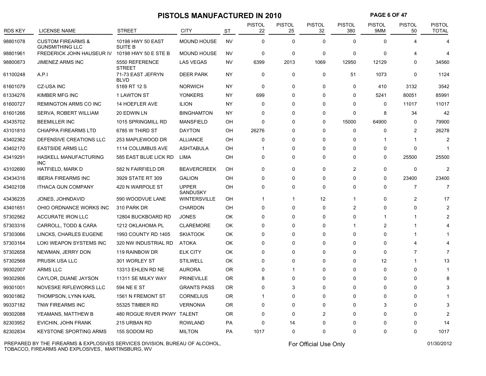# **PISTOLS MANUFACTURED IN 2010 PAGE 6 OF 47**

| <b>RDS KEY</b> | <b>LICENSE NAME</b>                                    | <b>STREET</b>                       | <b>CITY</b>              | <b>ST</b> | <b>PISTOL</b><br>22 | PISTOL<br>25 | <b>PISTOL</b><br>32 | <b>PISTOL</b><br>380    | PISTOL<br>9MM  | <b>PISTOL</b><br>50 | <b>PISTOL</b><br><b>TOTAL</b> |
|----------------|--------------------------------------------------------|-------------------------------------|--------------------------|-----------|---------------------|--------------|---------------------|-------------------------|----------------|---------------------|-------------------------------|
| 98801078       | <b>CUSTOM FIREARMS &amp;</b><br><b>GUNSMITHING LLC</b> | 10198 HWY 50 EAST<br><b>SUITE B</b> | <b>MOUND HOUSE</b>       | <b>NV</b> | $\mathbf 0$         | $\mathbf 0$  | $\Omega$            | $\Omega$                | $\Omega$       |                     | 4                             |
| 98801961       | FREDERICK JOHN HAUSEUR IV 10198 HWY 50 E STE B         |                                     | <b>MOUND HOUSE</b>       | <b>NV</b> | $\pmb{0}$           | 0            | $\mathbf 0$         | 0                       | $\Omega$       |                     | 4                             |
| 98800873       | <b>JIMENEZ ARMS INC</b>                                | 5550 REFERENCE<br><b>STREET</b>     | <b>LAS VEGAS</b>         | NV        | 6399                | 2013         | 1069                | 12950                   | 12129          | 0                   | 34560                         |
| 61100248       | A.P.1                                                  | 71-73 EAST JEFRYN<br><b>BLVD</b>    | <b>DEER PARK</b>         | NY        | 0                   | 0            | $\mathbf 0$         | 51                      | 1073           | 0                   | 1124                          |
| 61601079       | <b>CZ-USA INC</b>                                      | 5169 RT 12 S                        | <b>NORWICH</b>           | NY.       | $\mathbf 0$         | $\mathbf 0$  | $\mathbf 0$         | 0                       | 410            | 3132                | 3542                          |
| 61334276       | KIMBER MFG INC                                         | 1 LAWTON ST                         | <b>YONKERS</b>           | ΝY        | 699                 | $\Omega$     | $\Omega$            | 0                       | 5241           | 80051               | 85991                         |
| 61600727       | <b>REMINGTON ARMS CO INC</b>                           | 14 HOEFLER AVE                      | <b>ILION</b>             | <b>NY</b> | $\mathbf 0$         | $\Omega$     | $\Omega$            | $\Omega$                | $\Omega$       | 11017               | 11017                         |
| 61601266       | SERVA, ROBERT WILLIAM                                  | 20 EDWIN LN                         | <b>BINGHAMTON</b>        | ΝY        | $\mathbf 0$         | $\Omega$     | $\Omega$            | 0                       | 8              | 34                  | 42                            |
| 43435702       | <b>BEEMILLER INC</b>                                   | 1015 SPRINGMILL RD                  | <b>MANSFIELD</b>         | OH        | $\Omega$            | $\Omega$     | $\Omega$            | 15000                   | 64900          | $\mathbf 0$         | 79900                         |
| 43101810       | <b>CHIAPPA FIREARMS LTD</b>                            | 6785 W THIRD ST                     | <b>DAYTON</b>            | OH        | 26276               | $\mathbf{0}$ | $\Omega$            | 0                       | 0              | $\overline{2}$      | 26278                         |
| 43402362       | DEFENSIVE CREATIONS LLC                                | 253 MAPLEWOOD DR                    | <b>ALLIANCE</b>          | OH        | $\mathbf 0$         | $\Omega$     | $\Omega$            | 0                       |                | -1                  | 2                             |
| 43402170       | <b>EASTSIDE ARMS LLC</b>                               | 1114 COLUMBUS AVE                   | <b>ASHTABULA</b>         | OH        | 1                   | $\mathbf{0}$ | $\Omega$            | 0                       | $\Omega$       | $\mathbf 0$         |                               |
| 43419291       | HASKELL MANUFACTURING<br><b>INC</b>                    | 585 EAST BLUE LICK RD               | LIMA                     | OН        | 0                   | 0            | $\Omega$            | 0                       | $\Omega$       | 25500               | 25500                         |
| 43102690       | HATFIELD, MARK D                                       | 582 N FAIRFIELD DR                  | <b>BEAVERCREEK</b>       | OH        | $\mathbf 0$         | $\Omega$     | $\mathbf 0$         | $\overline{c}$          | $\mathbf 0$    | 0                   | 2                             |
| 43434316       | <b>IBERIA FIREARMS INC</b>                             | 3929 STATE RT 309                   | <b>GALION</b>            | OH        | $\mathbf 0$         | $\mathbf{0}$ | $\Omega$            | $\Omega$                | $\Omega$       | 23400               | 23400                         |
| 43402108       | <b>ITHACA GUN COMPANY</b>                              | 420 N WARPOLE ST                    | <b>UPPER</b><br>SANDUSKY | OH        | $\mathbf 0$         | $\mathbf{0}$ | $\Omega$            | 0                       | $\Omega$       | 7                   |                               |
| 43436235       | JONES, JOHNDAVID                                       | 590 WOODVUE LANE                    | <b>WINTERSVILLE</b>      | OH        | 1                   | -1           | 12                  | 1                       | $\Omega$       | $\overline{2}$      | 17                            |
| 43401651       | OHIO ORDNANCE WORKS INC                                | 310 PARK DR                         | <b>CHARDON</b>           | OH        | $\pmb{0}$           | $\mathbf{0}$ | $\Omega$            | $\overline{\mathbf{c}}$ | <sup>0</sup>   | $\Omega$            |                               |
| 57302562       | <b>ACCURATE IRON LLC</b>                               | 12804 BUCKBOARD RD                  | <b>JONES</b>             | OK        | $\mathbf 0$         | $\Omega$     | $\Omega$            | $\Omega$                | -1             | 1                   |                               |
| 57303316       | CARROLL, TODD & CARA                                   | 1212 OKLAHOMA PL                    | <b>CLAREMORE</b>         | OK        | $\mathbf 0$         | $\Omega$     | $\Omega$            | -1                      | $\overline{2}$ |                     |                               |
| 57303066       | LINCKS, CHARLES EUGENE                                 | 1993 COUNTY RD 1405                 | <b>SKIATOOK</b>          | OK        | $\Omega$            | $\Omega$     | $\Omega$            | $\Omega$                | $\Omega$       |                     |                               |
| 57303164       | LOKI WEAPON SYSTEMS INC                                | 320 NW INDUSTRIAL RD                | <b>ATOKA</b>             | OK        | $\mathbf 0$         | 0            | $\Omega$            | $\Omega$                | 0              | 4                   |                               |
| 57302658       | NEWMAN, JERRY DON                                      | 119 RAINBOW DR                      | <b>ELK CITY</b>          | OK        | $\Omega$            | $\Omega$     | $\Omega$            | $\Omega$                | $\Omega$       | $\overline{7}$      |                               |
| 57302568       | PRUSIK USA LLC                                         | 301 WORLEY ST                       | <b>STILWELL</b>          | OK        | $\mathbf 0$         | $\mathbf{0}$ | $\Omega$            | 0                       | 12             |                     | 13                            |
| 99302007       | ARMS LLC                                               | 13313 EHLEN RD NE                   | <b>AURORA</b>            | <b>OR</b> | $\Omega$            | $\mathbf{1}$ | $\Omega$            | $\Omega$                | $\Omega$       | $\Omega$            |                               |
| 99302906       | CAYLOR, DUANE JAYSON                                   | 11311 SE MILKY WAY                  | <b>PRINEVILLE</b>        | 0R        | 8                   | 0            | $\Omega$            | 0                       | $\mathbf{0}$   | $\mathbf 0$         |                               |
| 99301001       | NOVESKE RIFLEWORKS LLC                                 | 594 NE E ST                         | <b>GRANTS PASS</b>       | <b>OR</b> | $\Omega$            | 3            | $\Omega$            | 0                       | $\Omega$       | $\Omega$            |                               |
| 99301862       | THOMPSON, LYNN KARL                                    | 1561 N FREMONT ST                   | <b>CORNELIUS</b>         | <b>OR</b> | 1                   | $\Omega$     | $\Omega$            | $\Omega$                | $\Omega$       | $\Omega$            |                               |
| 99337182       | TNW FIREARMS INC                                       | 55325 TIMBER RD                     | <b>VERNONIA</b>          | <b>OR</b> | $\Omega$            | $\Omega$     | $\Omega$            | $\Omega$                | 3              | $\Omega$            |                               |
| 99302088       | YEAMANS, MATTHEW B                                     | 480 ROGUE RIVER PKWY                | TALENT                   | <b>OR</b> | $\mathbf 0$         | $\Omega$     | 2                   | 0                       | $\Omega$       | $\Omega$            |                               |
| 82303952       | EVICHIN, JOHN FRANK                                    | 215 URBAN RD                        | <b>ROWLAND</b>           | PA        | $\pmb{0}$           | 14           | $\Omega$            | $\Omega$                |                | $\Omega$            | 14                            |
| 82302834       | <b>KEYSTONE SPORTING ARMS</b>                          | 155 SODOM RD                        | <b>MILTON</b>            | PA        | 1017                | $\mathbf 0$  | $\Omega$            | 0                       | $\Omega$       | 0                   | 1017                          |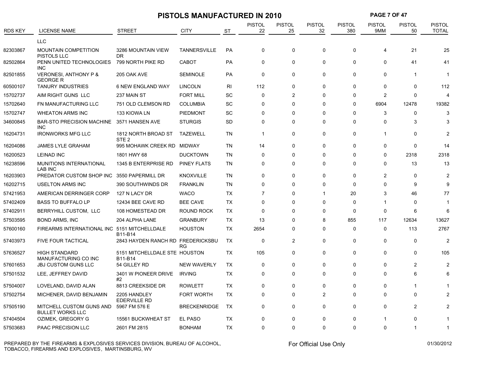|          |                                                     |                                          | <b>PISTOLS MANUFACTURED IN 2010</b> |                |                     |                     |                     |                      | <b>PAGE 7 OF 47</b>  |                     |                               |
|----------|-----------------------------------------------------|------------------------------------------|-------------------------------------|----------------|---------------------|---------------------|---------------------|----------------------|----------------------|---------------------|-------------------------------|
| RDS KEY  | <b>LICENSE NAME</b>                                 | <b>STREET</b>                            | <b>CITY</b>                         | <b>ST</b>      | <b>PISTOL</b><br>22 | <b>PISTOL</b><br>25 | <b>PISTOL</b><br>32 | <b>PISTOL</b><br>380 | <b>PISTOL</b><br>9MM | <b>PISTOL</b><br>50 | <b>PISTOL</b><br><b>TOTAL</b> |
|          | <b>LLC</b>                                          |                                          |                                     |                |                     |                     |                     |                      |                      |                     |                               |
| 82303867 | <b>MOUNTAIN COMPETITION</b><br>PISTOLS LLC          | 3286 MOUNTAIN VIEW<br><b>DR</b>          | <b>TANNERSVILLE</b>                 | PA             | 0                   | 0                   | $\Omega$            | 0                    | 4                    | 21                  | 25                            |
| 82502864 | PENN UNITED TECHNOLOGIES<br><b>INC</b>              | 799 NORTH PIKE RD                        | <b>CABOT</b>                        | <b>PA</b>      | 0                   | 0                   | $\mathbf 0$         | 0                    | 0                    | 41                  | 41                            |
| 82501855 | <b>VERONESI, ANTHONY P &amp;</b><br><b>GEORGE R</b> | 205 OAK AVE                              | <b>SEMINOLE</b>                     | <b>PA</b>      | $\mathbf{0}$        | $\mathbf 0$         | $\mathbf 0$         | $\mathbf 0$          | 0                    | 1                   | -1                            |
| 60500107 | <b>TANURY INDUSTRIES</b>                            | <b>6 NEW ENGLAND WAY</b>                 | <b>LINCOLN</b>                      | R <sub>l</sub> | 112                 | $\mathbf 0$         | $\mathbf 0$         | $\mathbf 0$          | $\Omega$             | 0                   | 112                           |
| 15702737 | AIM RIGHT GUNS LLC                                  | 237 MAIN ST                              | <b>FORT MILL</b>                    | <b>SC</b>      | $\Omega$            | $\overline{2}$      | $\Omega$            | 0                    | $\overline{2}$       | 0                   | 4                             |
| 15702640 | FN MANUFACTURING LLC                                | 751 OLD CLEMSON RD                       | <b>COLUMBIA</b>                     | SC             | $\Omega$            | $\Omega$            | $\Omega$            | $\Omega$             | 6904                 | 12478               | 19382                         |
| 15702747 | <b>WHEATON ARMS INC</b>                             | 133 KIOWA LN                             | PIEDMONT                            | <b>SC</b>      | $\mathbf 0$         | 0                   | $\Omega$            | $\mathbf 0$          | 3                    | 0                   | 3                             |
| 34600845 | <b>BAR-STO PRECISION MACHINE</b><br><b>INC</b>      | 3571 HANSEN AVE                          | <b>STURGIS</b>                      | <b>SD</b>      | $\mathbf 0$         | $\Omega$            | $\Omega$            | $\Omega$             | $\Omega$             | 3                   | 3                             |
| 16204731 | <b>IRONWORKS MFG LLC</b>                            | 1812 NORTH BROAD ST<br>STE <sub>2</sub>  | <b>TAZEWELL</b>                     | <b>TN</b>      | $\mathbf{1}$        | $\mathbf 0$         | $\mathbf 0$         | $\mathbf 0$          | 1                    | 0                   | 2                             |
| 16204086 | <b>JAMES LYLE GRAHAM</b>                            | 995 MOHAWK CREEK RD MIDWAY               |                                     | <b>TN</b>      | 14                  | $\mathbf 0$         | $\mathbf 0$         | $\mathbf 0$          | $\Omega$             | $\Omega$            | 14                            |
| 16200523 | <b>LEINAD INC</b>                                   | 1801 HWY 68                              | <b>DUCKTOWN</b>                     | <b>TN</b>      | $\Omega$            | $\Omega$            | $\Omega$            | $\Omega$             | $\Omega$             | 2318                | 2318                          |
| 16238596 | MUNITIONS INTERNATIONAL<br><b>LAB INC</b>           | 1345 B ENTERPRISE RD                     | <b>PINEY FLATS</b>                  | <b>TN</b>      | $\mathbf 0$         | 0                   | $\mathbf 0$         | $\mathbf 0$          | $\Omega$             | 13                  | 13                            |
| 16203903 | PREDATOR CUSTOM SHOP INC                            | 3550 PAPERMILL DR                        | <b>KNOXVILLE</b>                    | <b>TN</b>      | $\mathbf 0$         | 0                   | $\mathbf 0$         | $\mathbf 0$          | $\overline{2}$       | 0                   | $\overline{c}$                |
| 16202715 | <b>USELTON ARMS INC</b>                             | 390 SOUTHWINDS DR                        | <b>FRANKLIN</b>                     | <b>TN</b>      | $\mathbf 0$         | $\mathbf 0$         | $\mathbf 0$         | $\mathbf 0$          | $\Omega$             | 9                   | 9                             |
| 57421953 | AMERICAN DERRINGER CORP                             | 127 N LACY DR                            | <b>WACO</b>                         | <b>TX</b>      | $\overline{7}$      | 0                   | $\mathbf 1$         | 20                   | 3                    | 46                  | 77                            |
| 57402409 | <b>BASS TO BUFFALO LP</b>                           | 12434 BEE CAVE RD                        | <b>BEE CAVE</b>                     | TX             | $\Omega$            | $\Omega$            | $\Omega$            | $\mathbf 0$          | 1                    | $\Omega$            | -1                            |
| 57402911 | BERRYHILL CUSTOM, LLC                               | 108 HOMESTEAD DR                         | <b>ROUND ROCK</b>                   | <b>TX</b>      | $\mathbf 0$         | 0                   | $\mathbf 0$         | $\mathbf 0$          | 0                    | 6                   | 6                             |
| 57503595 | <b>BOND ARMS, INC</b>                               | 204 ALPHA LANE                           | <b>GRANBURY</b>                     | TX             | 13                  | $\Omega$            | 8                   | 855                  | 117                  | 12634               | 13627                         |
| 57600160 | FIREARMS INTERNATIONAL INC 5151 MITCHELLDALE        | B11-B14                                  | <b>HOUSTON</b>                      | TX             | 2654                | $\Omega$            | $\Omega$            | $\mathbf 0$          | 0                    | 113                 | 2767                          |
| 57403973 | <b>FIVE FOUR TACTICAL</b>                           | 2843 HAYDEN RANCH RD FREDERICKSBU        | <b>RG</b>                           | <b>TX</b>      | $\mathbf 0$         | $\overline{2}$      | $\mathbf 0$         | $\mathbf 0$          | $\Omega$             | $\Omega$            | $\mathfrak{p}$                |
| 57636527 | <b>HIGH STANDARD</b><br>MANUFACTURING CO INC        | 5151 MITCHELLDALE STE HOUSTON<br>B11-B14 |                                     | <b>TX</b>      | 105                 | 0                   | $\Omega$            | $\mathbf 0$          | $\Omega$             | $\Omega$            | 105                           |
| 57601653 | <b>JBJ CUSTOM GUNS LLC</b>                          | 54 GILLEY RD                             | <b>NEW WAVERLY</b>                  | TX             | $\Omega$            | 0                   | $\Omega$            | $\Omega$             | $\Omega$             | 2                   | $\mathcal{P}$                 |
| 57501532 | LEE, JEFFREY DAVID                                  | 3401 W PIONEER DRIVE<br>#2               | <b>IRVING</b>                       | <b>TX</b>      | $\mathbf 0$         | 0                   | $\mathbf 0$         | $\mathbf 0$          | $\Omega$             | 6                   |                               |
| 57504007 | LOVELAND, DAVID ALAN                                | 8813 CREEKSIDE DR                        | <b>ROWLETT</b>                      | <b>TX</b>      | $\mathbf 0$         | 0                   | $\mathbf 0$         | 0                    | 0                    | 1                   |                               |
| 57502754 | MICHENER, DAVID BENJAMIN                            | 2205 HANDLEY<br><b>EDERVILLE RD</b>      | <b>FORT WORTH</b>                   | TX             | $\mathbf 0$         | 0                   | $\overline{2}$      | 0                    | 0                    | $\Omega$            |                               |
| 57505190 | MITCHELL CUSTOM GUNS AND<br><b>BULLET WORKS LLC</b> | 5967 FM 576 E                            | <b>BRECKENRIDGE</b>                 | TX             | $\mathbf 0$         | $\mathbf 0$         | $\mathbf 0$         | $\Omega$             | 0                    | $\overline{2}$      |                               |
| 57404504 | OZIMEK, GREGORY G                                   | <b>15561 BUCKWHEAT ST</b>                | EL PASO                             | <b>TX</b>      | $\Omega$            | $\Omega$            | $\Omega$            | $\Omega$             | -1                   | 0                   |                               |
| 57503683 | PAAC PRECISION LLC                                  | 2601 FM 2815                             | <b>BONHAM</b>                       | <b>TX</b>      | $\Omega$            | $\Omega$            | $\Omega$            | $\Omega$             | $\Omega$             | 1                   | $\mathbf{1}$                  |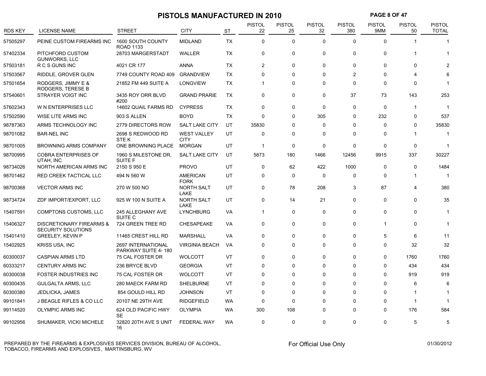|          |                                                       |                                           | PISTOLS MANUFACTURED IN 2010      |           |                     |                     |                     |                      | <b>PAGE 8 OF 47</b>  |                     |                               |
|----------|-------------------------------------------------------|-------------------------------------------|-----------------------------------|-----------|---------------------|---------------------|---------------------|----------------------|----------------------|---------------------|-------------------------------|
| RDS KEY  | <b>LICENSE NAME</b>                                   | <b>STREET</b>                             | <b>CITY</b>                       | <b>ST</b> | <b>PISTOL</b><br>22 | <b>PISTOL</b><br>25 | <b>PISTOL</b><br>32 | <b>PISTOL</b><br>380 | <b>PISTOL</b><br>9MM | <b>PISTOL</b><br>50 | <b>PISTOL</b><br><b>TOTAL</b> |
| 57505297 | PEINE CUSTOM FIREARMS INC                             | 1600 SOUTH COUNTY<br><b>ROAD 1133</b>     | <b>MIDLAND</b>                    | <b>TX</b> | $\mathbf 0$         | 0                   | $\mathbf{0}$        | $\Omega$             | 0                    | $\mathbf{1}$        | $\mathbf 1$                   |
| 57402334 | PITCHFORD CUSTOM<br><b>GUNWORKS, LLC</b>              | 28703 MARGERSTADT                         | WALLER                            | <b>TX</b> | $\mathbf 0$         | $\mathbf 0$         | $\mathbf 0$         | 0                    | 0                    | 1                   |                               |
| 57503181 | R C S GUNS INC                                        | 4021 CR 177                               | ANNA                              | TX        | $\overline{c}$      | 0                   | 0                   | 0                    | 0                    | $\mathbf 0$         |                               |
| 57503567 | RIDDLE, GROVER GLEN                                   | 7749 COUNTY ROAD 409                      | <b>GRANDVIEW</b>                  | <b>TX</b> | 0                   | 0                   | $\Omega$            | $\overline{2}$       | 0                    | 4                   |                               |
| 57501654 | RODGERS, JIMMY E &<br>RODGERS, TERESE B               | 21852 FM 449 SUITE A                      | <b>LONGVIEW</b>                   | TX        | $\overline{1}$      | $\Omega$            | $\Omega$            | $\Omega$             | 0                    | $\Omega$            |                               |
| 57540601 | STRAYER VOIGT INC                                     | 3435 ROY ORR BLVD<br>#200                 | <b>GRAND PRARIE</b>               | TX        | $\mathbf 0$         | 0                   | $\Omega$            | 37                   | 73                   | 143                 | 253                           |
| 57602343 | W N ENTERPRISES LLC                                   | 14602 QUAIL FARMS RD                      | <b>CYPRESS</b>                    | <b>TX</b> | 0                   | 0                   | $\Omega$            | $\mathbf 0$          | 0                    | $\mathbf{1}$        | 1                             |
| 57502590 | WISE LITE ARMS INC                                    | 903 S ALLEN                               | <b>BOYD</b>                       | <b>TX</b> | $\Omega$            | $\Omega$            | 305                 | $\Omega$             | 232                  | $\Omega$            | 537                           |
| 98787363 | ARMS TECHNOLOGY INC                                   | 2779 DIRECTORS ROW                        | <b>SALT LAKE CITY</b>             | UT        | 35830               | 0                   | $\Omega$            | $\Omega$             | 0                    | 0                   | 35830                         |
| 98701082 | <b>BAR-NEL INC</b>                                    | 2698 S REDWOOD RD<br>STE K                | <b>WEST VALLEY</b><br><b>CITY</b> | UT        | 0                   | $\Omega$            | $\Omega$            | 0                    | 0                    | 1                   | $\mathbf 1$                   |
| 98701005 | BROWNING ARMS COMPANY                                 | ONE BROWNING PLACE                        | <b>MORGAN</b>                     | UT        | $\overline{1}$      | $\mathbf 0$         | $\mathbf 0$         | $\mathbf 0$          | 0                    | 0                   | 1                             |
| 98700995 | <b>COBRA ENTERPRISES OF</b><br>UTAH, INC              | 1960 S MILESTONE DR,<br>SUITE F           | <b>SALT LAKE CITY</b>             | UT        | 5873                | 180                 | 1466                | 12456                | 9915                 | 337                 | 30227                         |
| 98734026 | NORTH AMERICAN ARMS INC                               | 2150 S 950 E                              | <b>PROVO</b>                      | UT        | $\mathbf 0$         | 62                  | 422                 | 1000                 | 0                    | 0                   | 1484                          |
| 98701462 | RED CREEK TACTICAL LLC                                | 494 N 560 W                               | <b>AMERICAN</b><br><b>FORK</b>    | UT        | $\Omega$            | 0                   | $\Omega$            | $\Omega$             | 0                    | 1                   | 1                             |
| 98700368 | <b>VECTOR ARMS INC</b>                                | 270 W 500 NO                              | <b>NORTH SALT</b><br>LAKE         | UT        | $\mathbf 0$         | 78                  | 208                 | 3                    | 87                   | 4                   | 380                           |
| 98734724 | ZDF IMPORT/EXPORT, LLC                                | 925 W 100 N SUITE A                       | <b>NORTH SALT</b><br>LAKE         | UT        | 0                   | 14                  | 21                  | 0                    | 0                    | 0                   | 35                            |
| 15407591 | COMPTONS CUSTOMS, LLC                                 | 245 ALLEGHANY AVE<br>SUITE <sub>C</sub>   | <b>LYNCHBURG</b>                  | VA        | $\overline{1}$      | 0                   | 0                   | 0                    | 0                    | 0                   | -1                            |
| 15406327 | DISCRETIONARY FIREARMS &<br><b>SECURITY SOLUTIONS</b> | 724 GREEN TREE RD                         | <b>CHESAPEAKE</b>                 | VA        | $\Omega$            | $\Omega$            | $\mathbf 0$         | 0                    | 1                    | 0                   | 1                             |
| 15401410 | <b>GREELEY, KEVIN P</b>                               | 11465 CREST HILL RD                       | <b>MARSHALL</b>                   | VA        | 0                   | 0                   | $\Omega$            | 0                    | 5                    | 6                   | 11                            |
| 15402925 | <b>KRISS USA, INC</b>                                 | 2697 INTERNATIONAL<br>PARKWAY SUITE 4-180 | <b>VIRGINIA BEACH</b>             | VA        | $\Omega$            | $\Omega$            | $\Omega$            | $\Omega$             | 0                    | 32                  | 32                            |
| 60300037 | <b>CASPIAN ARMS LTD</b>                               | 75 CAL FOSTER DR                          | <b>WOLCOTT</b>                    | VT        | $\Omega$            | $\Omega$            | $\Omega$            | $\Omega$             | 0                    | 1760                | 1760                          |
| 60333217 | <b>CENTURY ARMS INC</b>                               | 236 BRYCE BLVD                            | <b>GEORGIA</b>                    | VT        | $\Omega$            | $\Omega$            | $\Omega$            | $\Omega$             | 0                    | 434                 | 434                           |
| 60300038 | <b>FOSTER INDUSTRIES INC</b>                          | 75 CAL FOSTER DR                          | <b>WOLCOTT</b>                    | VT        | 0                   | $\Omega$            | 0                   | $\mathbf 0$          | 0                    | 919                 | 919                           |
| 60300435 | <b>GULGALTA ARMS, LLC</b>                             | 280 MAECK FARM RD                         | <b>SHELBURNE</b>                  | VT        | 0                   | $\Omega$            | $\Omega$            | $\Omega$             | 0                    | 6                   | 6                             |
| 60300380 | JEDLICKA, JAMES                                       | 854 GOULD HILL RD                         | <b>JOHNSON</b>                    | VT        | 0                   | $\Omega$            | $\Omega$            | $\Omega$             | 0                    | 1                   | 1                             |
| 99101841 | <b>J BEAGLE RIFLES &amp; CO LLC</b>                   | 20107 NE 29TH AVE                         | <b>RIDGEFIELD</b>                 | <b>WA</b> | 0                   | $\Omega$            | $\Omega$            | $\Omega$             | 0                    | $\mathbf{1}$        |                               |
| 99114520 | <b>OLYMPIC ARMS INC</b>                               | 624 OLD PACIFIC HWY<br>SE                 | <b>OLYMPIA</b>                    | <b>WA</b> | 300                 | 108                 | $\Omega$            | $\Omega$             | $\Omega$             | 176                 | 584                           |
| 99102956 | SHUMAKER, VICKI MICHELE                               | 32820 20TH AVE S UNIT<br>16               | <b>FEDERAL WAY</b>                | <b>WA</b> | $\mathbf 0$         | $\Omega$            | $\mathbf 0$         | 0                    | 0                    | 5                   | 5                             |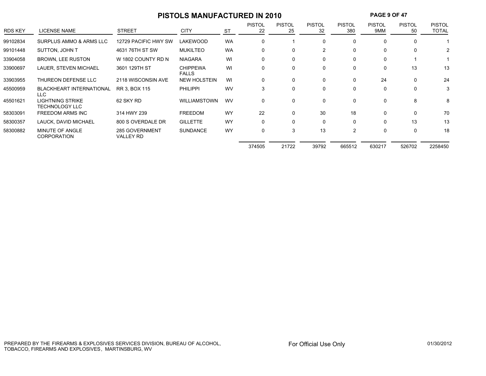# **PISTOLS MANUFACTURED IN 2010 PAGE 9 OF 47**

| <b>RDS KEY</b> | LICENSE NAME                                     | <b>STREET</b>                      | <b>CITY</b>                     | <b>ST</b> | <b>PISTOL</b><br>22 | <b>PISTOL</b><br>25 | <b>PISTOL</b><br>32 | <b>PISTOL</b><br>380 | <b>PISTOL</b><br>9MM | <b>PISTOL</b><br>50 | <b>PISTOL</b><br>TOTAL |
|----------------|--------------------------------------------------|------------------------------------|---------------------------------|-----------|---------------------|---------------------|---------------------|----------------------|----------------------|---------------------|------------------------|
| 99102834       | SURPLUS AMMO & ARMS LLC                          | 12729 PACIFIC HWY SW               | <b>LAKEWOOD</b>                 | <b>WA</b> | $\Omega$            |                     | $\Omega$            | $\Omega$             | 0                    |                     |                        |
| 99101448       | SUTTON, JOHN T                                   | 4631 76TH ST SW                    | <b>MUKILTEO</b>                 | <b>WA</b> | $\Omega$            | 0                   | $\mathcal{P}$       | $\mathbf{0}$         | 0                    | $\Omega$            |                        |
| 33904058       | <b>BROWN, LEE RUSTON</b>                         | W 1802 COUNTY RD N                 | <b>NIAGARA</b>                  | WI        | 0                   | 0                   | 0                   | 0                    | 0                    |                     |                        |
| 33900697       | LAUER, STEVEN MICHAEL                            | 3601 129TH ST                      | <b>CHIPPEWA</b><br><b>FALLS</b> | WI        | $\Omega$            | 0                   | $\Omega$            | $\mathbf{0}$         | 0                    | 13                  | 13                     |
| 33903955       | THUREON DEFENSE LLC                              | 2118 WISCONSIN AVE                 | <b>NEW HOLSTEIN</b>             | WI        | $\mathbf{0}$        | $\mathbf{0}$        | $\Omega$            | $\mathbf{0}$         | 24                   | $\Omega$            | 24                     |
| 45500959       | <b>BLACKHEART INTERNATIONAL</b><br>LLC.          | RR 3, BOX 115                      | <b>PHILIPPI</b>                 | <b>WV</b> | 3                   | 0                   | 0                   | 0                    | 0                    | $\Omega$            | 3                      |
| 45501621       | <b>LIGHTNING STRIKE</b><br><b>TECHNOLOGY LLC</b> | 62 SKY RD                          | <b>WILLIAMSTOWN</b>             | <b>WV</b> | $\Omega$            | $\mathbf{0}$        | $\Omega$            | $\mathbf{0}$         | 0                    | 8                   | 8                      |
| 58303091       | <b>FREEDOM ARMS INC</b>                          | 314 HWY 239                        | <b>FREEDOM</b>                  | <b>WY</b> | 22                  | 0                   | 30                  | 18                   | 0                    | $\Omega$            | 70                     |
| 58300357       | LAUCK. DAVID MICHAEL                             | 800 S OVERDALE DR                  | <b>GILLETTE</b>                 | <b>WY</b> | $\Omega$            | 0                   | $\Omega$            | $\mathbf{0}$         | 0                    | 13                  | 13                     |
| 58300882       | MINUTE OF ANGLE<br><b>CORPORATION</b>            | 285 GOVERNMENT<br><b>VALLEY RD</b> | <b>SUNDANCE</b>                 | <b>WY</b> | $\Omega$            | 3                   | 13                  | $\overline{2}$       | 0                    | 0                   | 18                     |
|                |                                                  |                                    |                                 |           | 374505              | 21722               | 39792               | 665512               | 630217               | 526702              | 2258450                |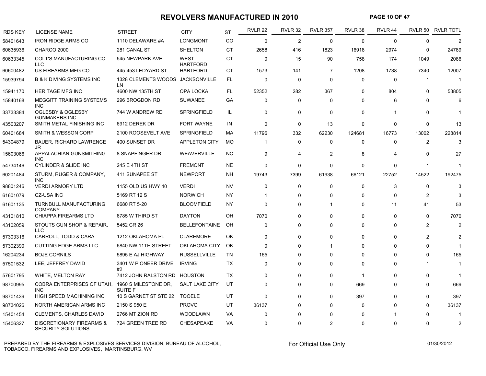#### **REVOLVERS MANUFACTURED IN 2010 PAGE 10 OF 47**

| <b>RDS KEY</b> | <b>LICENSE NAME</b>                                       | <b>STREET</b>                          | <b>CITY</b>                    | ST        | <b>RVLR 22</b> | <b>RVLR 32</b> | <b>RVLR 357</b> | RVLR 38     | RVLR 44                 |              | RVLR 50 RVLR TOTL |
|----------------|-----------------------------------------------------------|----------------------------------------|--------------------------------|-----------|----------------|----------------|-----------------|-------------|-------------------------|--------------|-------------------|
| 58401643       | <b>IRON RIDGE ARMS CO</b>                                 | 1110 DELAWARE #A                       | <b>LONGMONT</b>                | <b>CO</b> | $\Omega$       | $\overline{2}$ | $\Omega$        | $\Omega$    | $\Omega$                | $\Omega$     |                   |
| 60635936       | CHARCO 2000                                               | 281 CANAL ST                           | <b>SHELTON</b>                 | <b>CT</b> | 2658           | 416            | 1823            | 16918       | 2974                    | 0            | 24789             |
| 60633345       | COLT'S MANUFACTURING CO<br><b>LLC</b>                     | 545 NEWPARK AVE                        | <b>WEST</b><br><b>HARTFORD</b> | <b>CT</b> | 0              | 15             | 90              | 758         | 174                     | 1049         | 2086              |
| 60600482       | US FIREARMS MFG CO                                        | 445-453 LEDYARD ST                     | <b>HARTFORD</b>                | CT.       | 1573           | 141            | 7               | 1208        | 1738                    | 7340         | 12007             |
| 15939794       | <b>B &amp; K DIVING SYSTEMS INC</b>                       | 1328 CLEMENTS WOODS<br>LN.             | JACKSONVILLE                   | FL.       | 0              | 0              | 0               | 0           | $\Omega$                | $\mathbf 1$  | -1                |
| 15941170       | <b>HERITAGE MFG INC</b>                                   | 4600 NW 135TH ST                       | OPA LOCKA                      | FL        | 52352          | 282            | 367             | $\Omega$    | 804                     | 0            | 53805             |
| 15840168       | <b>MEGGITT TRAINING SYSTEMS</b><br><b>INC</b>             | 296 BROGDON RD                         | <b>SUWANEE</b>                 | GA        | $\mathbf 0$    | 0              | 0               | 0           | 6                       | 0            |                   |
| 33733384       | OGLESBY & OGLESBY<br><b>GUNMAKERS INC</b>                 | 744 W ANDREW RD                        | <b>SPRINGFIELD</b>             | IL        | $\mathbf 0$    | 0              | 0               | 0           |                         | 0            |                   |
| 43503207       | SMITH METAL FINISHING INC                                 | 6912 DEREK DR                          | <b>FORT WAYNE</b>              | IN        | $\Omega$       | 0              | 13              | $\Omega$    | $\Omega$                | $\Omega$     | 13                |
| 60401684       | SMITH & WESSON CORP                                       | 2100 ROOSEVELT AVE                     | <b>SPRINGFIELD</b>             | MA        | 11796          | 332            | 62230           | 124681      | 16773                   | 13002        | 228814            |
| 54304879       | <b>BAUER, RICHARD LAWRENCE</b><br>JR                      | 400 SUNSET DR                          | <b>APPLETON CITY</b>           | МO        | -1             | $\mathbf 0$    | $\mathbf 0$     | $\mathbf 0$ | $\Omega$                | 2            | 3                 |
| 15603066       | APPALACHIAN GUNSMITHING<br><b>INC</b>                     | 8 SNAPFINGER DR                        | WEAVERVILLE                    | <b>NC</b> | 9              | 4              | $\overline{2}$  | 8           | $\overline{\mathbf{4}}$ | $\mathbf{0}$ | 27                |
| 54734146       | <b>CYLINDER &amp; SLIDE INC</b>                           | 245 E 4TH ST                           | <b>FREMONT</b>                 | <b>NE</b> | 0              | 0              | 0               | $\mathbf 0$ | $\Omega$                | $\mathbf{1}$ |                   |
| 60201484       | STURM, RUGER & COMPANY,<br><b>INC</b>                     | 411 SUNAPEE ST                         | <b>NEWPORT</b>                 | NΗ        | 19743          | 7399           | 61938           | 66121       | 22752                   | 14522        | 192475            |
| 98801246       | <b>VERDI ARMORY LTD</b>                                   | 1155 OLD US HWY 40                     | <b>VERDI</b>                   | <b>NV</b> | $\Omega$       | 0              | 0               | $\Omega$    | 3                       | 0            | 3                 |
| 61601079       | <b>CZ-USA INC</b>                                         | 5169 RT 12 S                           | <b>NORWICH</b>                 | <b>NY</b> |                | $\Omega$       | $\Omega$        | $\Omega$    | $\Omega$                | 2            |                   |
| 61601135       | TURNBULL MANUFACTURING<br><b>COMPANY</b>                  | 6680 RT 5-20                           | <b>BLOOMFIELD</b>              | NY        | $\Omega$       | 0              | 1               | 0           | 11                      | 41           | 53                |
| 43101810       | <b>CHIAPPA FIREARMS LTD</b>                               | 6785 W THIRD ST                        | <b>DAYTON</b>                  | OΗ        | 7070           | 0              | $\Omega$        | $\Omega$    | $\Omega$                | $\Omega$     | 7070              |
| 43102059       | STOUTS GUN SHOP & REPAIR,<br><b>LLC</b>                   | 5452 CR 26                             | <b>BELLEFONTAINE</b>           | OH        | $\Omega$       | $\mathbf 0$    | $\Omega$        | $\Omega$    | $\Omega$                | 2            | 2                 |
| 57303316       | CARROLL, TODD & CARA                                      | 1212 OKLAHOMA PL                       | <b>CLAREMORE</b>               | OK        | $\Omega$       | $\mathbf 0$    | $\Omega$        | $\Omega$    | $\Omega$                | 2            |                   |
| 57302390       | <b>CUTTING EDGE ARMS LLC</b>                              | 6840 NW 11TH STREET                    | OKLAHOMA CITY                  | OK        | $\Omega$       | $\mathbf{0}$   | 1               | $\Omega$    | ∩                       | $\mathbf 0$  |                   |
| 16204234       | <b>BOJE CORNILS</b>                                       | 5895 E AJ HIGHWAY                      | <b>RUSSELLVILLE</b>            | <b>TN</b> | 165            | $\Omega$       | 0               | $\Omega$    | $\Omega$                | $\Omega$     | 165               |
| 57501532       | LEE, JEFFREY DAVID                                        | 3401 W PIONEER DRIVE<br>#2             | <b>IRVING</b>                  | TX        | 0              | 0              | 0               | $\Omega$    | $\Omega$                | -1           | $\mathbf{1}$      |
| 57601795       | <b>WHITE, MELTON RAY</b>                                  | 7412 JOHN RALSTON RD                   | HOUSTON                        | <b>TX</b> | $\Omega$       | $\mathbf 0$    | 0               | -1          | $\Omega$                | 0            |                   |
| 98700995       | COBRA ENTERPRISES OF UTAH.<br><b>INC</b>                  | 1960 S MILESTONE DR,<br><b>SUITE F</b> | <b>SALT LAKE CITY</b>          | UT        | $\Omega$       | $\mathbf 0$    | 0               | 669         | $\Omega$                | 0            | 669               |
| 98701439       | HIGH SPEED MACHINING INC                                  | 10 S GARNET ST STE 22                  | <b>TOOELE</b>                  | UT        | $\Omega$       | $\mathbf 0$    | 0               | 397         | $\Omega$                | 0            | 397               |
| 98734026       | NORTH AMERICAN ARMS INC                                   | 2150 S 950 E                           | <b>PROVO</b>                   | UT        | 36137          | $\Omega$       | $\Omega$        | $\Omega$    | $\Omega$                | $\Omega$     | 36137             |
| 15401454       | <b>CLEMENTS, CHARLES DAVID</b>                            | 2766 MT ZION RD                        | <b>WOODLAWN</b>                | VA        | $\Omega$       | $\Omega$       | $\Omega$        | $\Omega$    |                         | $\Omega$     | -1                |
| 15406327       | <b>DISCRETIONARY FIREARMS &amp;</b><br>SECURITY SOLUTIONS | 724 GREEN TREE RD                      | CHESAPEAKE                     | VA        | O              | 0              | $\overline{2}$  | $\Omega$    | $\Omega$                | 0            | 2                 |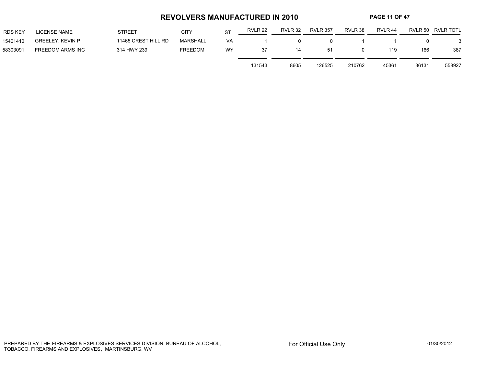#### **REVOLVERS MANUFACTURED IN 2010 PAGE 11 OF 47**

| <b>RDS KEY</b> | LICENSE NAME            | <b>STREET</b>       | CITY            | <b>ST</b> | RVLR 22 | RVLR 32 | <b>RVLR 357</b> | RVLR 38 | RVLR 44 |       | RVLR 50 RVLR TOTL |
|----------------|-------------------------|---------------------|-----------------|-----------|---------|---------|-----------------|---------|---------|-------|-------------------|
| 15401410       | <b>GREELEY, KEVIN P</b> | 11465 CREST HILL RD | <b>MARSHALL</b> | VA        |         |         |                 |         |         |       |                   |
| 58303091       | FREEDOM ARMS INC        | 314 HWY 239         | FREEDOM         | WY        | 37      | 14      | 51              |         | 119     | 166   | 387               |
|                |                         |                     |                 |           | 131543  | 8605    | 126525          | 210762  | 45361   | 36131 | 558927            |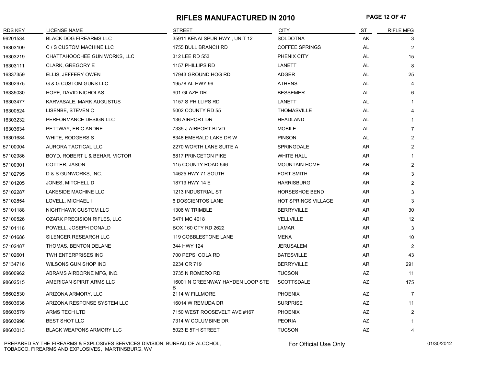#### **RIFLES MANUFACTURED IN 2010 PAGE 12 OF 47**

| <b>RDS KEY</b> | LICENSE NAME                     | <b>STREET</b>                         | <b>CITY</b>                | ST        | <b>RIFLE MFG</b> |
|----------------|----------------------------------|---------------------------------------|----------------------------|-----------|------------------|
| 99201534       | <b>BLACK DOG FIREARMS LLC</b>    | 35911 KENAI SPUR HWY., UNIT 12        | SOLDOTNA                   | AK        | 3                |
| 16303109       | C / S CUSTOM MACHINE LLC         | 1755 BULL BRANCH RD                   | <b>COFFEE SPRINGS</b>      | AL        | 2                |
| 16303219       | CHATTAHOOCHEE GUN WORKS, LLC     | 312 LEE RD 553                        | PHENIX CITY                | AL        | 15               |
| 16303111       | <b>CLARK, GREGORY E</b>          | 1157 PHILLIPS RD                      | LANETT                     | <b>AL</b> | 8                |
| 16337359       | ELLIS, JEFFERY OWEN              | 17943 GROUND HOG RD                   | <b>ADGER</b>               | AL        | 25               |
| 16302975       | <b>G &amp; G CUSTOM GUNS LLC</b> | 19578 AL HWY 99                       | <b>ATHENS</b>              | AL        | 4                |
| 16335030       | HOPE, DAVID NICHOLAS             | 901 GLAZE DR                          | <b>BESSEMER</b>            | AL        | 6                |
| 16303477       | KARVASALE, MARK AUGUSTUS         | 1157 S PHILLIPS RD                    | LANETT                     | AL        | 1                |
| 16300524       | LISENBE, STEVEN C                | 5002 COUNTY RD 55                     | <b>THOMASVILLE</b>         | AL        | 4                |
| 16303232       | PERFORMANCE DESIGN LLC           | 136 AIRPORT DR                        | <b>HEADLAND</b>            | AL        | $\mathbf{1}$     |
| 16303634       | PETTWAY, ERIC ANDRE              | 7335-J AIRPORT BLVD                   | <b>MOBILE</b>              | AL        | $\overline{7}$   |
| 16301684       | WHITE, RODGERS S                 | 8348 EMERALD LAKE DR W                | <b>PINSON</b>              | AL        | 2                |
| 57100004       | AURORA TACTICAL LLC              | 2270 WORTH LANE SUITE A               | <b>SPRINGDALE</b>          | AR        | $\mathbf{2}$     |
| 57102986       | BOYD, ROBERT L & BEHAR, VICTOR   | <b>6817 PRINCETON PIKE</b>            | <b>WHITE HALL</b>          | AR        | -1               |
| 57100301       | COTTER, JASON                    | 115 COUNTY ROAD 546                   | <b>MOUNTAIN HOME</b>       | AR        | $\overline{2}$   |
| 57102795       | D & S GUNWORKS, INC.             | 14625 HWY 71 SOUTH                    | <b>FORT SMITH</b>          | AR        | 3                |
| 57101205       | JONES, MITCHELL D                | 18719 HWY 14 E                        | <b>HARRISBURG</b>          | AR        | $\overline{2}$   |
| 57102287       | LAKESIDE MACHINE LLC             | 1213 INDUSTRIAL ST                    | <b>HORSESHOE BEND</b>      | AR        | 3                |
| 57102854       | LOVELL, MICHAEL I                | 6 DOSCIENTOS LANE                     | <b>HOT SPRINGS VILLAGE</b> | AR        | 3                |
| 57101188       | NIGHTHAWK CUSTOM LLC             | 1306 W TRIMBLE                        | <b>BERRYVILLE</b>          | AR        | 30               |
| 57100526       | OZARK PRECISION RIFLES, LLC      | 6471 MC 4018                          | YELLVILLE                  | AR        | 12               |
| 57101118       | POWELL, JOSEPH DONALD            | BOX 160 CTY RD 2622                   | LAMAR                      | AR.       | 3                |
| 57101686       | SILENCER RESEARCH LLC            | 119 COBBLESTONE LANE                  | <b>MENA</b>                | AR        | 10               |
| 57102487       | THOMAS, BENTON DELANE            | 344 HWY 124                           | <b>JERUSALEM</b>           | AR        | 2                |
| 57102601       | TWH ENTERPRISES INC              | 700 PEPSI COLA RD                     | <b>BATESVILLE</b>          | AR        | 43               |
| 57134716       | WILSONS GUN SHOP INC             | 2234 CR 719                           | <b>BERRYVILLE</b>          | <b>AR</b> | 291              |
| 98600962       | ABRAMS AIRBORNE MFG, INC.        | 3735 N ROMERO RD                      | <b>TUCSON</b>              | <b>AZ</b> | 11               |
| 98602515       | AMERICAN SPIRIT ARMS LLC         | 16001 N GREENWAY HAYDEN LOOP STE<br>B | <b>SCOTTSDALE</b>          | AZ        | 175              |
| 98602530       | ARIZONA ARMORY, LLC              | 2114 W FILLMORE                       | <b>PHOENIX</b>             | AZ        | 7                |
| 98603636       | ARIZONA RESPONSE SYSTEM LLC      | 16014 W REMUDA DR                     | <b>SURPRISE</b>            | AZ        | 11               |
| 98603579       | <b>ARMS TECH LTD</b>             | 7150 WEST ROOSEVELT AVE #167          | <b>PHOENIX</b>             | AZ        | $\overline{2}$   |
| 98603998       | <b>BEST SHOT LLC</b>             | 7314 W COLUMBINE DR                   | <b>PEORIA</b>              | AZ        | $\mathbf{1}$     |
| 98603013       | <b>BLACK WEAPONS ARMORY LLC</b>  | 5023 E 5TH STREET                     | <b>TUCSON</b>              | AZ        | 4                |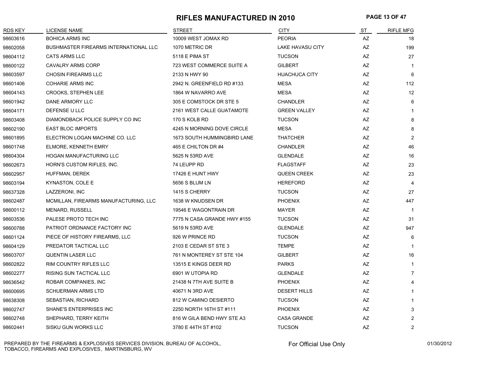#### **RIFLES MANUFACTURED IN 2010 PAGE 13 OF 47**

| <b>RDS KEY</b> | <b>LICENSE NAME</b>                          | <b>STREET</b>               | <b>CITY</b>             | ST                     | <b>RIFLE MFG</b> |
|----------------|----------------------------------------------|-----------------------------|-------------------------|------------------------|------------------|
| 98603616       | <b>BOHICA ARMS INC</b>                       | 10009 WEST JOMAX RD         | <b>PEORIA</b>           | $\mathsf{A}\mathsf{Z}$ | 18               |
| 98602058       | <b>BUSHMASTER FIREARMS INTERNATIONAL LLC</b> | 1070 METRIC DR              | <b>LAKE HAVASU CITY</b> | $\mathsf{A}\mathsf{Z}$ | 199              |
| 98604112       | CATS ARMS LLC                                | 5118 E PIMA ST              | <b>TUCSON</b>           | AZ                     | 27               |
| 98600122       | <b>CAVALRY ARMS CORP</b>                     | 723 WEST COMMERCE SUITE A   | <b>GILBERT</b>          | AZ                     | $\mathbf{1}$     |
| 98603597       | <b>CHOSIN FIREARMS LLC</b>                   | 2133 N HWY 90               | <b>HUACHUCA CITY</b>    | AZ                     | 6                |
| 98601406       | COHARIE ARMS INC                             | 2942 N. GREENFIELD RD #133  | <b>MESA</b>             | AZ                     | 112              |
| 98604143       | <b>CROOKS, STEPHEN LEE</b>                   | 1864 W NAVARRO AVE          | <b>MESA</b>             | AZ                     | 12               |
| 98601942       | DANE ARMORY LLC                              | 305 E COMSTOCK DR STE 5     | <b>CHANDLER</b>         | AZ                     | 6                |
| 98604171       | DEFENSE U LLC                                | 2161 WEST CALLE GUATAMOTE   | <b>GREEN VALLEY</b>     | AZ                     | $\mathbf 1$      |
| 98603408       | DIAMONDBACK POLICE SUPPLY CO INC             | 170 S KOLB RD               | <b>TUCSON</b>           | AZ                     | 8                |
| 98602190       | <b>EAST BLOC IMPORTS</b>                     | 4245 N MORNING DOVE CIRCLE  | <b>MESA</b>             | AZ                     | 8                |
| 98601895       | ELECTRON LOGAN MACHINE CO. LLC               | 1673 SOUTH HUMMINGBIRD LANE | <b>THATCHER</b>         | AZ                     | $\overline{c}$   |
| 98601748       | ELMORE, KENNETH EMRY                         | 465 E CHILTON DR #4         | <b>CHANDLER</b>         | AZ                     | 46               |
| 98604304       | <b>HOGAN MANUFACTURING LLC</b>               | 5625 N 53RD AVE             | <b>GLENDALE</b>         | AZ                     | 16               |
| 98602673       | HORN'S CUSTOM RIFLES, INC.                   | 74 LEUPP RD                 | <b>FLAGSTAFF</b>        | AZ                     | 23               |
| 98602957       | HUFFMAN, DEREK                               | 17426 E HUNT HWY            | <b>QUEEN CREEK</b>      | AZ                     | 23               |
| 98603194       | KYNASTON, COLE E                             | 5656 S BLUM LN              | <b>HEREFORD</b>         | AZ                     | $\overline{4}$   |
| 98637328       | LAZZERONI, INC                               | 1415 S CHERRY               | <b>TUCSON</b>           | AZ                     | 27               |
| 98602487       | MCMILLAN, FIREARMS MANUFACTURING, LLC        | 1638 W KNUDSEN DR           | <b>PHOENIX</b>          | AZ                     | 447              |
| 98600112       | <b>MENARD, RUSSELL</b>                       | 19546 E WAGONTRAIN DR       | <b>MAYER</b>            | AZ                     | -1               |
| 98603536       | PALESE PROTO TECH INC                        | 7775 N CASA GRANDE HWY #155 | <b>TUCSON</b>           | $\mathsf{A}\mathsf{Z}$ | 31               |
| 98600788       | PATRIOT ORDNANCE FACTORY INC                 | 5619 N 53RD AVE             | <b>GLENDALE</b>         | AZ                     | 947              |
| 98601124       | PIECE OF HISTORY FIREARMS, LLC               | 926 W PRINCE RD             | <b>TUCSON</b>           | AZ                     | 6                |
| 98604129       | PREDATOR TACTICAL LLC                        | 2103 E CEDAR ST STE 3       | <b>TEMPE</b>            | AZ                     | $\mathbf{1}$     |
| 98603707       | <b>QUENTIN LASER LLC</b>                     | 761 N MONTEREY ST STE 104   | <b>GILBERT</b>          | AZ                     | 16               |
| 98602822       | <b>RIM COUNTRY RIFLES LLC</b>                | 13515 E KINGS DEER RD       | <b>PARKS</b>            | AZ                     | $\mathbf 1$      |
| 98602277       | RISING SUN TACTICAL LLC                      | 6901 W UTOPIA RD            | <b>GLENDALE</b>         | AZ                     | $\overline{7}$   |
| 98636542       | ROBAR COMPANIES, INC                         | 21438 N 7TH AVE SUITE B     | <b>PHOENIX</b>          | AZ                     | $\overline{4}$   |
| 98600695       | <b>SCHUERMAN ARMS LTD</b>                    | 40671 N 3RD AVE             | <b>DESERT HILLS</b>     | AZ                     | $\mathbf 1$      |
| 98638308       | SEBASTIAN, RICHARD                           | 812 W CAMINO DESIERTO       | <b>TUCSON</b>           | AZ                     | $\mathbf 1$      |
| 98602747       | SHANE'S ENTERPRISES INC                      | 2250 NORTH 16TH ST #111     | <b>PHOENIX</b>          | AZ                     | 3                |
| 98602748       | SHEPHARD, TERRY KEITH                        | 816 W GILA BEND HWY STE A3  | <b>CASA GRANDE</b>      | AZ                     | $\overline{c}$   |
| 98602441       | SISKU GUN WORKS LLC                          | 3780 E 44TH ST #102         | <b>TUCSON</b>           | <b>AZ</b>              | 2                |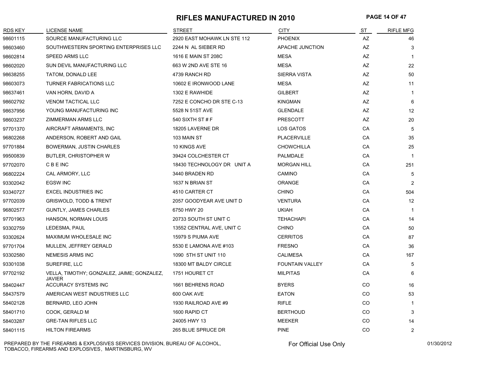#### **RIFLES MANUFACTURED IN 2010 PAGE 14 OF 47**

| <b>RDS KEY</b> | LICENSE NAME                                                | <b>STREET</b>               | <b>CITY</b>            | ST        | <b>RIFLE MFG</b> |
|----------------|-------------------------------------------------------------|-----------------------------|------------------------|-----------|------------------|
| 98601115       | SOURCE MANUFACTURING LLC                                    | 2920 EAST MOHAWK LN STE 112 | <b>PHOENIX</b>         | AZ        | 46               |
| 98603460       | SOUTHWESTERN SPORTING ENTERPRISES LLC                       | 2244 N AL SIEBER RD         | APACHE JUNCTION        | AZ        | 3                |
| 98602814       | <b>SPEED ARMS LLC</b>                                       | 1616 E MAIN ST 208C         | <b>MESA</b>            | AZ        | $\overline{1}$   |
| 98602020       | SUN DEVIL MANUFACTURING LLC                                 | 663 W 2ND AVE STE 16        | <b>MESA</b>            | AZ        | 22               |
| 98638255       | TATOM, DONALD LEE                                           | 4739 RANCH RD               | <b>SIERRA VISTA</b>    | AZ        | 50               |
| 98603073       | <b>TURNER FABRICATIONS LLC</b>                              | 10602 E IRONWOOD LANE       | <b>MESA</b>            | AZ        | 11               |
| 98637461       | VAN HORN, DAVID A                                           | 1302 E RAWHIDE              | <b>GILBERT</b>         | <b>AZ</b> | $\mathbf 1$      |
| 98602792       | <b>VENOM TACTICAL LLC</b>                                   | 7252 E CONCHO DR STE C-13   | <b>KINGMAN</b>         | <b>AZ</b> | 6                |
| 98637956       | YOUNG MANUFACTURING INC                                     | 5528 N 51ST AVE             | <b>GLENDALE</b>        | AZ        | 12               |
| 98603237       | ZIMMERMAN ARMS LLC                                          | 540 SIXTH ST # F            | <b>PRESCOTT</b>        | AZ        | 20               |
| 97701370       | AIRCRAFT ARMAMENTS, INC                                     | 18205 LAVERNE DR            | LOS GATOS              | CA        | 5                |
| 96802268       | ANDERSON, ROBERT AND GAIL                                   | 103 MAIN ST                 | <b>PLACERVILLE</b>     | CA        | 35               |
| 97701884       | BOWERMAN, JUSTIN CHARLES                                    | 10 KINGS AVE                | <b>CHOWCHILLA</b>      | CA        | 25               |
| 99500839       | <b>BUTLER, CHRISTOPHER W</b>                                | 39424 COLCHESTER CT         | PALMDALE               | CA        | $\overline{1}$   |
| 97702070       | <b>CBEINC</b>                                               | 18430 TECHNOLOGY DR UNIT A  | <b>MORGAN HILL</b>     | CA        | 251              |
| 96802224       | CAL ARMORY, LLC                                             | 3440 BRADEN RD              | <b>CAMINO</b>          | CA        | 5                |
| 93302042       | <b>EGSW INC</b>                                             | 1637 N BRIAN ST             | ORANGE                 | CA        | 2                |
| 93340727       | <b>EXCEL INDUSTRIES INC</b>                                 | 4510 CARTER CT              | <b>CHINO</b>           | CA        | 504              |
| 97702039       | <b>GRISWOLD, TODD &amp; TRENT</b>                           | 2057 GOODYEAR AVE UNIT D    | <b>VENTURA</b>         | CA        | 12               |
| 96802577       | <b>GUNTLY, JAMES CHARLES</b>                                | 6750 HWY 20                 | <b>UKIAH</b>           | CA        | $\overline{1}$   |
| 97701963       | HANSON, NORMAN LOUIS                                        | 20733 SOUTH ST UNIT C       | <b>TEHACHAPI</b>       | CA        | 14               |
| 93302759       | LEDESMA, PAUL                                               | 13552 CENTRAL AVE, UNIT C   | <b>CHINO</b>           | CA        | 50               |
| 93302624       | MAXIMUM WHOLESALE INC                                       | 15979 S PIUMA AVE           | <b>CERRITOS</b>        | CA        | 87               |
| 97701704       | MULLEN, JEFFREY GERALD                                      | 5530 E LAMONA AVE #103      | <b>FRESNO</b>          | CA        | 36               |
| 93302580       | <b>NEMESIS ARMS INC</b>                                     | 1090 5TH ST UNIT 110        | <b>CALIMESA</b>        | CA        | 167              |
| 93301038       | SUREFIRE, LLC                                               | 18300 MT BALDY CIRCLE       | <b>FOUNTAIN VALLEY</b> | CA        | 5                |
| 97702192       | VELLA, TIMOTHY; GONZALEZ, JAIME; GONZALEZ,<br><b>JAVIER</b> | 1751 HOURET CT              | <b>MILPITAS</b>        | CA        | 6                |
| 58402447       | ACCURACY SYSTEMS INC                                        | 1661 BEHRENS ROAD           | <b>BYERS</b>           | CO        | 16               |
| 58437579       | AMERICAN WEST INDUSTRIES LLC                                | 600 OAK AVE                 | <b>EATON</b>           | CO        | 53               |
| 58402128       | BERNARD, LEO JOHN                                           | 1930 RAILROAD AVE #9        | <b>RIFLE</b>           | CO        | $\overline{1}$   |
| 58401710       | COOK, GERALD M                                              | 1600 RAPID CT               | <b>BERTHOUD</b>        | CO        | 3                |
| 58403287       | <b>GRE-TAN RIFLES LLC</b>                                   | 24005 HWY 13                | <b>MEEKER</b>          | CO        | 14               |
| 58401115       | <b>HILTON FIREARMS</b>                                      | 265 BLUE SPRUCE DR          | <b>PINE</b>            | CO        | $\overline{2}$   |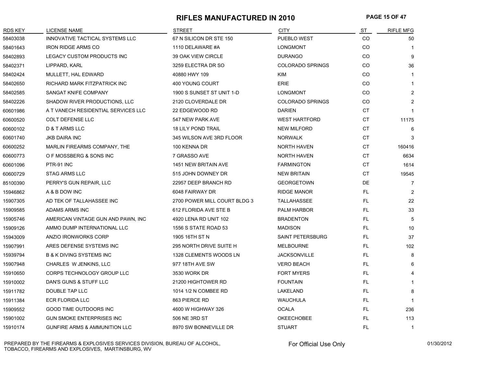#### **RIFLES MANUFACTURED IN 2010 PAGE 15 OF 47**

| RDS KEY  | <b>LICENSE NAME</b>                      | <b>STREET</b>                | <b>CITY</b>             | S <sub>T</sub> | <b>RIFLE MFG</b> |
|----------|------------------------------------------|------------------------------|-------------------------|----------------|------------------|
| 58403038 | INNOVATIVE TACTICAL SYSTEMS LLC          | 67 N SILICON DR STE 150      | PUEBLO WEST             | CO             | 50               |
| 58401643 | <b>IRON RIDGE ARMS CO</b>                | 1110 DELAWARE #A             | <b>LONGMONT</b>         | CO             | $\mathbf{1}$     |
| 58402893 | LEGACY CUSTOM PRODUCTS INC               | 39 OAK VIEW CIRCLE           | <b>DURANGO</b>          | CO             | 9                |
| 58402371 | LIPPARD, KARL                            | 3259 ELECTRA DR SO           | <b>COLORADO SPRINGS</b> | CO             | 36               |
| 58402424 | MULLETT, HAL EDWARD                      | 40880 HWY 109                | KIM                     | CO             | $\mathbf{1}$     |
| 58402650 | RICHARD MARK FITZPATRICK INC             | 400 YOUNG COURT              | <b>ERIE</b>             | CO             | 1                |
| 58402585 | SANGAT KNIFE COMPANY                     | 1900 S SUNSET ST UNIT 1-D    | <b>LONGMONT</b>         | CO             | $\overline{2}$   |
| 58402226 | SHADOW RIVER PRODUCTIONS, LLC            | 2120 CLOVERDALE DR           | <b>COLORADO SPRINGS</b> | CO             | 2                |
| 60601986 | A T VANECH RESIDENTIAL SERVICES LLC      | 22 EDGEWOOD RD               | <b>DARIEN</b>           | CT             | $\mathbf{1}$     |
| 60600520 | <b>COLT DEFENSE LLC</b>                  | 547 NEW PARK AVE             | <b>WEST HARTFORD</b>    | СT             | 11175            |
| 60600102 | D & T ARMS LLC                           | <b>18 LILY POND TRAIL</b>    | <b>NEW MILFORD</b>      | СT             | 6                |
| 60601740 | <b>JKB DAIRA INC</b>                     | 345 WILSON AVE 3RD FLOOR     | <b>NORWALK</b>          | <b>CT</b>      | 3                |
| 60600252 | MARLIN FIREARMS COMPANY, THE             | 100 KENNA DR                 | <b>NORTH HAVEN</b>      | <b>CT</b>      | 160416           |
| 60600773 | O F MOSSBERG & SONS INC                  | 7 GRASSO AVE                 | <b>NORTH HAVEN</b>      | CT             | 6634             |
| 60601096 | PTR-91 INC                               | 1451 NEW BRITAIN AVE         | <b>FARMINGTON</b>       | СT             | 1614             |
| 60600729 | <b>STAG ARMS LLC</b>                     | 515 JOHN DOWNEY DR           | <b>NEW BRITAIN</b>      | <b>CT</b>      | 19545            |
| 85100390 | PERRY'S GUN REPAIR, LLC                  | 22957 DEEP BRANCH RD         | <b>GEORGETOWN</b>       | DE             | 7                |
| 15946862 | A & B DOW INC                            | 6048 FAIRWAY DR              | <b>RIDGE MANOR</b>      | FL.            | $\overline{2}$   |
| 15907305 | AD TEK OF TALLAHASSEE INC                | 2700 POWER MILL COURT BLDG 3 | TALLAHASSEE             | FL             | 22               |
| 15909585 | ADAMS ARMS INC                           | 612 FLORIDA AVE STE B        | PALM HARBOR             | FL.            | 33               |
| 15905746 | AMERICAN VINTAGE GUN AND PAWN, INC       | 4920 LENA RD UNIT 102        | <b>BRADENTON</b>        | FL.            | 5                |
| 15909126 | AMMO DUMP INTERNATIONAL LLC              | 1556 S STATE ROAD 53         | <b>MADISON</b>          | FL.            | 10               |
| 15943009 | ANZIO IRONWORKS CORP                     | 1905 16TH ST N               | <b>SAINT PETERSBURG</b> | FL.            | 37               |
| 15907991 | ARES DEFENSE SYSTEMS INC                 | 295 NORTH DRIVE SUITE H      | <b>MELBOURNE</b>        | FL.            | 102              |
| 15939794 | <b>B &amp; K DIVING SYSTEMS INC</b>      | 1328 CLEMENTS WOODS LN       | <b>JACKSONVILLE</b>     | FL.            | 8                |
| 15907948 | CHARLES W JENKINS, LLC                   | 977 18TH AVE SW              | <b>VERO BEACH</b>       | FL.            | 6                |
| 15910650 | CORPS TECHNOLOGY GROUP LLC               | 3530 WORK DR                 | <b>FORT MYERS</b>       | FL.            | 4                |
| 15910002 | DAN'S GUNS & STUFF LLC                   | 21200 HIGHTOWER RD           | <b>FOUNTAIN</b>         | FL.            | 1                |
| 15911782 | DOUBLE TAP LLC                           | 1014 1/2 N COMBEE RD         | LAKELAND                | FL.            | 8                |
| 15911384 | <b>ECR FLORIDA LLC</b>                   | 863 PIERCE RD                | <b>WAUCHULA</b>         | FL.            | $\mathbf 1$      |
| 15909552 | <b>GOOD TIME OUTDOORS INC</b>            | 4600 W HIGHWAY 326           | <b>OCALA</b>            | FL.            | 236              |
| 15901002 | <b>GUN SMOKE ENTERPRISES INC</b>         | 506 NE 3RD ST                | <b>OKEECHOBEE</b>       | FL.            | 113              |
| 15910174 | <b>GUNFIRE ARMS &amp; AMMUNITION LLC</b> | 8970 SW BONNEVILLE DR        | <b>STUART</b>           | FL.            | $\mathbf{1}$     |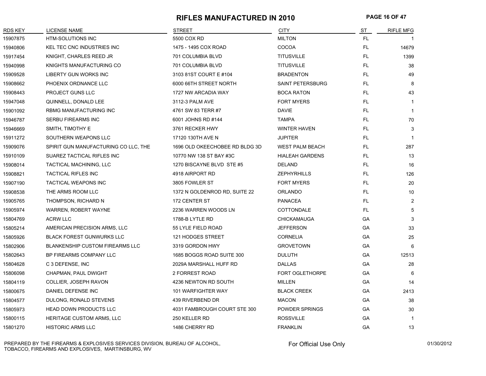#### **RIFLES MANUFACTURED IN 2010 PAGE 16 OF 47**

| <b>RDS KEY</b> | LICENSE NAME                           | <b>STREET</b>                  | <b>CITY</b>             | S <sub>T</sub> | <b>RIFLE MFG</b> |
|----------------|----------------------------------------|--------------------------------|-------------------------|----------------|------------------|
| 15907875       | <b>HTM-SOLUTIONS INC</b>               | 5500 COX RD                    | <b>MILTON</b>           | FL.            |                  |
| 15940806       | KEL TEC CNC INDUSTRIES INC             | 1475 - 1495 COX ROAD           | COCOA                   | FL.            | 14679            |
| 15917454       | KNIGHT, CHARLES REED JR                | 701 COLUMBIA BLVD              | <b>TITUSVILLE</b>       | FL.            | 1399             |
| 15940998       | KNIGHTS MANUFACTURING CO               | 701 COLUMBIA BLVD              | <b>TITUSVILLE</b>       | FL.            | 38               |
| 15909528       | <b>LIBERTY GUN WORKS INC</b>           | 3103 81ST COURT E #104         | <b>BRADENTON</b>        | FL.            | 49               |
| 15908662       | PHOENIX ORDNANCE LLC                   | 6000 66TH STREET NORTH         | <b>SAINT PETERSBURG</b> | FL.            | 8                |
| 15908443       | PROJECT GUNS LLC                       | 1727 NW ARCADIA WAY            | <b>BOCA RATON</b>       | FL.            | 43               |
| 15947048       | QUINNELL, DONALD LEE                   | 3112-3 PALM AVE                | <b>FORT MYERS</b>       | FL.            | $\mathbf 1$      |
| 15901092       | RBMG MANUFACTURING INC                 | 4761 SW 83 TERR #7             | <b>DAVIE</b>            | FL.            | $\mathbf 1$      |
| 15946787       | <b>SERBU FIREARMS INC</b>              | 6001 JOHNS RD #144             | <b>TAMPA</b>            | FL.            | 70               |
| 15946669       | SMITH, TIMOTHY E                       | 3761 RECKER HWY                | <b>WINTER HAVEN</b>     | FL.            | 3                |
| 15911272       | SOUTHERN WEAPONS LLC                   | 17120 130TH AVE N              | <b>JUPITER</b>          | FL.            | $\overline{1}$   |
| 15909076       | SPIRIT GUN MANUFACTURING CO LLC, THE   | 1696 OLD OKEECHOBEE RD BLDG 3D | <b>WEST PALM BEACH</b>  | FL.            | 287              |
| 15910109       | SUAREZ TACTICAL RIFLES INC             | 10770 NW 138 ST BAY #3C        | <b>HIALEAH GARDENS</b>  | FL.            | 13               |
| 15908014       | TACTICAL MACHINING, LLC                | 1270 BISCAYNE BLVD STE #5      | <b>DELAND</b>           | FL.            | 16               |
| 15908821       | <b>TACTICAL RIFLES INC</b>             | 4918 AIRPORT RD                | <b>ZEPHYRHILLS</b>      | FL.            | 126              |
| 15907190       | <b>TACTICAL WEAPONS INC</b>            | 3805 FOWLER ST                 | <b>FORT MYERS</b>       | FL.            | 20               |
| 15908538       | THE ARMS ROOM LLC                      | 1372 N GOLDENROD RD, SUITE 22  | <b>ORLANDO</b>          | FL.            | 10               |
| 15905765       | THOMPSON, RICHARD N                    | 172 CENTER ST                  | <b>PANACEA</b>          | FL.            | $\overline{2}$   |
| 15905974       | WARREN, ROBERT WAYNE                   | 2236 WARREN WOODS LN           | COTTONDALE              | FL.            | 5                |
| 15804769       | <b>ACRW LLC</b>                        | 1788-B LYTLE RD                | <b>CHICKAMAUGA</b>      | GA             | 3                |
| 15805214       | AMERICAN PRECISION ARMS, LLC           | 55 LYLE FIELD ROAD             | <b>JEFFERSON</b>        | GA             | 33               |
| 15805926       | <b>BLACK FOREST GUNWURKS LLC</b>       | 121 HODGES STREET              | <b>CORNELIA</b>         | GA             | 25               |
| 15802906       | <b>BLANKENSHIP CUSTOM FIREARMS LLC</b> | 3319 GORDON HWY                | <b>GROVETOWN</b>        | GA             | 6                |
| 15802643       | BP FIREARMS COMPANY LLC                | 1685 BOGGS ROAD SUITE 300      | <b>DULUTH</b>           | GA             | 12513            |
| 15804628       | C 3 DEFENSE, INC                       | 2029A MARSHALL HUFF RD         | <b>DALLAS</b>           | GA             | 28               |
| 15806098       | CHAPMAN, PAUL DWIGHT                   | 2 FORREST ROAD                 | <b>FORT OGLETHORPE</b>  | GA             | 6                |
| 15804119       | COLLIER, JOSEPH RAVON                  | 4236 NEWTON RD SOUTH           | <b>MILLEN</b>           | GA             | 14               |
| 15800675       | DANIEL DEFENSE INC                     | 101 WARFIGHTER WAY             | <b>BLACK CREEK</b>      | GA             | 2413             |
| 15804577       | DULONG, RONALD STEVENS                 | 439 RIVERBEND DR               | <b>MACON</b>            | GА             | 38               |
| 15805973       | <b>HEAD DOWN PRODUCTS LLC</b>          | 4031 FAMBROUGH COURT STE 300   | POWDER SPRINGS          | GA             | 30               |
| 15800115       | <b>HERITAGE CUSTOM ARMS, LLC</b>       | 250 KELLER RD                  | <b>ROSSVILLE</b>        | GA             | $\mathbf 1$      |
| 15801270       | <b>HISTORIC ARMS LLC</b>               | 1486 CHERRY RD                 | <b>FRANKLIN</b>         | GA             | 13               |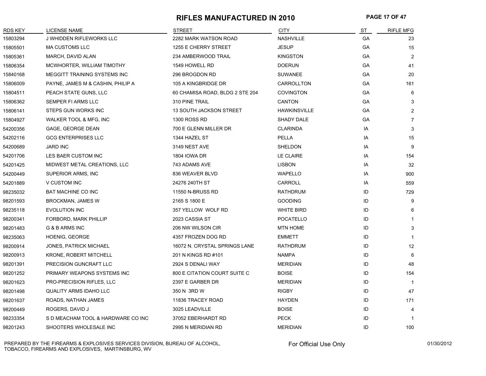#### **RIFLES MANUFACTURED IN 2010 PAGE 17 OF 47**

| RDS KEY  | LICENSE NAME                       | <b>STREET</b>                   | <b>CITY</b>         | ST        | <b>RIFLE MFG</b> |
|----------|------------------------------------|---------------------------------|---------------------|-----------|------------------|
| 15803294 | J WHIDDEN RIFLEWORKS LLC           | 2282 MARK WATSON ROAD           | <b>NASHVILLE</b>    | GA        | 23               |
| 15805501 | <b>MA CUSTOMS LLC</b>              | 1255 E CHERRY STREET            | <b>JESUP</b>        | GA        | 15               |
| 15805361 | MARCH, DAVID ALAN                  | 234 AMBERWOOD TRAIL             | <b>KINGSTON</b>     | GA        | $\overline{2}$   |
| 15806354 | MCWHORTER, WILLIAM TIMOTHY         | 1549 HOWELL RD                  | <b>DOERUN</b>       | GA        | 41               |
| 15840168 | MEGGITT TRAINING SYSTEMS INC       | 296 BROGDON RD                  | <b>SUWANEE</b>      | GA        | 20               |
| 15806009 | PAYNE, JAMES M & CASHIN, PHILIP A  | 105 A KINGBRIDGE DR             | CARROLLTON          | <b>GA</b> | 161              |
| 15804511 | PEACH STATE GUNS, LLC              | 60 CHAMISA ROAD, BLDG 2 STE 204 | <b>COVINGTON</b>    | GA        | 6                |
| 15806362 | SEMPER FI ARMS LLC                 | 310 PINE TRAIL                  | <b>CANTON</b>       | GA        | 3                |
| 15806141 | STEPS GUN WORKS INC                | 13 SOUTH JACKSON STREET         | <b>HAWKINSVILLE</b> | GА        | $\overline{2}$   |
| 15804927 | WALKER TOOL & MFG, INC             | 1300 ROSS RD                    | SHADY DALE          | GА        | $\overline{7}$   |
| 54200356 | GAGE, GEORGE DEAN                  | 700 E GLENN MILLER DR           | <b>CLARINDA</b>     | IA        | 3                |
| 54202116 | <b>GCG ENTERPRISES LLC</b>         | 1344 HAZEL ST                   | PELLA               | IA        | 15               |
| 54200689 | <b>JARD INC</b>                    | 3149 NEST AVE                   | SHELDON             | IA        | 9                |
| 54201706 | LES BAER CUSTOM INC                | 1804 IOWA DR                    | LE CLAIRE           | IA        | 154              |
| 54201425 | MIDWEST METAL CREATIONS, LLC       | 743 ADAMS AVE                   | <b>LISBON</b>       | IA        | 32               |
| 54200449 | SUPERIOR ARMS, INC                 | 836 WEAVER BLVD                 | <b>WAPELLO</b>      | IA        | 900              |
| 54201889 | V CUSTOM INC                       | 24276 240TH ST                  | CARROLL             | IA        | 559              |
| 98235032 | <b>BAT MACHINE CO INC</b>          | 11550 N-BRUSS RD                | RATHDRUM            | ID        | 729              |
| 98201593 | <b>BROCKMAN, JAMES W</b>           | 2165 S 1800 E                   | <b>GOODING</b>      | ID        | 9                |
| 98235118 | <b>EVOLUTION INC</b>               | 357 YELLOW WOLF RD              | <b>WHITE BIRD</b>   | ID        | 6                |
| 98200341 | FORBORD, MARK PHILLIP              | 2023 CASSIA ST                  | <b>POCATELLO</b>    | ID        | $\mathbf{1}$     |
| 98201483 | G & B ARMS INC                     | 206 NW WILSON CIR               | <b>MTN HOME</b>     | ID        | 3                |
| 98235063 | <b>HOENIG, GEORGE</b>              | 4357 FROZEN DOG RD              | <b>EMMETT</b>       | ID        | $\mathbf{1}$     |
| 98200914 | <b>JONES, PATRICK MICHAEL</b>      | 16072 N. CRYSTAL SPRINGS LANE   | RATHDRUM            | ID        | 12               |
| 98200913 | <b>KRONE, ROBERT MITCHELL</b>      | 201 N KINGS RD #101             | <b>NAMPA</b>        | ID        | 6                |
| 98201391 | PRECISION GUNCRAFT LLC             | 2924 S DENALI WAY               | <b>MERIDIAN</b>     | ID        | 48               |
| 98201252 | PRIMARY WEAPONS SYSTEMS INC        | 800 E CITATION COURT SUITE C    | <b>BOISE</b>        | ID        | 154              |
| 98201623 | PRO-PRECISION RIFLES, LLC          | 2397 E GARBER DR                | <b>MERIDIAN</b>     | ID        |                  |
| 98201498 | <b>QUALITY ARMS IDAHO LLC</b>      | 350 N 3RD W                     | <b>RIGBY</b>        | ID        | 47               |
| 98201637 | ROADS, NATHAN JAMES                | 11836 TRACEY ROAD               | <b>HAYDEN</b>       | ID        | 171              |
| 98200449 | ROGERS, DAVID J                    | 3025 LEADVILLE                  | <b>BOISE</b>        | ID        | 4                |
| 98233354 | S D MEACHAM TOOL & HARDWARE CO INC | 37052 EBERHARDT RD              | <b>PECK</b>         | ID        | $\overline{1}$   |
| 98201243 | SHOOTERS WHOLESALE INC             | 2995 N MERIDIAN RD              | <b>MERIDIAN</b>     | ID        | 100              |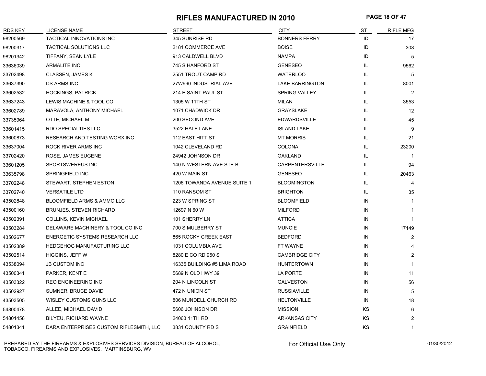#### **RIFLES MANUFACTURED IN 2010 PAGE 18 OF 47**

| RDS KEY  | LICENSE NAME                            | <b>STREET</b>               | <b>CITY</b>            | <u>ST</u> | <b>RIFLE MFG</b> |
|----------|-----------------------------------------|-----------------------------|------------------------|-----------|------------------|
| 98200569 | TACTICAL INNOVATIONS INC                | 345 SUNRISE RD              | <b>BONNERS FERRY</b>   | ID        | 17               |
| 98200317 | TACTICAL SOLUTIONS LLC                  | 2181 COMMERCE AVE           | <b>BOISE</b>           | ID        | 308              |
| 98201342 | TIFFANY, SEAN LYLE                      | 913 CALDWELL BLVD           | <b>NAMPA</b>           | ID        | 5                |
| 33636039 | <b>ARMALITE INC</b>                     | 745 S HANFORD ST            | <b>GENESEO</b>         | IL.       | 9562             |
| 33702498 | CLASSEN, JAMES K                        | 2551 TROUT CAMP RD          | <b>WATERLOO</b>        | IL.       | 5                |
| 33637390 | <b>DS ARMS INC</b>                      | 27W990 INDUSTRIAL AVE       | <b>LAKE BARRINGTON</b> | IL        | 8001             |
| 33602532 | <b>HOCKINGS, PATRICK</b>                | 214 E SAINT PAUL ST         | <b>SPRING VALLEY</b>   | IL        | 2                |
| 33637243 | LEWIS MACHINE & TOOL CO                 | 1305 W 11TH ST              | <b>MILAN</b>           | IL        | 3553             |
| 33602789 | MARAVOLA, ANTHONY MICHAEL               | 1071 CHADWICK DR            | <b>GRAYSLAKE</b>       | IL        | 12               |
| 33735964 | OTTE, MICHAEL M                         | 200 SECOND AVE              | <b>EDWARDSVILLE</b>    | IL.       | 45               |
| 33601415 | RDO SPECIALTIES LLC                     | 3522 HALE LANE              | <b>ISLAND LAKE</b>     | IL        | 9                |
| 33600873 | RESEARCH AND TESTING WORX INC           | 112 EAST HITT ST            | <b>MT MORRIS</b>       | IL.       | 21               |
| 33637004 | ROCK RIVER ARMS INC                     | 1042 CLEVELAND RD           | <b>COLONA</b>          | IL.       | 23200            |
| 33702420 | ROSE, JAMES EUGENE                      | 24942 JOHNSON DR            | <b>OAKLAND</b>         | IL.       |                  |
| 33601205 | SPORTSWEREUS INC                        | 140 N WESTERN AVE STE B     | CARPENTERSVILLE        | IL        | 94               |
| 33635798 | SPRINGFIELD INC                         | 420 W MAIN ST               | <b>GENESEO</b>         | IL        | 20463            |
| 33702248 | STEWART, STEPHEN ESTON                  | 1206 TOWANDA AVENUE SUITE 1 | <b>BLOOMINGTON</b>     | IL        | 4                |
| 33702740 | <b>VERSATILE LTD</b>                    | 110 RANSOM ST               | <b>BRIGHTON</b>        | IL        | 35               |
| 43502848 | <b>BLOOMFIELD ARMS &amp; AMMO LLC</b>   | 223 W SPRING ST             | <b>BLOOMFIELD</b>      | IN        | -1               |
| 43500160 | <b>BRUNJES, STEVEN RICHARD</b>          | 12697 N 60 W                | <b>MILFORD</b>         | IN        | -1               |
| 43502391 | COLLINS, KEVIN MICHAEL                  | 101 SHERRY LN               | <b>ATTICA</b>          | IN        |                  |
| 43503284 | DELAWARE MACHINERY & TOOL CO INC        | 700 S MULBERRY ST           | <b>MUNCIE</b>          | IN        | 17149            |
| 43502677 | ENERGETIC SYSTEMS RESEARCH LLC          | 865 ROCKY CREEK EAST        | <b>BEDFORD</b>         | IN        | $\overline{2}$   |
| 43502389 | <b>HEDGEHOG MANUFACTURING LLC</b>       | 1031 COLUMBIA AVE           | FT WAYNE               | IN        | 4                |
| 43502514 | HIGGINS, JEFF W                         | 8280 E CO RD 950 S          | <b>CAMBRIDGE CITY</b>  | IN        | 2                |
| 43538094 | <b>JB CUSTOM INC</b>                    | 16335 BUILDING #5 LIMA ROAD | <b>HUNTERTOWN</b>      | IN        | $\mathbf 1$      |
| 43500341 | PARKER, KENT E                          | 5689 N OLD HWY 39           | LA PORTE               | IN        | 11               |
| 43503322 | REO ENGINEERING INC                     | 204 N LINCOLN ST            | <b>GALVESTON</b>       | IN        | 56               |
| 43502927 | SUMNER, BRUCE DAVID                     | 472 N UNION ST              | <b>RUSSIAVILLE</b>     | IN        | 5                |
| 43503505 | WISLEY CUSTOMS GUNS LLC                 | 806 MUNDELL CHURCH RD       | <b>HELTONVILLE</b>     | IN        | 18               |
| 54800478 | ALLEE, MICHAEL DAVID                    | 5606 JOHNSON DR             | <b>MISSION</b>         | KS        | 6                |
| 54801458 | BILYEU, RICHARD WAYNE                   | 24063 11TH RD               | <b>ARKANSAS CITY</b>   | <b>KS</b> | $\overline{2}$   |
| 54801341 | DARA ENTERPRISES CUSTOM RIFLESMITH, LLC | 3831 COUNTY RD S            | <b>GRAINFIELD</b>      | <b>KS</b> | $\mathbf{1}$     |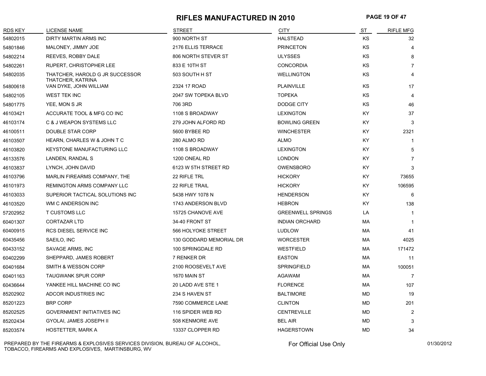#### **RIFLES MANUFACTURED IN 2010 PAGE 19 OF 47**

| <b>RDS KEY</b> | <b>LICENSE NAME</b>                                  | <b>STREET</b>           | <b>CITY</b>              | ST        | <b>RIFLE MFG</b> |
|----------------|------------------------------------------------------|-------------------------|--------------------------|-----------|------------------|
| 54802015       | DIRTY MARTIN ARMS INC                                | 900 NORTH ST            | <b>HALSTEAD</b>          | ΚS        | 32               |
| 54801846       | MALONEY, JIMMY JOE                                   | 2176 ELLIS TERRACE      | <b>PRINCETON</b>         | ΚS        | 4                |
| 54802214       | REEVES, ROBBY DALE                                   | 806 NORTH STEVER ST     | <b>ULYSSES</b>           | KS        | 8                |
| 54802261       | RUPERT, CHRISTOPHER LEE                              | 833 E 10TH ST           | <b>CONCORDIA</b>         | KS        | $\overline{7}$   |
| 54802035       | THATCHER, HAROLD G JR SUCCESSOR<br>THATCHER, KATRINA | 503 SOUTH H ST          | <b>WELLINGTON</b>        | KS        | 4                |
| 54800618       | VAN DYKE, JOHN WILLIAM                               | 2324 17 ROAD            | PLAINVILLE               | KS        | 17               |
| 54802105       | <b>WEST TEK INC</b>                                  | 2047 SW TOPEKA BLVD     | <b>TOPEKA</b>            | KS        | 4                |
| 54801775       | YEE, MON S JR                                        | 706 3RD                 | DODGE CITY               | <b>KS</b> | 46               |
| 46103421       | ACCURATE TOOL & MFG CO INC                           | 1108 S BROADWAY         | <b>LEXINGTON</b>         | KY        | 37               |
| 46103174       | C & J WEAPON SYSTEMS LLC                             | 279 JOHN ALFORD RD      | <b>BOWLING GREEN</b>     | KY        | 3                |
| 46100511       | DOUBLE STAR CORP                                     | 5600 BYBEE RD           | <b>WINCHESTER</b>        | ΚY        | 2321             |
| 46103507       | HEARN, CHARLES W & JOHN T C                          | 280 ALMO RD             | ALMO                     | KY        | $\mathbf{1}$     |
| 46103820       | <b>KEYSTONE MANUFACTURING LLC</b>                    | 1108 S BROADWAY         | <b>LEXINGTON</b>         | ΚY        | 5                |
| 46133576       | LANDEN, RANDAL S                                     | 1200 ONEAL RD           | <b>LONDON</b>            | ΚY        | $\overline{7}$   |
| 46103837       | LYNCH, JOHN DAVID                                    | 6123 W 5TH STREET RD    | OWENSBORO                | KY        | 3                |
| 46103796       | MARLIN FIREARMS COMPANY, THE                         | 22 RIFLE TRL            | <b>HICKORY</b>           | KY.       | 73655            |
| 46101973       | REMINGTON ARMS COMPANY LLC                           | <b>22 RIFLE TRAIL</b>   | <b>HICKORY</b>           | KY        | 106595           |
| 46103033       | SUPERIOR TACTICAL SOLUTIONS INC                      | 5438 HWY 1078 N         | <b>HENDERSON</b>         | KY.       | 6                |
| 46103520       | WM C ANDERSON INC                                    | 1743 ANDERSON BLVD      | <b>HEBRON</b>            | KY.       | 138              |
| 57202952       | <b>T CUSTOMS LLC</b>                                 | 15725 CHANOVE AVE       | <b>GREENWELL SPRINGS</b> | LA        | $\mathbf{1}$     |
| 60401307       | <b>CORTAZAR LTD</b>                                  | 34-40 FRONT ST          | <b>INDIAN ORCHARD</b>    | MA        | $\mathbf 1$      |
| 60400915       | RCS DIESEL SERVICE INC                               | 566 HOLYOKE STREET      | <b>LUDLOW</b>            | MA        | 41               |
| 60435456       | SAEILO, INC                                          | 130 GODDARD MEMORIAL DR | <b>WORCESTER</b>         | МA        | 4025             |
| 60433152       | SAVAGE ARMS, INC                                     | 100 SPRINGDALE RD       | <b>WESTFIELD</b>         | МA        | 171472           |
| 60402299       | SHEPPARD, JAMES ROBERT                               | 7 RENKER DR             | <b>EASTON</b>            | МA        | 11               |
| 60401684       | SMITH & WESSON CORP                                  | 2100 ROOSEVELT AVE      | <b>SPRINGFIELD</b>       | МA        | 100051           |
| 60401163       | <b>TAUGWANK SPUR CORP</b>                            | 1670 MAIN ST            | AGAWAM                   | МA        | 7                |
| 60436644       | YANKEE HILL MACHINE CO INC                           | 20 LADD AVE STE 1       | <b>FLORENCE</b>          | МA        | 107              |
| 85202902       | ADCOR INDUSTRIES INC                                 | 234 S HAVEN ST          | <b>BALTIMORE</b>         | <b>MD</b> | 19               |
| 85201223       | <b>BRP CORP</b>                                      | 7590 COMMERCE LANE      | <b>CLINTON</b>           | <b>MD</b> | 201              |
| 85202525       | GOVERNMENT INITIATIVES INC                           | 116 SPIDER WEB RD       | <b>CENTREVILLE</b>       | <b>MD</b> | $\overline{2}$   |
| 85202434       | GYOLAI, JAMES JOSEPH II                              | 508 KENMORE AVE         | <b>BEL AIR</b>           | <b>MD</b> | 3                |
| 85203574       | <b>HOSTETTER, MARK A</b>                             | 13337 CLOPPER RD        | <b>HAGERSTOWN</b>        | <b>MD</b> | 34               |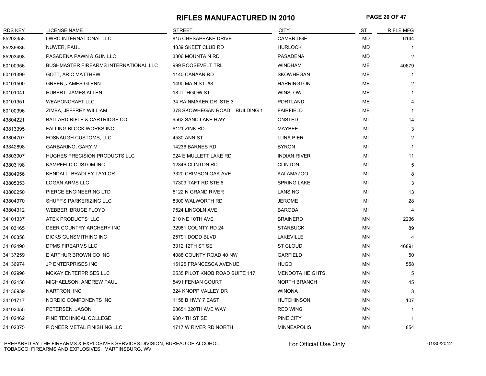#### **RIFLES MANUFACTURED IN 2010 PAGE 20 OF 47**

| <b>RDS KEY</b> | LICENSE NAME                                 | <b>STREET</b>                  | <b>CITY</b>            | ST        | <b>RIFLE MFG</b> |
|----------------|----------------------------------------------|--------------------------------|------------------------|-----------|------------------|
| 85202358       | LWRC INTERNATIONAL LLC                       | 815 CHESAPEAKE DRIVE           | <b>CAMBRIDGE</b>       | <b>MD</b> | 6144             |
| 85236636       | NUWER, PAUL                                  | 4839 SKEET CLUB RD             | <b>HURLOCK</b>         | MD        |                  |
| 85203498       | PASADENA PAWN & GUN LLC                      | 3306 MOUNTAIN RD               | <b>PASADENA</b>        | <b>MD</b> | $\overline{2}$   |
| 60100956       | <b>BUSHMASTER FIREARMS INTERNATIONAL LLC</b> | 999 ROOSEVELT TRL              | <b>WINDHAM</b>         | ME        | 40679            |
| 60101399       | <b>GOTT, ARIC MATTHEW</b>                    | 1140 CANAAN RD                 | <b>SKOWHEGAN</b>       | ME        | 1                |
| 60101500       | <b>GREEN, JAMES GLENN</b>                    | 1490 MAIN ST. #8               | <b>HARRINGTON</b>      | ME        | $\overline{2}$   |
| 60101041       | <b>HUBERT, JAMES ALLEN</b>                   | 18 LITHGOW ST                  | <b>WINSLOW</b>         | ME        | 1                |
| 60101351       | <b>WEAPONCRAFT LLC</b>                       | 34 RAINMAKER DR STE 3          | <b>PORTLAND</b>        | ME        | 4                |
| 60100396       | ZIMBA, JEFFREY WILLIAM                       | 378 SKOWHEGAN ROAD BUILDING 1  | <b>FAIRFIELD</b>       | МE        | 1                |
| 43804221       | BALLARD RIFLE & CARTRIDGE CO                 | 9562 SAND LAKE HWY             | <b>ONSTED</b>          | ΜI        | 14               |
| 43813395       | FALLING BLOCK WORKS INC                      | 6121 ZINK RD                   | <b>MAYBEE</b>          | MI        | 3                |
| 43804707       | FOSNAUGH CUSTOMS, LLC                        | 4530 ANN ST                    | <b>LUNA PIER</b>       | MI        | $\overline{2}$   |
| 43842898       | <b>GARBARINO, GARY M</b>                     | 14236 BARNES RD                | <b>BYRON</b>           | MI        | 1                |
| 43803907       | HUGHES PRECISION PRODUCTS LLC                | 924 E MULLETT LAKE RD          | <b>INDIAN RIVER</b>    | MI        | 11               |
| 43803198       | KAMPFELD CUSTOM INC                          | 12846 CLINTON RD               | <b>CLINTON</b>         | MI        | 5                |
| 43804956       | KENDALL, BRADLEY TAYLOR                      | 3320 CRIMSON OAK AVE           | <b>KALAMAZOO</b>       | MI        | 8                |
| 43805353       | <b>LOGAN ARMS LLC</b>                        | 17309 TAFT RD STE 6            | <b>SPRING LAKE</b>     | MI        | 3                |
| 43800250       | PIERCE ENGINEERING LTD                       | 5122 N GRAND RIVER             | LANSING                | MI        | 13               |
| 43804970       | SHUFF'S PARKERIZING LLC                      | 8300 WALWORTH RD               | <b>JEROME</b>          | MI        | 28               |
| 43804312       | WEBBER, BRUCE FLOYD                          | 7524 LINCOLN AVE               | <b>BARODA</b>          | MI        | 4                |
| 34101337       | ATEK PRODUCTS LLC                            | 210 NE 10TH AVE                | <b>BRAINERD</b>        | <b>MN</b> | 2236             |
| 34103165       | DEER COUNTRY ARCHERY INC                     | 32981 COUNTY RD 24             | <b>STARBUCK</b>        | <b>MN</b> | 89               |
| 34100358       | DICKS GUNSMITHING INC                        | 25791 DODD BLVD                | LAKEVILLE              | MN        | 4                |
| 34102490       | <b>DPMS FIREARMS LLC</b>                     | 3312 12TH ST SE                | <b>ST CLOUD</b>        | <b>MN</b> | 46891            |
| 34137259       | E ARTHUR BROWN CO INC                        | 4088 COUNTY ROAD 40 NW         | <b>GARFIELD</b>        | <b>MN</b> | 50               |
| 34136974       | JP ENTERPRISES INC                           | 15125 FRANCESCA AVENUE         | <b>HUGO</b>            | MN        | 558              |
| 34102996       | MCKAY ENTERPRISES LLC                        | 2535 PILOT KNOB ROAD SUITE 117 | <b>MENDOTA HEIGHTS</b> | ΜN        | 5                |
| 34102156       | MICHAELSON, ANDREW PAUL                      | 5491 FENIAN COURT              | <b>NORTH BRANCH</b>    | MN        | 45               |
| 34136939       | NARTRON, INC                                 | 324 KNOPP VALLEY DR            | <b>WINONA</b>          | MN        | 3                |
| 34101717       | NORDIC COMPONENTS INC                        | 1158 B HWY 7 EAST              | <b>HUTCHINSON</b>      | <b>MN</b> | 107              |
| 34102055       | PETERSEN, JASON                              | 28651 320TH AVE WAY            | <b>RED WING</b>        | <b>MN</b> | -1               |
| 34102462       | PINE TECHNICAL COLLEGE                       | 900 4TH ST SE                  | PINE CITY              | <b>MN</b> | $\mathbf{1}$     |
| 34102375       | PIONEER METAL FINISHING LLC                  | 1717 W RIVER RD NORTH          | <b>MINNEAPOLIS</b>     | MN        | 854              |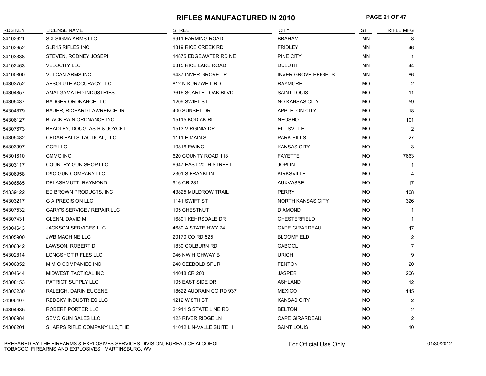### **RIFLES MANUFACTURED IN 2010 PAGE 21 OF 47**

| <b>RDS KEY</b> | <b>LICENSE NAME</b>                | <b>STREET</b>           | <b>CITY</b>                | ST        | <b>RIFLE MFG</b> |
|----------------|------------------------------------|-------------------------|----------------------------|-----------|------------------|
| 34102621       | <b>SIX SIGMA ARMS LLC</b>          | 9911 FARMING ROAD       | <b>BRAHAM</b>              | MN        | 8                |
| 34102652       | SLR15 RIFLES INC                   | 1319 RICE CREEK RD      | <b>FRIDLEY</b>             | <b>MN</b> | 46               |
| 34103338       | STEVEN, RODNEY JOSEPH              | 14875 EDGEWATER RD NE   | PINE CITY                  | MN        | $\mathbf{1}$     |
| 34102463       | <b>VELOCITY LLC</b>                | 6315 RICE LAKE ROAD     | <b>DULUTH</b>              | MN        | 44               |
| 34100800       | <b>VULCAN ARMS INC</b>             | 9487 INVER GROVE TR     | <b>INVER GROVE HEIGHTS</b> | MN        | 86               |
| 54303752       | ABSOLUTE ACCURACY LLC              | 812 N KURZWEIL RD       | <b>RAYMORE</b>             | <b>MO</b> | $\overline{2}$   |
| 54304857       | AMALGAMATED INDUSTRIES             | 3616 SCARLET OAK BLVD   | <b>SAINT LOUIS</b>         | <b>MO</b> | 11               |
| 54305437       | <b>BADGER ORDNANCE LLC</b>         | 1209 SWIFT ST           | <b>NO KANSAS CITY</b>      | MO        | 59               |
| 54304879       | <b>BAUER, RICHARD LAWRENCE JR</b>  | 400 SUNSET DR           | <b>APPLETON CITY</b>       | MO.       | 18               |
| 54306127       | BLACK RAIN ORDNANCE INC            | 15115 KODIAK RD         | <b>NEOSHO</b>              | <b>MO</b> | 101              |
| 54307673       | BRADLEY, DOUGLAS H & JOYCE L       | 1513 VIRGINIA DR        | <b>ELLISVILLE</b>          | <b>MO</b> | $\overline{2}$   |
| 54305482       | CEDAR FALLS TACTICAL, LLC          | <b>1111 E MAIN ST</b>   | <b>PARK HILLS</b>          | <b>MO</b> | 27               |
| 54303997       | CGR LLC                            | <b>10816 EWING</b>      | <b>KANSAS CITY</b>         | <b>MO</b> | 3                |
| 54301610       | <b>CMMG INC</b>                    | 620 COUNTY ROAD 118     | <b>FAYETTE</b>             | MO        | 7663             |
| 54303117       | COUNTRY GUN SHOP LLC               | 6947 EAST 20TH STREET   | <b>JOPLIN</b>              | MO        | $\mathbf{1}$     |
| 54306958       | D&C GUN COMPANY LLC                | 2301 S FRANKLIN         | <b>KIRKSVILLE</b>          | <b>MO</b> | 4                |
| 54306585       | DELASHMUTT, RAYMOND                | 916 CR 281              | <b>AUXVASSE</b>            | <b>MO</b> | 17               |
| 54339122       | ED BROWN PRODUCTS, INC             | 43825 MULDROW TRAIL     | <b>PERRY</b>               | <b>MO</b> | 108              |
| 54303217       | <b>G A PRECISION LLC</b>           | 1141 SWIFT ST           | <b>NORTH KANSAS CITY</b>   | <b>MO</b> | 326              |
| 54307532       | <b>GARY'S SERVICE / REPAIR LLC</b> | 105 CHESTNUT            | <b>DIAMOND</b>             | <b>MO</b> | 1                |
| 54307431       | GLENN, DAVID M                     | 16801 KEHRSDALE DR      | <b>CHESTERFIELD</b>        | <b>MO</b> | $\mathbf{1}$     |
| 54304643       | <b>JACKSON SERVICES LLC</b>        | 4680 A STATE HWY 74     | <b>CAPE GIRARDEAU</b>      | <b>MO</b> | 47               |
| 54305900       | <b>JWB MACHINE LLC</b>             | 20170 CO RD 525         | <b>BLOOMFIELD</b>          | <b>MO</b> | 2                |
| 54306842       | LAWSON, ROBERT D                   | 1830 COLBURN RD         | <b>CABOOL</b>              | MO        | $\overline{7}$   |
| 54302814       | LONGSHOT RIFLES LLC                | 946 NW HIGHWAY B        | <b>URICH</b>               | MO        | 9                |
| 54306352       | M M O COMPANIES INC                | 240 SEEBOLD SPUR        | <b>FENTON</b>              | <b>MO</b> | 20               |
| 54304644       | MIDWEST TACTICAL INC               | 14048 CR 200            | <b>JASPER</b>              | <b>MO</b> | 206              |
| 54308153       | PATRIOT SUPPLY LLC                 | 105 EAST SIDE DR        | <b>ASHLAND</b>             | МO        | 12               |
| 54303230       | RALEIGH, DARIN EUGENE              | 18622 AUDRAIN CO RD 937 | <b>MEXICO</b>              | MO.       | 145              |
| 54306407       | <b>REDSKY INDUSTRIES LLC</b>       | 1212 W 8TH ST           | <b>KANSAS CITY</b>         | <b>MO</b> | $\overline{2}$   |
| 54304635       | ROBERT PORTER LLC                  | 21911 S STATE LINE RD   | <b>BELTON</b>              | <b>MO</b> | 2                |
| 54306984       | <b>SEMO GUN SALES LLC</b>          | 125 RIVER RIDGE LN      | <b>CAPE GIRARDEAU</b>      | <b>MO</b> | $\overline{2}$   |
| 54306201       | SHARPS RIFLE COMPANY LLC, THE      | 11012 LIN-VALLE SUITE H | <b>SAINT LOUIS</b>         | <b>MO</b> | 10               |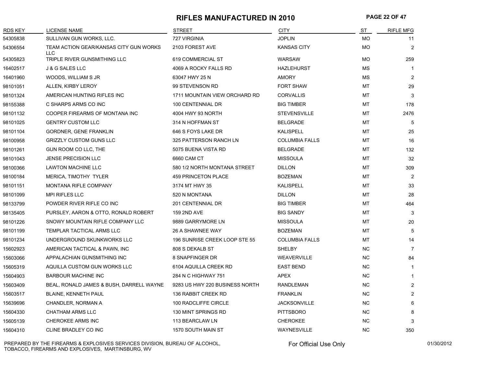#### **RIFLES MANUFACTURED IN 2010 PAGE 22 OF 47**

| <b>RDS KEY</b> | <b>LICENSE NAME</b>                                  | <b>STREET</b>                  | <b>CITY</b>           | ST        | <b>RIFLE MFG</b> |
|----------------|------------------------------------------------------|--------------------------------|-----------------------|-----------|------------------|
| 54305838       | SULLIVAN GUN WORKS, LLC.                             | 727 VIRGINIA                   | <b>JOPLIN</b>         | <b>MO</b> | 11               |
| 54306554       | TEAM ACTION GEAR/KANSAS CITY GUN WORKS<br><b>LLC</b> | 2103 FOREST AVE                | <b>KANSAS CITY</b>    | MO        | 2                |
| 54305823       | TRIPLE RIVER GUNSMITHING LLC                         | 619 COMMERCIAL ST              | <b>WARSAW</b>         | <b>MO</b> | 259              |
| 16402517       | <b>J &amp; G SALES LLC</b>                           | 4069 A ROCKY FALLS RD          | <b>HAZLEHURST</b>     | <b>MS</b> | $\mathbf{1}$     |
| 16401960       | WOODS, WILLIAM S JR                                  | 63047 HWY 25 N                 | <b>AMORY</b>          | <b>MS</b> | 2                |
| 98101051       | ALLEN, KIRBY LEROY                                   | 99 STEVENSON RD                | <b>FORT SHAW</b>      | MT        | 29               |
| 98101324       | AMERICAN HUNTING RIFLES INC                          | 1711 MOUNTAIN VIEW ORCHARD RD  | <b>CORVALLIS</b>      | MT        | 3                |
| 98155388       | C SHARPS ARMS CO INC                                 | 100 CENTENNIAL DR              | <b>BIG TIMBER</b>     | MT        | 178              |
| 98101132       | COOPER FIREARMS OF MONTANA INC                       | 4004 HWY 93 NORTH              | <b>STEVENSVILLE</b>   | МT        | 2476             |
| 98101025       | <b>GENTRY CUSTOM LLC</b>                             | 314 N HOFFMAN ST               | <b>BELGRADE</b>       | МT        | 5                |
| 98101104       | <b>GORDNER, GENE FRANKLIN</b>                        | 646 S FOYS LAKE DR             | <b>KALISPELL</b>      | МT        | 25               |
| 98100958       | <b>GRIZZLY CUSTOM GUNS LLC</b>                       | 325 PATTERSON RANCH LN         | <b>COLUMBIA FALLS</b> | МT        | 16               |
| 98101261       | GUN ROOM CO LLC, THE                                 | 5075 BUENA VISTA RD            | <b>BELGRADE</b>       | МT        | 132              |
| 98101043       | <b>JENSE PRECISION LLC</b>                           | 6660 CAM CT                    | <b>MISSOULA</b>       | МT        | 32               |
| 98100366       | <b>LAWTON MACHINE LLC</b>                            | 580 1/2 NORTH MONTANA STREET   | <b>DILLON</b>         | MT        | 309              |
| 98100184       | MERICA, TIMOTHY TYLER                                | <b>459 PRINCETON PLACE</b>     | <b>BOZEMAN</b>        | MT        | $\overline{2}$   |
| 98101151       | <b>MONTANA RIFLE COMPANY</b>                         | 3174 MT HWY 35                 | <b>KALISPELL</b>      | MT        | 33               |
| 98101099       | <b>MPI RIFLES LLC</b>                                | 520 N MONTANA                  | <b>DILLON</b>         | MT        | 28               |
| 98133799       | POWDER RIVER RIFLE CO INC                            | 201 CENTENNIAL DR              | <b>BIG TIMBER</b>     | <b>MT</b> | 464              |
| 98135405       | PURSLEY, AARON & OTTO, RONALD ROBERT                 | <b>159 2ND AVE</b>             | <b>BIG SANDY</b>      | <b>MT</b> | 3                |
| 98101226       | SNOWY MOUNTAIN RIFLE COMPANY LLC                     | 9889 GARRYMORE LN              | <b>MISSOULA</b>       | <b>MT</b> | 20               |
| 98101199       | TEMPLAR TACTICAL ARMS LLC                            | 26 A SHAWNEE WAY               | <b>BOZEMAN</b>        | MT        | 5                |
| 98101234       | UNDERGROUND SKUNKWORKS LLC                           | 196 SUNRISE CREEK LOOP STE 55  | <b>COLUMBIA FALLS</b> | МT        | 14               |
| 15602923       | AMERICAN TACTICAL & PAWN, INC                        | 808 S DEKALB ST                | SHELBY                | NC.       | $\overline{7}$   |
| 15603066       | APPALACHIAN GUNSMITHING INC                          | 8 SNAPFINGER DR                | <b>WEAVERVILLE</b>    | <b>NC</b> | 84               |
| 15605319       | AQUILLA CUSTOM GUN WORKS LLC                         | 6104 AQUILLA CREEK RD          | <b>EAST BEND</b>      | <b>NC</b> | $\mathbf{1}$     |
| 15604903       | <b>BARBOUR MACHINE INC</b>                           | 284 N C HIGHWAY 751            | APEX                  | <b>NC</b> | $\mathbf{1}$     |
| 15603409       | BEAL, RONALD JAMES & BUSH, DARRELL WAYNE             | 9283 US HWY 220 BUSINESS NORTH | <b>RANDLEMAN</b>      | <b>NC</b> | 2                |
| 15603517       | <b>BLAINE, KENNETH PAUL</b>                          | 136 RABBIT CREEK RD            | <b>FRANKLIN</b>       | <b>NC</b> | 2                |
| 15639696       | CHANDLER, NORMAN A                                   | 100 RADCLIFFE CIRCLE           | <b>JACKSONVILLE</b>   | <b>NC</b> | 6                |
| 15604330       | <b>CHATHAM ARMS LLC</b>                              | 130 MINT SPRINGS RD            | <b>PITTSBORO</b>      | <b>NC</b> | 8                |
| 15605139       | CHEROKEE ARMS INC                                    | 113 BEARCLAW LN                | <b>CHEROKEE</b>       | <b>NC</b> | 3                |
| 15604310       | CLINE BRADLEY CO INC                                 | 1570 SOUTH MAIN ST             | <b>WAYNESVILLE</b>    | <b>NC</b> | 350              |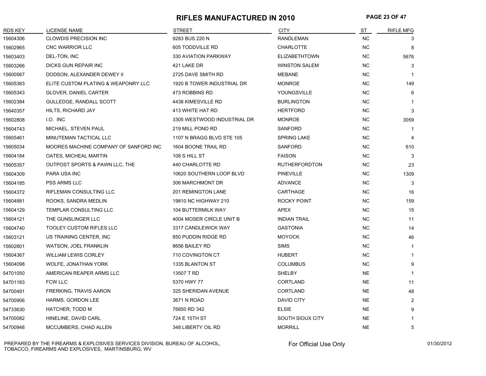#### **RIFLES MANUFACTURED IN 2010 PAGE 23 OF 47**

| RDS KEY  | LICENSE NAME                          | <b>STREET</b>               | <b>CITY</b>          | ST        | <b>RIFLE MFG</b>        |
|----------|---------------------------------------|-----------------------------|----------------------|-----------|-------------------------|
| 15604306 | <b>CLOWDIS PRECISION INC</b>          | 9283 BUS 220 N              | <b>RANDLEMAN</b>     | NC        |                         |
| 15602965 | <b>CNC WARRIOR LLC</b>                | 605 TODDVILLE RD            | <b>CHARLOTTE</b>     | NC.       | 8                       |
| 15603403 | DEL-TON, INC                          | 330 AVIATION PARKWAY        | <b>ELIZABETHTOWN</b> | <b>NC</b> | 5676                    |
| 15603266 | DICKS GUN REPAIR INC                  | 421 LAKE DR                 | <b>WINSTON SALEM</b> | <b>NC</b> | 3                       |
| 15600567 | DODSON, ALEXANDER DEWEY II            | 2725 DAVE SMITH RD          | <b>MEBANE</b>        | NC.       | $\mathbf{1}$            |
| 15605383 | ELITE CUSTOM PLATING & WEAPONRY LLC   | 1920 B TOWER INDUSTRIAL DR  | <b>MONROE</b>        | NC        | 149                     |
| 15605343 | <b>GLOVER, DANIEL CARTER</b>          | 473 ROBBINS RD              | YOUNGSVILLE          | NC        | 6                       |
| 15602384 | GULLEDGE, RANDALL SCOTT               | 4438 KIMESVILLE RD          | <b>BURLINGTON</b>    | NC.       |                         |
| 15640357 | HILTS, RICHARD JAY                    | 413 WHITE HAT RD            | <b>HERTFORD</b>      | <b>NC</b> | 3                       |
| 15602808 | I.O. INC                              | 3305 WESTWOOD INDUSTRIAL DR | <b>MONROE</b>        | NC.       | 3059                    |
| 15604743 | MICHAEL, STEVEN PAUL                  | 219 MILL POND RD            | SANFORD              | NC.       |                         |
| 15605461 | MINUTEMAN TACTICAL LLC                | 1107 N BRAGG BLVD STE 105   | <b>SPRING LAKE</b>   | NC.       | $\overline{\mathbf{4}}$ |
| 15605034 | MOORES MACHINE COMPANY OF SANFORD INC | 1604 BOONE TRAIL RD         | <b>SANFORD</b>       | <b>NC</b> | 610                     |
| 15604184 | OATES, MICHEAL MARTIN                 | 108 S HILL ST               | <b>FAISON</b>        | NC.       | 3                       |
| 15605357 | OUTPOST SPORTS & PAWN LLC, THE        | 440 CHARLOTTE RD            | <b>RUTHERFORDTON</b> | <b>NC</b> | 23                      |
| 15604309 | PARA USA INC                          | 10620 SOUTHERN LOOP BLVD    | <b>PINEVILLE</b>     | <b>NC</b> | 1309                    |
| 15604185 | <b>PSS ARMS LLC</b>                   | 306 MARCHMONT DR            | <b>ADVANCE</b>       | NC.       | 3                       |
| 15604372 | RIFLEMAN CONSULTING LLC               | 201 REMINGTON LANE          | CARTHAGE             | <b>NC</b> | 16                      |
| 15604881 | ROOKS, SANDRA MEDLIN                  | 19810 NC HIGHWAY 210        | ROCKY POINT          | NC.       | 159                     |
| 15604129 | TEMPLAR CONSULTING LLC                | <b>104 BUTTERMILK WAY</b>   | <b>APEX</b>          | NC.       | 15                      |
| 15604121 | THE GUNSLINGER LLC                    | 4004 MOSER CIRCLE UNIT B    | <b>INDIAN TRAIL</b>  | NC.       | 11                      |
| 15604740 | <b>TOOLEY CUSTOM RIFLES LLC</b>       | 3317 CANDLEWICK WAY         | <b>GASTONIA</b>      | <b>NC</b> | 14                      |
| 15603121 | US TRAINING CENTER, INC.              | 850 PUDDIN RIDGE RD         | <b>MOYOCK</b>        | NC.       | 46                      |
| 15602801 | <b>WATSON, JOEL FRANKLIN</b>          | 8656 BAILEY RD              | <b>SIMS</b>          | NC        | $\mathbf{1}$            |
| 15604367 | <b>WILLIAM LEWIS CORLEY</b>           | 710 COVINGTON CT            | <b>HUBERT</b>        | <b>NC</b> |                         |
| 15604098 | WOLFE, JONATHAN YORK                  | 1335 BLANTON ST             | <b>COLUMBUS</b>      | NC.       | 9                       |
| 54701050 | AMERICAN REAPER ARMS LLC              | 13507 T RD                  | SHELBY               | <b>NE</b> |                         |
| 54701183 | <b>FCW LLC</b>                        | 5370 HWY 77                 | <b>CORTLAND</b>      | <b>NE</b> | 11                      |
| 54700491 | FRERKING, TRAVIS AARON                | 325 SHERIDAN AVENUE         | <b>CORTLAND</b>      | <b>NE</b> | 48                      |
| 54700906 | HARMS, GORDON LEE                     | 3671 N ROAD                 | <b>DAVID CITY</b>    | <b>NE</b> | $\overline{2}$          |
| 54733630 | HATCHER, TODD M                       | 76650 RD 342                | <b>ELSIE</b>         | <b>NE</b> | 9                       |
| 54700082 | HINELINE, DAVID CARL                  | 724 E 15TH ST               | SOUTH SIOUX CITY     | <b>NE</b> | 1                       |
| 54700948 | MCCUMBERS, CHAD ALLEN                 | 348 LIBERTY OIL RD          | <b>MORRILL</b>       | <b>NE</b> | 5                       |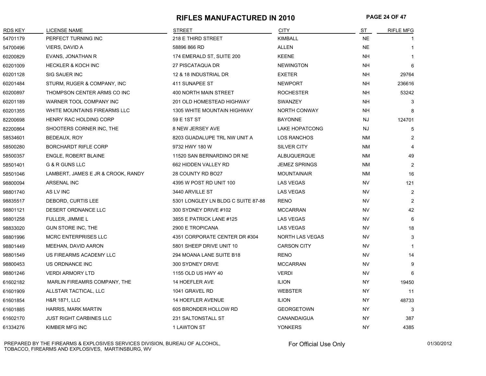#### **RIFLES MANUFACTURED IN 2010 PAGE 24 OF 47**

| <b>RDS KEY</b> | <b>LICENSE NAME</b>                | <b>STREET</b>                      | <b>CITY</b>            | <b>ST</b> | <b>RIFLE MFG</b> |
|----------------|------------------------------------|------------------------------------|------------------------|-----------|------------------|
| 54701179       | PERFECT TURNING INC                | 218 E THIRD STREET                 | <b>KIMBALL</b>         | <b>NE</b> |                  |
| 54700496       | VIERS, DAVID A                     | 58896 866 RD                       | ALLEN                  | <b>NE</b> |                  |
| 60200829       | EVANS, JONATHAN R                  | 174 EMERALD ST, SUITE 200          | <b>KEENE</b>           | <b>NH</b> |                  |
| 60201009       | <b>HECKLER &amp; KOCH INC</b>      | 27 PISCATAQUA DR                   | <b>NEWINGTON</b>       | NH        | 6                |
| 60201128       | SIG SAUER INC                      | 12 & 18 INDUSTRIAL DR              | <b>EXETER</b>          | NΗ        | 29764            |
| 60201484       | STURM, RUGER & COMPANY, INC        | 411 SUNAPEE ST                     | <b>NEWPORT</b>         | <b>NH</b> | 236616           |
| 60200897       | THOMPSON CENTER ARMS CO INC        | 400 NORTH MAIN STREET              | <b>ROCHESTER</b>       | NΗ        | 53242            |
| 60201189       | WARNER TOOL COMPANY INC            | 201 OLD HOMESTEAD HIGHWAY          | <b>SWANZEY</b>         | <b>NH</b> | 3                |
| 60201355       | WHITE MOUNTAINS FIREARMS LLC       | <b>1305 WHITE MOUNTAIN HIGHWAY</b> | <b>NORTH CONWAY</b>    | <b>NH</b> |                  |
| 82200698       | HENRY RAC HOLDING CORP             | 59 E 1ST ST                        | <b>BAYONNE</b>         | <b>NJ</b> | 124701           |
| 82200864       | SHOOTERS CORNER INC, THE           | 8 NEW JERSEY AVE                   | <b>LAKE HOPATCONG</b>  | NJ        | 5                |
| 58534601       | BEDEAUX, ROY                       | 8203 GUADALUPE TRL NW UNIT A       | LOS RANCHOS            | <b>NM</b> | $\overline{2}$   |
| 58500280       | <b>BORCHARDT RIFLE CORP</b>        | 9732 HWY 180 W                     | SILVER CITY            | <b>NM</b> | 4                |
| 58500357       | <b>ENGLE, ROBERT BLAINE</b>        | 11520 SAN BERNARDINO DR NE         | <b>ALBUQUERQUE</b>     | ΝM        | 49               |
| 58501401       | G & R GUNS LLC                     | 662 HIDDEN VALLEY RD               | <b>JEMEZ SPRINGS</b>   | <b>NM</b> | $\overline{2}$   |
| 58501046       | LAMBERT, JAMES E JR & CROOK, RANDY | 28 COUNTY RD BO27                  | <b>MOUNTAINAIR</b>     | <b>NM</b> | 16               |
| 98800094       | <b>ARSENAL INC</b>                 | 4395 W POST RD UNIT 100            | <b>LAS VEGAS</b>       | <b>NV</b> | 121              |
| 98801740       | AS LV INC                          | 3440 ARVILLE ST                    | <b>LAS VEGAS</b>       | <b>NV</b> | 2                |
| 98835517       | DEBORD, CURTIS LEE                 | 5301 LONGLEY LN BLDG C SUITE 87-88 | <b>RENO</b>            | <b>NV</b> | 2                |
| 98801121       | DESERT ORDNANCE LLC                | 300 SYDNEY DRIVE #102              | <b>MCCARRAN</b>        | <b>NV</b> | 42               |
| 98801258       | FULLER, JIMMIE L                   | 3855 E PATRICK LANE #125           | <b>LAS VEGAS</b>       | <b>NV</b> | 6                |
| 98833020       | GUN STORE INC, THE                 | 2900 E TROPICANA                   | <b>LAS VEGAS</b>       | <b>NV</b> | 18               |
| 98801996       | <b>MCRC ENTERPRISES LLC</b>        | 4351 CORPORATE CENTER DR #304      | <b>NORTH LAS VEGAS</b> | <b>NV</b> | 3                |
| 98801449       | MEEHAN, DAVID AARON                | 5801 SHEEP DRIVE UNIT 10           | <b>CARSON CITY</b>     | <b>NV</b> | 1                |
| 98801549       | US FIREARMS ACADEMY LLC            | 294 MOANA LANE SUITE B18           | <b>RENO</b>            | <b>NV</b> | 14               |
| 98800453       | US ORDNANCE INC                    | 300 SYDNEY DRIVE                   | <b>MCCARRAN</b>        | <b>NV</b> | 9                |
| 98801246       | <b>VERDI ARMORY LTD</b>            | 1155 OLD US HWY 40                 | <b>VERDI</b>           | <b>NV</b> | 6                |
| 61602182       | MARLIN FIREAMRS COMPANY, THE       | 14 HOEFLER AVE                     | <b>ILION</b>           | NY.       | 19450            |
| 61601909       | ALLSTAR TACTICAL, LLC              | 1041 GRAVEL RD                     | <b>WEBSTER</b>         | <b>NY</b> | 11               |
| 61601854       | <b>H&amp;R 1871, LLC</b>           | 14 HOEFLER AVENUE                  | <b>ILION</b>           | NY.       | 48733            |
| 61601885       | <b>HARRIS, MARK MARTIN</b>         | 605 BRONDER HOLLOW RD              | <b>GEORGETOWN</b>      | NY.       | 3                |
| 61602170       | <b>JUST RIGHT CARBINES LLC</b>     | 231 SALTONSTALL ST                 | CANANDAIGUA            | <b>NY</b> | 387              |
| 61334276       | KIMBER MFG INC                     | 1 LAWTON ST                        | <b>YONKERS</b>         | <b>NY</b> | 4385             |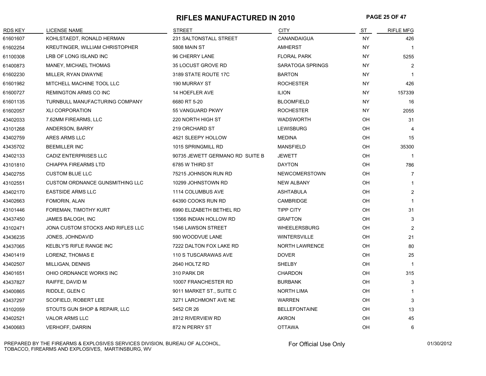### **RIFLES MANUFACTURED IN 2010 PAGE 25 OF 47**

| <b>RDS KEY</b> | <b>LICENSE NAME</b>                    | <b>STREET</b>                   | <b>CITY</b>           | ST        | <b>RIFLE MFG</b> |
|----------------|----------------------------------------|---------------------------------|-----------------------|-----------|------------------|
| 61601607       | KOHLSTAEDT, RONALD HERMAN              | 231 SALTONSTALL STREET          | CANANDAIGUA           | NY.       | 426              |
| 61602254       | <b>KREUTINGER, WILLIAM CHRISTOPHER</b> | 5808 MAIN ST                    | <b>AMHERST</b>        | <b>NY</b> | $\mathbf{1}$     |
| 61100308       | LRB OF LONG ISLAND INC                 | 96 CHERRY LANE                  | <b>FLORAL PARK</b>    | NY.       | 5255             |
| 61400873       | MANEY, MICHAEL THOMAS                  | 35 LOCUST GROVE RD              | SARATOGA SPRINGS      | NY        | $\overline{2}$   |
| 61602230       | MILLER, RYAN DWAYNE                    | 3189 STATE ROUTE 17C            | <b>BARTON</b>         | NY.       | $\mathbf{1}$     |
| 61601982       | MITCHELL MACHINE TOOL LLC              | 190 MURRAY ST                   | <b>ROCHESTER</b>      | NY        | 426              |
| 61600727       | <b>REMINGTON ARMS CO INC</b>           | <b>14 HOEFLER AVE</b>           | <b>ILION</b>          | NY.       | 157339           |
| 61601135       | TURNBULL MANUFACTURING COMPANY         | 6680 RT 5-20                    | <b>BLOOMFIELD</b>     | NY.       | 16               |
| 61602057       | <b>XLI CORPORATION</b>                 | 55 VANGUARD PKWY                | <b>ROCHESTER</b>      | NY.       | 2055             |
| 43402033       | 7.62MM FIREARMS, LLC                   | 220 NORTH HIGH ST               | <b>WADSWORTH</b>      | OH        | 31               |
| 43101268       | ANDERSON, BARRY                        | 219 ORCHARD ST                  | <b>LEWISBURG</b>      | OH        | 4                |
| 43402759       | ARES ARMS LLC                          | 4621 SLEEPY HOLLOW              | <b>MEDINA</b>         | OH        | 15               |
| 43435702       | <b>BEEMILLER INC</b>                   | 1015 SPRINGMILL RD              | MANSFIELD             | OH        | 35300            |
| 43402133       | CADIZ ENTERPRISES LLC                  | 90735 JEWETT GERMANO RD SUITE B | JEWETT                | OH        | 1                |
| 43101810       | <b>CHIAPPA FIREARMS LTD</b>            | 6785 W THIRD ST                 | <b>DAYTON</b>         | OH        | 786              |
| 43402755       | <b>CUSTOM BLUE LLC</b>                 | 75215 JOHNSON RUN RD            | NEWCOMERSTOWN         | OH        | $\overline{7}$   |
| 43102551       | <b>CUSTOM ORDNANCE GUNSMITHING LLC</b> | 10299 JOHNSTOWN RD              | <b>NEW ALBANY</b>     | OH        | $\mathbf{1}$     |
| 43402170       | <b>EASTSIDE ARMS LLC</b>               | 1114 COLUMBUS AVE               | <b>ASHTABULA</b>      | OH        | $\overline{2}$   |
| 43402663       | FOMORIN, ALAN                          | 64390 COOKS RUN RD              | <b>CAMBRIDGE</b>      | OH        | 1                |
| 43101446       | FOREMAN, TIMOTHY KURT                  | 6990 ELIZABETH BETHEL RD        | <b>TIPP CITY</b>      | OH        | 31               |
| 43437450       | JAMES BALOGH, INC                      | 13566 INDIAN HOLLOW RD          | <b>GRAFTON</b>        | OH        | 3                |
| 43102471       | JONA CUSTOM STOCKS AND RIFLES LLC      | 1546 LAWSON STREET              | <b>WHEELERSBURG</b>   | OH        | 2                |
| 43436235       | JONES, JOHNDAVID                       | 590 WOODVUE LANE                | <b>WINTERSVILLE</b>   | OH        | 21               |
| 43437065       | KELBLY'S RIFLE RANGE INC               | 7222 DALTON FOX LAKE RD         | <b>NORTH LAWRENCE</b> | OH        | 80               |
| 43401419       | LORENZ, THOMAS E                       | 110 S TUSCARAWAS AVE            | <b>DOVER</b>          | OH        | 25               |
| 43402507       | MILLIGAN, DENNIS                       | 2640 HOLTZ RD                   | <b>SHELBY</b>         | OH        | 1                |
| 43401651       | OHIO ORDNANCE WORKS INC                | 310 PARK DR                     | <b>CHARDON</b>        | OH        | 315              |
| 43437827       | RAIFFE, DAVID M                        | 10007 FRANCHESTER RD            | <b>BURBANK</b>        | OH        | 3                |
| 43400865       | RIDDLE, GLEN C                         | 9011 MARKET ST., SUITE C        | <b>NORTH LIMA</b>     | OH        | 1                |
| 43437297       | SCOFIELD, ROBERT LEE                   | 3271 LARCHMONT AVE NE           | <b>WARREN</b>         | OH        | 3                |
| 43102059       | STOUTS GUN SHOP & REPAIR, LLC          | 5452 CR 26                      | <b>BELLEFONTAINE</b>  | OH        | 13               |
| 43402521       | <b>VALOR ARMS LLC</b>                  | 2812 RIVERVIEW RD               | <b>AKRON</b>          | OH        | 45               |
| 43400683       | <b>VERHOFF, DARRIN</b>                 | 872 N PERRY ST                  | <b>OTTAWA</b>         | OH        | 6                |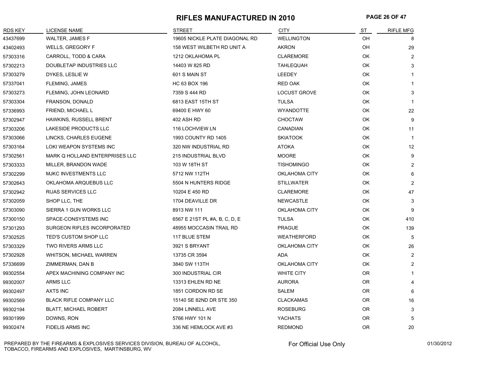#### **RIFLES MANUFACTURED IN 2010 PAGE 26 OF 47**

| <b>RDS KEY</b> | <b>LICENSE NAME</b>                | <b>STREET</b>                  | <b>CITY</b>          | ST        | <b>RIFLE MFG</b> |
|----------------|------------------------------------|--------------------------------|----------------------|-----------|------------------|
| 43437699       | WALTER, JAMES F                    | 19605 NICKLE PLATE DIAGONAL RD | <b>WELLINGTON</b>    | OH        | 8                |
| 43402493       | WELLS, GREGORY F                   | 158 WEST WILBETH RD UNIT A     | <b>AKRON</b>         | OH        | 29               |
| 57303316       | CARROLL, TODD & CARA               | 1212 OKLAHOMA PL               | <b>CLAREMORE</b>     | OK        | 2                |
| 57302213       | DOUBLETAP INDUSTRIES LLC           | 14403 W 825 RD                 | <b>TAHLEQUAH</b>     | OK        | 3                |
| 57303279       | DYKES, LESLIE W                    | 601 S MAIN ST                  | LEEDEY               | OK        | $\mathbf{1}$     |
| 57337041       | FLEMING, JAMES                     | HC 63 BOX 196                  | <b>RED OAK</b>       | OK        | 1                |
| 57303273       | FLEMING, JOHN LEONARD              | 7359 S 444 RD                  | LOCUST GROVE         | OK        | 3                |
| 57303304       | FRANSON, DONALD                    | 6813 EAST 15TH ST              | <b>TULSA</b>         | OK        | $\mathbf 1$      |
| 57336993       | FRIEND, MICHAEL L                  | 69400 E HWY 60                 | <b>WYANDOTTE</b>     | OK        | 22               |
| 57302947       | HAWKINS, RUSSELL BRENT             | 402 ASH RD                     | <b>CHOCTAW</b>       | OK        | 9                |
| 57303206       | LAKESIDE PRODUCTS LLC              | 116 LOCHVIEW LN                | CANADIAN             | OK        | 11               |
| 57303066       | LINCKS, CHARLES EUGENE             | 1993 COUNTY RD 1405            | <b>SKIATOOK</b>      | OK        | $\mathbf{1}$     |
| 57303164       | LOKI WEAPON SYSTEMS INC            | 320 NW INDUSTRIAL RD           | <b>ATOKA</b>         | OK.       | 12               |
| 57302561       | MARK Q HOLLAND ENTERPRISES LLC     | 215 INDUSTRIAL BLVD            | <b>MOORE</b>         | OK        | 9                |
| 57303333       | MILLER, BRANDON WADE               | 103 W 18TH ST                  | <b>TISHOMINGO</b>    | OK        | 2                |
| 57302299       | MJKC INVESTMENTS LLC               | 5712 NW 112TH                  | <b>OKLAHOMA CITY</b> | OK        | 6                |
| 57302643       | OKLAHOMA ARQUEBUS LLC              | 5504 N HUNTERS RIDGE           | <b>STILLWATER</b>    | OK        | $\overline{2}$   |
| 57302942       | RIJAS SERVICES LLC                 | 10204 E 450 RD                 | <b>CLAREMORE</b>     | OK        | 47               |
| 57302059       | SHOP LLC, THE                      | 1704 DEAVILLE DR               | <b>NEWCASTLE</b>     | OK        | 3                |
| 57303090       | SIERRA 1 GUN WORKS LLC             | 8913 NW 111                    | <b>OKLAHOMA CITY</b> | OK.       | 9                |
| 57300150       | SPACE-CONSYSTEMS INC               | 6567 E 21ST PL #A, B, C, D, E  | <b>TULSA</b>         | OK        | 410              |
| 57301293       | <b>SURGEON RIFLES INCORPORATED</b> | 48955 MOCCASIN TRAIL RD        | <b>PRAGUE</b>        | OK        | 139              |
| 57302525       | TED'S CUSTOM SHOP LLC              | 117 BLUE STEM                  | <b>WEATHERFORD</b>   | OK        | 5                |
| 57303329       | TWO RIVERS ARMS LLC                | 3921 S BRYANT                  | OKLAHOMA CITY        | OK        | 26               |
| 57302928       | <b>WHITSON, MICHAEL WARREN</b>     | 13735 CR 3594                  | <b>ADA</b>           | OK        | $\overline{2}$   |
| 57336699       | ZIMMERMAN, DAN B                   | 3840 SW 113TH                  | <b>OKLAHOMA CITY</b> | OK        | $\overline{2}$   |
| 99302554       | APEX MACHINING COMPANY INC         | 300 INDUSTRIAL CIR             | <b>WHITE CITY</b>    | OR        | 1                |
| 99302007       | ARMS LLC                           | 13313 EHLEN RD NE              | <b>AURORA</b>        | 0R        | 4                |
| 99302497       | <b>AXTS INC</b>                    | 1851 CORDON RD SE              | <b>SALEM</b>         | OR.       | 6                |
| 99302569       | <b>BLACK RIFLE COMPANY LLC</b>     | 15140 SE 82ND DR STE 350       | <b>CLACKAMAS</b>     | OR.       | 16               |
| 99302194       | <b>BLATT, MICHAEL ROBERT</b>       | 2084 LINNELL AVE               | <b>ROSEBURG</b>      | OR.       | 3                |
| 99301999       | DOWNS, RON                         | 5766 HWY 101 N                 | <b>YACHATS</b>       | <b>OR</b> | 5                |
| 99302474       | <b>FIDELIS ARMS INC</b>            | 336 NE HEMLOCK AVE #3          | <b>REDMOND</b>       | <b>OR</b> | 20               |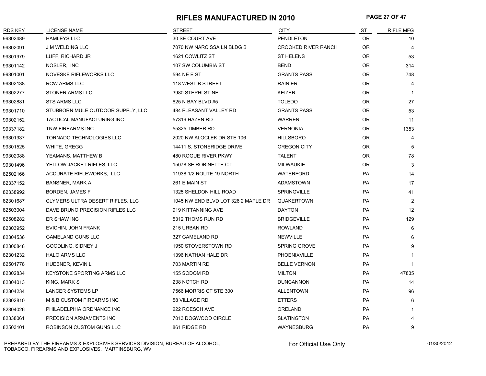#### **RIFLES MANUFACTURED IN 2010 PAGE 27 OF 47**

| <b>RDS KEY</b> | <b>LICENSE NAME</b>               | <b>STREET</b>                       | <b>CITY</b>                | ST        | <b>RIFLE MFG</b> |
|----------------|-----------------------------------|-------------------------------------|----------------------------|-----------|------------------|
| 99302489       | <b>HAMLEYS LLC</b>                | 30 SE COURT AVE                     | <b>PENDLETON</b>           | OR.       | 10               |
| 99302091       | <b>J M WELDING LLC</b>            | 7070 NW NARCISSA LN BLDG B          | <b>CROOKED RIVER RANCH</b> | OR.       | $\overline{4}$   |
| 99301979       | LUFF, RICHARD JR                  | 1621 COWLITZ ST                     | ST HELENS                  | OR        | 53               |
| 99301142       | NOSLER, INC                       | 107 SW COLUMBIA ST                  | <b>BEND</b>                | OR.       | 314              |
| 99301001       | NOVESKE RIFLEWORKS LLC            | 594 NE E ST                         | <b>GRANTS PASS</b>         | <b>OR</b> | 748              |
| 99302138       | <b>RCW ARMS LLC</b>               | 118 WEST B STREET                   | <b>RAINIER</b>             | OR.       | $\overline{4}$   |
| 99302277       | <b>STONER ARMS LLC</b>            | 3980 STEPHI ST NE                   | <b>KEIZER</b>              | 0R        | -1               |
| 99302881       | <b>STS ARMS LLC</b>               | 625 N BAY BLVD #5                   | <b>TOLEDO</b>              | OR.       | 27               |
| 99301710       | STUBBORN MULE OUTDOOR SUPPLY, LLC | 484 PLEASANT VALLEY RD              | <b>GRANTS PASS</b>         | 0R        | 53               |
| 99302152       | TACTICAL MANUFACTURING INC        | 57319 HAZEN RD                      | <b>WARREN</b>              | <b>OR</b> | 11               |
| 99337182       | TNW FIREARMS INC                  | 55325 TIMBER RD                     | <b>VERNONIA</b>            | OR.       | 1353             |
| 99301937       | <b>TORNADO TECHNOLOGIES LLC</b>   | 2020 NW ALOCLEK DR STE 106          | <b>HILLSBORO</b>           | OR.       | $\overline{4}$   |
| 99301525       | WHITE, GREGG                      | 14411 S. STONERIDGE DRIVE           | OREGON CITY                | OR.       | 5                |
| 99302088       | YEAMANS, MATTHEW B                | 480 ROGUE RIVER PKWY                | <b>TALENT</b>              | 0R        | 78               |
| 99301496       | YELLOW JACKET RIFLES, LLC         | 15078 SE ROBINETTE CT               | <b>MILWAUKIE</b>           | OR.       | 3                |
| 82502166       | ACCURATE RIFLEWORKS, LLC          | 11938 1/2 ROUTE 19 NORTH            | <b>WATERFORD</b>           | <b>PA</b> | 14               |
| 82337152       | <b>BANSNER, MARK A</b>            | 261 E MAIN ST                       | ADAMSTOWN                  | PA        | 17               |
| 82338992       | BORDEN, JAMES F                   | 1325 SHELDON HILL ROAD              | <b>SPRINGVILLE</b>         | PA        | 41               |
| 82301687       | CLYMERS ULTRA DESERT RIFLES, LLC  | 1045 NW END BLVD LOT 326 2 MAPLE DR | QUAKERTOWN                 | <b>PA</b> | 2                |
| 82503004       | DAVE BRUNO PRECISION RIFLES LLC   | 919 KITTANNING AVE                  | <b>DAYTON</b>              | <b>PA</b> | 12               |
| 82508282       | ER SHAW INC                       | 5312 THOMS RUN RD                   | <b>BRIDGEVILLE</b>         | <b>PA</b> | 129              |
| 82303952       | EVICHIN, JOHN FRANK               | 215 URBAN RD                        | <b>ROWLAND</b>             | <b>PA</b> | 6                |
| 82304536       | <b>GAMELAND GUNS LLC</b>          | 327 GAMELAND RD                     | <b>NEWVILLE</b>            | PA        | 6                |
| 82300848       | GOODLING, SIDNEY J                | 1950 STOVERSTOWN RD                 | <b>SPRING GROVE</b>        | PA        | 9                |
| 82301232       | <b>HALO ARMS LLC</b>              | 1396 NATHAN HALE DR                 | PHOENIXVILLE               | PA        |                  |
| 82501778       | HUEBNER, KEVIN L                  | 703 MARTIN RD                       | <b>BELLE VERNON</b>        | <b>PA</b> | $\mathbf{1}$     |
| 82302834       | <b>KEYSTONE SPORTING ARMS LLC</b> | 155 SODOM RD                        | <b>MILTON</b>              | <b>PA</b> | 47835            |
| 82304013       | KING, MARK S                      | 238 NOTCH RD                        | <b>DUNCANNON</b>           | <b>PA</b> | 14               |
| 82304234       | <b>LANCER SYSTEMS LP</b>          | 7566 MORRIS CT STE 300              | <b>ALLENTOWN</b>           | <b>PA</b> | 96               |
| 82302810       | M & B CUSTOM FIREARMS INC         | 58 VILLAGE RD                       | <b>ETTERS</b>              | <b>PA</b> | 6                |
| 82304026       | PHILADELPHIA ORDNANCE INC         | 222 ROESCH AVE                      | ORELAND                    | <b>PA</b> | 1                |
| 82338061       | PRECISION ARMAMENTS INC           | 7013 DOGWOOD CIRCLE                 | <b>SLATINGTON</b>          | PA        | 4                |
| 82503101       | ROBINSON CUSTOM GUNS LLC          | 861 RIDGE RD                        | WAYNESBURG                 | PA        | 9                |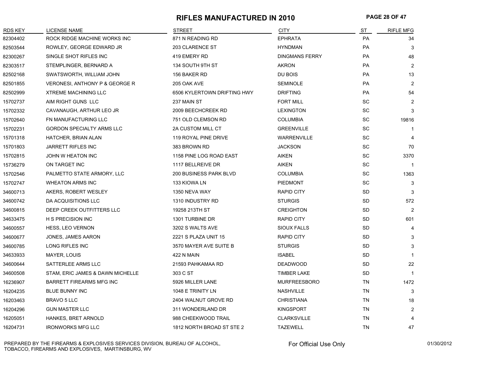#### **RIFLES MANUFACTURED IN 2010 PAGE 28 OF 47**

| <b>RDS KEY</b> | <b>LICENSE NAME</b>                       | <b>STREET</b>                 | <b>CITY</b>           | ST                           | <b>RIFLE MFG</b> |
|----------------|-------------------------------------------|-------------------------------|-----------------------|------------------------------|------------------|
| 82304402       | ROCK RIDGE MACHINE WORKS INC              | 871 N READING RD              | <b>EPHRATA</b>        | <b>PA</b>                    | 34               |
| 82503544       | ROWLEY, GEORGE EDWARD JR                  | 203 CLARENCE ST               | <b>HYNDMAN</b>        | PA                           | 3                |
| 82300267       | SINGLE SHOT RIFLES INC                    | 419 EMERY RD                  | <b>DINGMANS FERRY</b> | PA                           | 48               |
| 82303517       | STEMPLINGER, BERNARD A                    | 134 SOUTH 9TH ST              | AKRON                 | PA                           | $\overline{2}$   |
| 82502168       | SWATSWORTH, WILLIAM JOHN                  | 156 BAKER RD                  | DU BOIS               | <b>PA</b>                    | 13               |
| 82501855       | <b>VERONESI, ANTHONY P &amp; GEORGE R</b> | 205 OAK AVE                   | <b>SEMINOLE</b>       | PA                           | 2                |
| 82502999       | <b>XTREME MACHINING LLC</b>               | 6506 KYLERTOWN DRIFTING HWY   | <b>DRIFTING</b>       | PA                           | 54               |
| 15702737       | AIM RIGHT GUNS LLC                        | 237 MAIN ST                   | <b>FORT MILL</b>      | <b>SC</b>                    | $\overline{2}$   |
| 15702332       | CAVANAUGH, ARTHUR LEO JR                  | 2009 BEECHCREEK RD            | <b>LEXINGTON</b>      | SC                           | 3                |
| 15702640       | FN MANUFACTURING LLC                      | 751 OLD CLEMSON RD            | <b>COLUMBIA</b>       | SC                           | 19816            |
| 15702231       | <b>GORDON SPECIALTY ARMS LLC</b>          | 2A CUSTOM MILL CT             | <b>GREENVILLE</b>     | SC                           | $\mathbf 1$      |
| 15701318       | HATCHER, BRIAN ALAN                       | 119 ROYAL PINE DRIVE          | <b>WARRENVILLE</b>    | <b>SC</b>                    | 4                |
| 15701803       | <b>JARRETT RIFLES INC</b>                 | 383 BROWN RD                  | <b>JACKSON</b>        | $\operatorname{\textsf{SC}}$ | 70               |
| 15702815       | JOHN W HEATON INC                         | 1158 PINE LOG ROAD EAST       | AIKEN                 | SC                           | 3370             |
| 15736279       | ON TARGET INC                             | 1117 BELLREIVE DR             | <b>AIKEN</b>          | $\operatorname{\textsf{SC}}$ | $\mathbf{1}$     |
| 15702546       | PALMETTO STATE ARMORY, LLC                | <b>200 BUSINESS PARK BLVD</b> | <b>COLUMBIA</b>       | SC                           | 1363             |
| 15702747       | <b>WHEATON ARMS INC</b>                   | 133 KIOWA LN                  | <b>PIEDMONT</b>       | <b>SC</b>                    | 3                |
| 34600713       | AKERS, ROBERT WESLEY                      | 1350 NEVA WAY                 | <b>RAPID CITY</b>     | <b>SD</b>                    | 3                |
| 34600742       | DA ACQUISITIONS LLC                       | 1310 INDUSTRY RD              | <b>STURGIS</b>        | SD                           | 572              |
| 34600815       | DEEP CREEK OUTFITTERS LLC                 | 19258 213TH ST                | <b>CREIGHTON</b>      | <b>SD</b>                    | 2                |
| 34633475       | <b>H S PRECISION INC</b>                  | 1301 TURBINE DR               | <b>RAPID CITY</b>     | <b>SD</b>                    | 601              |
| 34600557       | <b>HESS, LEO VERNON</b>                   | 3202 S WALTS AVE              | <b>SIOUX FALLS</b>    | <b>SD</b>                    | 4                |
| 34600677       | JONES, JAMES AARON                        | 2221 S PLAZA UNIT 15          | <b>RAPID CITY</b>     | <b>SD</b>                    | 3                |
| 34600785       | LONG RIFLES INC                           | 3570 MAYER AVE SUITE B        | <b>STURGIS</b>        | <b>SD</b>                    | 3                |
| 34633933       | MAYER, LOUIS                              | 422 N MAIN                    | <b>ISABEL</b>         | <b>SD</b>                    | $\mathbf 1$      |
| 34600644       | SATTERLEE ARMS LLC                        | 21593 PAHKAMAA RD             | <b>DEADWOOD</b>       | <b>SD</b>                    | 22               |
| 34600508       | STAM, ERIC JAMES & DAWN MICHELLE          | 303 C ST                      | <b>TIMBER LAKE</b>    | <b>SD</b>                    | $\overline{1}$   |
| 16236907       | <b>BARRETT FIREARMS MFG INC</b>           | 5926 MILLER LANE              | <b>MURFREESBORO</b>   | TN                           | 1472             |
| 16204235       | <b>BLUE BUNNY INC</b>                     | 1048 E TRINITY LN             | <b>NASHVILLE</b>      | TN                           | 3                |
| 16203463       | BRAVO 5 LLC                               | 2404 WALNUT GROVE RD          | <b>CHRISTIANA</b>     | TN                           | 18               |
| 16204296       | <b>GUN MASTER LLC</b>                     | 311 WONDERLAND DR             | <b>KINGSPORT</b>      | TN                           | $\overline{c}$   |
| 16205051       | <b>HANKES, BRET ARNOLD</b>                | 988 CHEEKWOOD TRAIL           | <b>CLARKSVILLE</b>    | TN                           | 4                |
| 16204731       | <b>IRONWORKS MFG LLC</b>                  | 1812 NORTH BROAD ST STE 2     | <b>TAZEWELL</b>       | <b>TN</b>                    | 47               |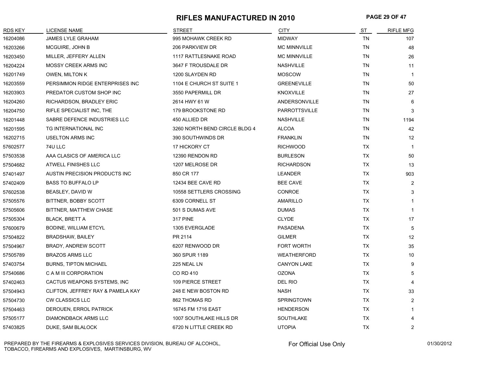### **RIFLES MANUFACTURED IN 2010 PAGE 29 OF 47**

| <b>RDS KEY</b> | <b>LICENSE NAME</b>               | <b>STREET</b>                 | <b>CITY</b>          | ST        | <b>RIFLE MFG</b> |
|----------------|-----------------------------------|-------------------------------|----------------------|-----------|------------------|
| 16204086       | JAMES LYLE GRAHAM                 | 995 MOHAWK CREEK RD           | <b>MIDWAY</b>        | <b>TN</b> | 107              |
| 16203266       | MCGUIRE, JOHN B                   | 206 PARKVIEW DR               | <b>MC MINNVILLE</b>  | <b>TN</b> | 48               |
| 16203450       | MILLER, JEFFERY ALLEN             | <b>1117 RATTLESNAKE ROAD</b>  | <b>MC MINNVILLE</b>  | TN        | 26               |
| 16204224       | MOSSY CREEK ARMS INC              | 3647 F TROUSDALE DR           | <b>NASHVILLE</b>     | <b>TN</b> | 11               |
| 16201749       | OWEN, MILTON K                    | 1200 SLAYDEN RD               | <b>MOSCOW</b>        | <b>TN</b> | $\mathbf{1}$     |
| 16203559       | PERSIMMON RIDGE ENTERPRISES INC   | 1104 E CHURCH ST SUITE 1      | <b>GREENEVILLE</b>   | TN        | 50               |
| 16203903       | PREDATOR CUSTOM SHOP INC          | 3550 PAPERMILL DR             | <b>KNOXVILLE</b>     | TN        | 27               |
| 16204260       | RICHARDSON, BRADLEY ERIC          | 2614 HWY 61 W                 | ANDERSONVILLE        | TN        | 6                |
| 16204750       | RIFLE SPECIALIST INC, THE         | 179 BROOKSTONE RD             | <b>PARROTTSVILLE</b> | <b>TN</b> | 3                |
| 16201448       | SABRE DEFENCE INDUSTRIES LLC      | 450 ALLIED DR                 | <b>NASHVILLE</b>     | TN        | 1194             |
| 16201595       | TG INTERNATIONAL INC              | 3260 NORTH BEND CIRCLE BLDG 4 | <b>ALCOA</b>         | <b>TN</b> | 42               |
| 16202715       | <b>USELTON ARMS INC</b>           | 390 SOUTHWINDS DR             | <b>FRANKLIN</b>      | TN        | 12               |
| 57602577       | 74U LLC                           | 17 HICKORY CT                 | <b>RICHWOOD</b>      | <b>TX</b> | $\mathbf{1}$     |
| 57503538       | AAA CLASICS OF AMERICA LLC        | 12390 RENDON RD               | <b>BURLESON</b>      | TX        | 50               |
| 57504682       | ATWELL FINISHES LLC               | 1207 MELROSE DR               | <b>RICHARDSON</b>    | TX        | 13               |
| 57401497       | AUSTIN PRECISION PRODUCTS INC     | 850 CR 177                    | <b>LEANDER</b>       | TX        | 903              |
| 57402409       | <b>BASS TO BUFFALO LP</b>         | 12434 BEE CAVE RD             | <b>BEE CAVE</b>      | <b>TX</b> | $\overline{2}$   |
| 57602538       | BEASLEY, DAVID W                  | 10558 SETTLERS CROSSING       | CONROE               | TX        | 3                |
| 57505576       | BITTNER, BOBBY SCOTT              | 6309 CORNELL ST               | AMARILLO             | TX        | $\mathbf{1}$     |
| 57505606       | BITTNER, MATTHEW CHASE            | 501 S DUMAS AVE               | <b>DUMAS</b>         | TX        | $\mathbf{1}$     |
| 57505304       | <b>BLACK, BRETT A</b>             | <b>317 PINE</b>               | <b>CLYDE</b>         | TX        | 17               |
| 57600679       | BODINE, WILLIAM ETCYL             | 1305 EVERGLADE                | <b>PASADENA</b>      | <b>TX</b> | 5                |
| 57504822       | BRADSHAW, BAILEY                  | PR 2114                       | <b>GILMER</b>        | TX        | 12               |
| 57504967       | BRADY, ANDREW SCOTT               | 6207 RENWOOD DR               | <b>FORT WORTH</b>    | TX        | 35               |
| 57505789       | <b>BRAZOS ARMS LLC</b>            | 360 SPUR 1189                 | <b>WEATHERFORD</b>   | TX        | 10               |
| 57403754       | <b>BURNS, TIPTON MICHAEL</b>      | 225 NEAL LN                   | <b>CANYON LAKE</b>   | <b>TX</b> | 9                |
| 57540686       | C A M III CORPORATION             | CO RD 410                     | <b>OZONA</b>         | TX        | 5                |
| 57402463       | CACTUS WEAPONS SYSTEMS, INC       | 109 PIERCE STREET             | DEL RIO              | <b>TX</b> | 4                |
| 57504943       | CLIFTON, JEFFREY RAY & PAMELA KAY | 248 E NEW BOSTON RD           | <b>NASH</b>          | TX        | 33               |
| 57504730       | <b>CW CLASSICS LLC</b>            | 862 THOMAS RD                 | <b>SPRINGTOWN</b>    | <b>TX</b> | $\overline{2}$   |
| 57504463       | DEROUEN, ERROL PATRICK            | 16745 FM 1716 EAST            | <b>HENDERSON</b>     | TX        | 1                |
| 57505177       | <b>DIAMONDBACK ARMS LLC</b>       | 1007 SOUTHLAKE HILLS DR       | SOUTHLAKE            | <b>TX</b> | 4                |
| 57403825       | DUKE, SAM BLALOCK                 | 6720 N LITTLE CREEK RD        | <b>UTOPIA</b>        | <b>TX</b> | $\overline{2}$   |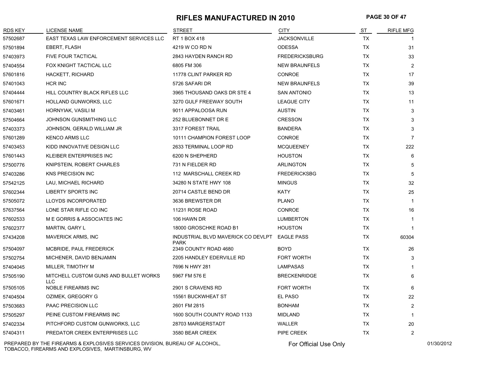#### **RIFLES MANUFACTURED IN 2010 PAGE 30 OF 47**

| <b>RDS KEY</b> | LICENSE NAME                                 | <b>STREET</b>                                     | <b>CITY</b>           | ST        | <b>RIFLE MFG</b> |
|----------------|----------------------------------------------|---------------------------------------------------|-----------------------|-----------|------------------|
| 57502687       | EAST TEXAS LAW ENFORCEMENT SERVICES LLC      | RT 1 BOX 418                                      | <b>JACKSONVILLE</b>   | <b>TX</b> |                  |
| 57501894       | EBERT, FLASH                                 | 4219 W CO RD N                                    | <b>ODESSA</b>         | TX        | 31               |
| 57403973       | <b>FIVE FOUR TACTICAL</b>                    | 2843 HAYDEN RANCH RD                              | <b>FREDERICKSBURG</b> | TX        | 33               |
| 57404554       | FOX KNIGHT TACTICAL LLC                      | 6805 FM 306                                       | <b>NEW BRAUNFELS</b>  | TX        | $\overline{2}$   |
| 57601816       | HACKETT, RICHARD                             | 11778 CLINT PARKER RD                             | <b>CONROE</b>         | <b>TX</b> | 17               |
| 57401043       | HCR INC                                      | 5726 SAFARI DR                                    | <b>NEW BRAUNFELS</b>  | TX        | 39               |
| 57404444       | HILL COUNTRY BLACK RIFLES LLC                | 3965 THOUSAND OAKS DR STE 4                       | <b>SAN ANTONIO</b>    | TX        | 13               |
| 57601671       | HOLLAND GUNWORKS, LLC                        | 3270 GULF FREEWAY SOUTH                           | <b>LEAGUE CITY</b>    | <b>TX</b> | 11               |
| 57403461       | HORNYIAK, VASILI M                           | 9011 APPALOOSA RUN                                | <b>AUSTIN</b>         | TX        | 3                |
| 57504664       | JOHNSON GUNSMITHING LLC                      | 252 BLUEBONNET DR E                               | <b>CRESSON</b>        | TX        | 3                |
| 57403373       | JOHNSON, GERALD WILLIAM JR                   | 3317 FOREST TRAIL                                 | <b>BANDERA</b>        | TX        | 3                |
| 57601289       | <b>KENCO ARMS LLC</b>                        | 10111 CHAMPION FOREST LOOP                        | <b>CONROE</b>         | <b>TX</b> | $\overline{7}$   |
| 57403453       | KIDD INNOVATIVE DESIGN LLC                   | 2633 TERMINAL LOOP RD                             | <b>MCQUEENEY</b>      | <b>TX</b> | 222              |
| 57601443       | KLEIBER ENTERPRISES INC                      | 6200 N SHEPHERD                                   | <b>HOUSTON</b>        | TX        | 6                |
| 57500776       | KNIPSTEIN, ROBERT CHARLES                    | 731 N FIELDER RD                                  | <b>ARLINGTON</b>      | TX        | 5                |
| 57403286       | <b>KNS PRECISION INC</b>                     | 112 MARSCHALL CREEK RD                            | <b>FREDERICKSBG</b>   | <b>TX</b> | 5                |
| 57542125       | LAU, MICHAEL RICHARD                         | 34280 N STATE HWY 108                             | <b>MINGUS</b>         | TX        | 32               |
| 57602344       | LIBERTY SPORTS INC                           | 20714 CASTLE BEND DR                              | <b>KATY</b>           | TX        | 25               |
| 57505072       | LLOYDS INCORPORATED                          | 3636 BREWSTER DR                                  | <b>PLANO</b>          | TX        | $\mathbf{1}$     |
| 57637564       | LONE STAR RIFLE CO INC                       | 11231 ROSE ROAD                                   | <b>CONROE</b>         | <b>TX</b> | 16               |
| 57602533       | M E GORRIS & ASSOCIATES INC                  | 106 HAWN DR                                       | <b>LUMBERTON</b>      | TX        | $\mathbf{1}$     |
| 57602377       | MARTIN, GARY L                               | 18000 GROSCHKE ROAD B1                            | <b>HOUSTON</b>        | TX        | $\mathbf{1}$     |
| 57434208       | <b>MAVERICK ARMS, INC</b>                    | INDUSTRIAL BLVD MAVERICK CO DEVLPT<br><b>PARK</b> | <b>EAGLE PASS</b>     | TX        | 60304            |
| 57504097       | <b>MCBRIDE, PAUL FREDERICK</b>               | 2349 COUNTY ROAD 4680                             | <b>BOYD</b>           | TX        | 26               |
| 57502754       | MICHENER, DAVID BENJAMIN                     | 2205 HANDLEY EDERVILLE RD                         | <b>FORT WORTH</b>     | <b>TX</b> | 3                |
| 57404045       | MILLER, TIMOTHY M                            | 7696 N HWY 281                                    | <b>LAMPASAS</b>       | TX        | $\mathbf{1}$     |
| 57505190       | MITCHELL CUSTOM GUNS AND BULLET WORKS<br>LLC | 5967 FM 576 E                                     | <b>BRECKENRIDGE</b>   | <b>TX</b> | 6                |
| 57505105       | <b>NOBLE FIREARMS INC</b>                    | 2901 S CRAVENS RD                                 | FORT WORTH            | TX        | 6                |
| 57404504       | OZIMEK, GREGORY G                            | 15561 BUCKWHEAT ST                                | EL PASO               | <b>TX</b> | 22               |
| 57503683       | <b>PAAC PRECISION LLC</b>                    | 2601 FM 2815                                      | <b>BONHAM</b>         | TX        | $\overline{2}$   |
| 57505297       | PEINE CUSTOM FIREARMS INC                    | 1600 SOUTH COUNTY ROAD 1133                       | <b>MIDLAND</b>        | <b>TX</b> | $\mathbf{1}$     |
| 57402334       | PITCHFORD CUSTOM GUNWORKS, LLC               | 28703 MARGERSTADT                                 | WALLER                | <b>TX</b> | 20               |
| 57404311       | PREDATOR CREEK ENTERPRISES LLC               | 3580 BEAR CREEK                                   | PIPE CREEK            | TX        | $\overline{2}$   |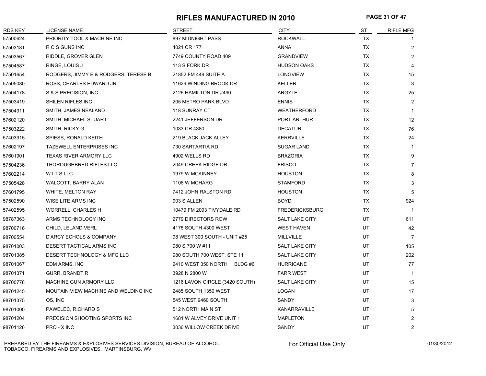#### **RIFLES MANUFACTURED IN 2010 PAGE 31 OF 47**

| <b>RDS KEY</b> | <b>LICENSE NAME</b>                  | <b>STREET</b>                  | <b>CITY</b>           | ST        | <b>RIFLE MFG</b>  |
|----------------|--------------------------------------|--------------------------------|-----------------------|-----------|-------------------|
| 57500624       | PRIORITY TOOL & MACHINE INC          | 897 MIDNIGHT PASS              | <b>ROCKWALL</b>       | <b>TX</b> |                   |
| 57503181       | R C S GUNS INC                       | 4021 CR 177                    | <b>ANNA</b>           | <b>TX</b> | $\overline{2}$    |
| 57503567       | RIDDLE, GROVER GLEN                  | 7749 COUNTY ROAD 409           | <b>GRANDVIEW</b>      | <b>TX</b> | $\overline{2}$    |
| 57504587       | RINGE, LOUIS J                       | 113 S FORK DR                  | <b>HUDSON OAKS</b>    | TX        | 4                 |
| 57501654       | RODGERS, JIMMY E & RODGERS, TERESE B | 21852 FM 449 SUITE A           | <b>LONGVIEW</b>       | <b>TX</b> | 15                |
| 57505080       | ROSS, CHARLES EDWARD JR              | 11629 WINDING BROOK DR         | <b>KELLER</b>         | <b>TX</b> | 3                 |
| 57504178       | S & S PRECISION, INC                 | 2126 HAMILTON DR #490          | <b>ARGYLE</b>         | <b>TX</b> | 25                |
| 57503419       | SHILEN RIFLES INC                    | 205 METRO PARK BLVD            | <b>ENNIS</b>          | <b>TX</b> | $\overline{2}$    |
| 57504911       | SMITH, JAMES NEALAND                 | 118 SUNRAY CT                  | <b>WEATHERFORD</b>    | TX        | $\mathbf 1$       |
| 57602120       | SMITH, MICHAEL STUART                | 2241 JEFFERSON DR              | PORT ARTHUR           | TX        | $12 \overline{ }$ |
| 57503222       | SMITH, RICKY G                       | 1033 CR 4380                   | <b>DECATUR</b>        | TX        | 76                |
| 57403915       | SPIESS, RONALD KEITH                 | 219 BLACK JACK ALLEY           | <b>KERRVILLE</b>      | TX        | 24                |
| 57602197       | TAZEWELL ENTERPRISES INC             | 730 SARTARTIA RD               | <b>SUGAR LAND</b>     | <b>TX</b> | 1                 |
| 57601901       | <b>TEXAS RIVER ARMORY LLC</b>        | 4902 WELLS RD                  | <b>BRAZORIA</b>       | <b>TX</b> | 9                 |
| 57504236       | THOROUGHBRED RIFLES LLC              | 2049 CREEK RIDGE DR            | <b>FRISCO</b>         | TX        | $\overline{7}$    |
| 57602214       | WITSLLC                              | 1979 W MCKINNEY                | <b>HOUSTON</b>        | <b>TX</b> | 8                 |
| 57505428       | WALCOTT, BARRY ALAN                  | 1106 W MCHARG                  | <b>STAMFORD</b>       | TX        | 3                 |
| 57601795       | <b>WHITE, MELTON RAY</b>             | 7412 JOHN RALSTON RD           | <b>HOUSTON</b>        | <b>TX</b> | 5                 |
| 57502590       | WISE LITE ARMS INC                   | 903 S ALLEN                    | <b>BOYD</b>           | <b>TX</b> | 924               |
| 57402595       | <b>WORRELL, CHARLES H</b>            | 10479 FM 2093 TIVYDALE RD      | <b>FREDERICKSBURG</b> | TX        | $\overline{1}$    |
| 98787363       | ARMS TECHNOLOGY INC                  | 2779 DIRECTORS ROW             | <b>SALT LAKE CITY</b> | UT        | 611               |
| 98700716       | CHILD, LELAND VERL                   | 4175 SOUTH 4300 WEST           | <b>WEST HAVEN</b>     | UT        | 42                |
| 98700554       | D'ARCY ECHOLS & COMPANY              | 98 WEST 300 SOUTH - UNIT #25   | <b>MILLVILLE</b>      | UT        | $\overline{7}$    |
| 98701003       | DESERT TACTICAL ARMS INC             | 980 S 700 W #11                | SALT LAKE CITY        | UT        | 105               |
| 98701385       | DESERT TECHNOLOGY & MFG LLC          | 980 SOUTH 700 WEST, STE 11     | <b>SALT LAKE CITY</b> | UT        | 202               |
| 98701067       | EDM ARMS, INC                        | 2410 WEST 350 NORTH BLDG #6    | <b>HURRICANE</b>      | UT        | 77                |
| 98701371       | <b>GURR, BRANDT R</b>                | 3928 N 2800 W                  | <b>FARR WEST</b>      | UT        | $\mathbf 1$       |
| 98700778       | MACHINE GUN ARMORY LLC               | 1216 LAVON CIRCLE (3420 SOUTH) | <b>SALT LAKE CITY</b> | UT        | 15                |
| 98701245       | MOUTAIN VIEW MACHINE AND WELDING INC | 2485 SOUTH 1350 WEST           | LOGAN                 | UT        | 17                |
| 98701375       | OS, INC                              | 545 WEST 9460 SOUTH            | SANDY                 | UT        | 3                 |
| 98701000       | PAWELEC, RICHARD S                   | 512 NORTH MAIN ST              | KANARRAVILLE          | UT        | 5                 |
| 98701204       | PRECISION SHOOTING SPORTS INC        | 1681 W ALVEY DRIVE UNIT 1      | <b>MAPLETON</b>       | UT        | $\overline{c}$    |
| 98701126       | PRO - X INC                          | 3036 WILLOW CREEK DRIVE        | SANDY                 | UT        | 2                 |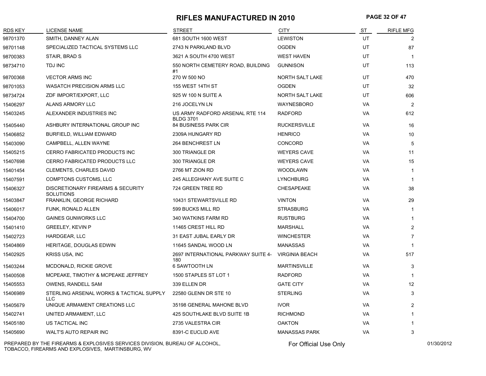#### **RIFLES MANUFACTURED IN 2010 PAGE 32 OF 47**

| <b>RDS KEY</b> | <b>LICENSE NAME</b>                                              | <b>STREET</b>                                       | <b>CITY</b>            | <u>ST</u> | <b>RIFLE MFG</b> |
|----------------|------------------------------------------------------------------|-----------------------------------------------------|------------------------|-----------|------------------|
| 98701370       | SMITH, DANNEY ALAN                                               | 681 SOUTH 1600 WEST                                 | <b>LEWISTON</b>        | UT        | $\overline{2}$   |
| 98701148       | SPECIALIZED TACTICAL SYSTEMS LLC                                 | 2743 N PARKLAND BLVD                                | <b>OGDEN</b>           | UT        | 87               |
| 98700383       | STAIR, BRAD S                                                    | 3621 A SOUTH 4700 WEST                              | <b>WEST HAVEN</b>      | UT        | $\overline{1}$   |
| 98734710       | <b>TDJ INC</b>                                                   | 550 NORTH CEMETERY ROAD, BUILDING<br>#1             | <b>GUNNISON</b>        | <b>UT</b> | 113              |
| 98700368       | <b>VECTOR ARMS INC</b>                                           | 270 W 500 NO                                        | <b>NORTH SALT LAKE</b> | <b>UT</b> | 470              |
| 98701053       | <b>WASATCH PRECISION ARMS LLC</b>                                | 155 WEST 14TH ST                                    | <b>OGDEN</b>           | UT        | 32               |
| 98734724       | ZDF IMPORT/EXPORT, LLC                                           | 925 W 100 N SUITE A                                 | NORTH SALT LAKE        | UT        | 606              |
| 15406297       | ALANS ARMORY LLC                                                 | 216 JOCELYN LN                                      | WAYNESBORO             | VA        | $\overline{2}$   |
| 15403245       | ALEXANDER INDUSTRIES INC                                         | US ARMY RADFORD ARSENAL RTE 114<br><b>BLDG 3701</b> | <b>RADFORD</b>         | VA        | 612              |
| 15405440       | ASHBURY INTERNATIONAL GROUP INC                                  | <b>84 BUSINESS PARK CIR</b>                         | <b>RUCKERSVILLE</b>    | <b>VA</b> | 16               |
| 15406852       | BURFIELD, WILLIAM EDWARD                                         | 2309A HUNGARY RD                                    | <b>HENRICO</b>         | VA        | 10               |
| 15403090       | CAMPBELL, ALLEN WAYNE                                            | 264 BENCHREST LN                                    | <b>CONCORD</b>         | VA        | 5                |
| 15405215       | <b>CERRO FABRICATED PRODUCTS INC</b>                             | 300 TRIANGLE DR                                     | <b>WEYERS CAVE</b>     | <b>VA</b> | 11               |
| 15407698       | CERRO FABRICATED PRODUCTS LLC                                    | 300 TRIANGLE DR                                     | <b>WEYERS CAVE</b>     | VA        | 15               |
| 15401454       | <b>CLEMENTS, CHARLES DAVID</b>                                   | 2766 MT ZION RD                                     | <b>WOODLAWN</b>        | VA        | $\overline{1}$   |
| 15407591       | COMPTONS CUSTOMS, LLC                                            | 245 ALLEGHANY AVE SUITE C                           | <b>LYNCHBURG</b>       | <b>VA</b> | $\mathbf{1}$     |
| 15406327       | <b>DISCRETIONARY FIREARMS &amp; SECURITY</b><br><b>SOLUTIONS</b> | 724 GREEN TREE RD                                   | <b>CHESAPEAKE</b>      | VA        | 38               |
| 15403847       | FRANKLIN, GEORGE RICHARD                                         | 10431 STEWARTSVILLE RD                              | <b>VINTON</b>          | VA        | 29               |
| 15406017       | FUNK, RONALD ALLEN                                               | 599 BUCKS MILL RD                                   | <b>STRASBURG</b>       | <b>VA</b> | $\mathbf{1}$     |
| 15404700       | <b>GAINES GUNWORKS LLC</b>                                       | 340 WATKINS FARM RD                                 | <b>RUSTBURG</b>        | VA        | $\mathbf{1}$     |
| 15401410       | <b>GREELEY, KEVIN P</b>                                          | 11465 CREST HILL RD                                 | <b>MARSHALL</b>        | VA        | $\overline{2}$   |
| 15402723       | <b>HARDGEAR, LLC</b>                                             | 31 EAST JUBAL EARLY DR                              | <b>WINCHESTER</b>      | <b>VA</b> | $\overline{7}$   |
| 15404869       | HERITAGE, DOUGLAS EDWIN                                          | 11645 SANDAL WOOD LN                                | <b>MANASSAS</b>        | VA        | $\overline{1}$   |
| 15402925       | <b>KRISS USA, INC</b>                                            | 2697 INTERNATIONAL PARKWAY SUITE 4-<br>180          | <b>VIRGINIA BEACH</b>  | VA        | 517              |
| 15403244       | MCDONALD, RICKIE GROVE                                           | <b>6 SAWTOOTH LN</b>                                | <b>MARTINSVILLE</b>    | VA        | 3                |
| 15400508       | MCPEAKE, TIMOTHY & MCPEAKE JEFFREY                               | 1500 STAPLES ST LOT 1                               | <b>RADFORD</b>         | VA        | $\overline{1}$   |
| 15405553       | OWENS, RANDELL SAM                                               | 339 ELLEN DR                                        | <b>GATE CITY</b>       | <b>VA</b> | 12               |
| 15406989       | STERLING ARSENAL WORKS & TACTICAL SUPPLY<br><b>LLC</b>           | 22580 GLENN DR STE 10                               | <b>STERLING</b>        | VA        | 3                |
| 15405679       | UNIQUE ARMAMENT CREATIONS LLC                                    | 35198 GENERAL MAHONE BLVD                           | <b>IVOR</b>            | <b>VA</b> | 2                |
| 15402741       | UNITED ARMAMENT, LLC                                             | 425 SOUTHLAKE BLVD SUITE 1B                         | <b>RICHMOND</b>        | VA        | $\mathbf 1$      |
| 15405180       | US TACTICAL INC                                                  | 2735 VALESTRA CIR                                   | <b>OAKTON</b>          | VA        | $\mathbf 1$      |
| 15405690       | <b>WALT'S AUTO REPAIR INC</b>                                    | 8391-C EUCLID AVE                                   | <b>MANASSAS PARK</b>   | <b>VA</b> | 3                |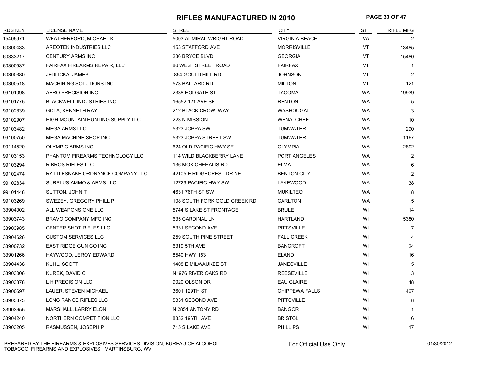#### **RIFLES MANUFACTURED IN 2010 PAGE 33 OF 47**

| <b>RDS KEY</b> | <b>LICENSE NAME</b>                 | <b>STREET</b>                | <b>CITY</b>           | ST        | <b>RIFLE MFG</b> |
|----------------|-------------------------------------|------------------------------|-----------------------|-----------|------------------|
| 15405971       | WEATHERFORD, MICHAEL K              | 5003 ADMIRAL WRIGHT ROAD     | <b>VIRGINIA BEACH</b> | VA        | 2                |
| 60300433       | AREOTEK INDUSTRIES LLC              | 153 STAFFORD AVE             | <b>MORRISVILLE</b>    | VT        | 13485            |
| 60333217       | <b>CENTURY ARMS INC</b>             | 236 BRYCE BLVD               | <b>GEORGIA</b>        | <b>VT</b> | 15480            |
| 60300537       | <b>FAIRFAX FIREARMS REPAIR, LLC</b> | <b>86 WEST STREET ROAD</b>   | <b>FAIRFAX</b>        | VT        | $\overline{1}$   |
| 60300380       | JEDLICKA, JAMES                     | 854 GOULD HILL RD            | <b>JOHNSON</b>        | <b>VT</b> | $\overline{2}$   |
| 60300518       | MACHINING SOLUTIONS INC             | 573 BALLARD RD               | <b>MILTON</b>         | VT        | 121              |
| 99101098       | AERO PRECISION INC                  | 2338 HOLGATE ST              | <b>TACOMA</b>         | <b>WA</b> | 19939            |
| 99101775       | <b>BLACKWELL INDUSTRIES INC</b>     | 16552 121 AVE SE             | <b>RENTON</b>         | <b>WA</b> | 5                |
| 99102839       | <b>GOLA, KENNETH RAY</b>            | 212 BLACK CROW WAY           | WASHOUGAL             | <b>WA</b> | 3                |
| 99102907       | HIGH MOUNTAIN HUNTING SUPPLY LLC    | 223 N MISSION                | <b>WENATCHEE</b>      | <b>WA</b> | 10               |
| 99103482       | <b>MEGA ARMS LLC</b>                | 5323 JOPPA SW                | <b>TUMWATER</b>       | <b>WA</b> | 290              |
| 99100750       | MEGA MACHINE SHOP INC               | 5323 JOPPA STREET SW         | <b>TUMWATER</b>       | <b>WA</b> | 1167             |
| 99114520       | <b>OLYMPIC ARMS INC</b>             | 624 OLD PACIFIC HWY SE       | <b>OLYMPIA</b>        | <b>WA</b> | 2892             |
| 99103153       | PHANTOM FIREARMS TECHNOLOGY LLC     | 114 WILD BLACKBERRY LANE     | PORT ANGELES          | <b>WA</b> | 2                |
| 99103294       | <b>R BROS RIFLES LLC</b>            | 136 MOX CHEHALIS RD          | <b>ELMA</b>           | <b>WA</b> | 6                |
| 99102474       | RATTLESNAKE ORDNANCE COMPANY LLC    | 42105 E RIDGECREST DR NE     | <b>BENTON CITY</b>    | <b>WA</b> | 2                |
| 99102834       | SURPLUS AMMO & ARMS LLC             | 12729 PACIFIC HWY SW         | LAKEWOOD              | <b>WA</b> | 38               |
| 99101448       | SUTTON, JOHN T                      | 4631 76TH ST SW              | <b>MUKILTEO</b>       | <b>WA</b> | 8                |
| 99103269       | SWEZEY, GREGORY PHILLIP             | 108 SOUTH FORK GOLD CREEK RD | CARLTON               | WA        | 5                |
| 33904002       | ALL WEAPONS ONE LLC                 | 5744 S LAKE ST FRONTAGE      | <b>BRULE</b>          | WI        | 14               |
| 33903743       | BRAVO COMPANY MFG INC               | 635 CARDINAL LN              | <b>HARTLAND</b>       | WI        | 5380             |
| 33903985       | CENTER SHOT RIFLES LLC              | 5331 SECOND AVE              | <b>PITTSVILLE</b>     | WI        | 7                |
| 33904626       | <b>CUSTOM SERVICES LLC</b>          | 259 SOUTH PINE STREET        | <b>FALL CREEK</b>     | WI        | 4                |
| 33900732       | EAST RIDGE GUN CO INC               | 6319 5TH AVE                 | <b>BANCROFT</b>       | WI        | 24               |
| 33901266       | HAYWOOD, LEROY EDWARD               | 8540 HWY 153                 | <b>ELAND</b>          | WI        | 16               |
| 33904438       | KUHL, SCOTT                         | 1408 E MILWAUKEE ST          | <b>JANESVILLE</b>     | WI        | 5                |
| 33903006       | KUREK, DAVID C                      | N1976 RIVER OAKS RD          | <b>REESEVILLE</b>     | WI        | 3                |
| 33903378       | L H PRECISION LLC                   | 9020 OLSON DR                | <b>EAU CLAIRE</b>     | WI        | 48               |
| 33900697       | LAUER, STEVEN MICHAEL               | 3601 129TH ST                | <b>CHIPPEWA FALLS</b> | WI        | 467              |
| 33903873       | LONG RANGE RIFLES LLC               | 5331 SECOND AVE              | <b>PITTSVILLE</b>     | WI        | 8                |
| 33903655       | MARSHALL, LARRY ELON                | N 2851 ANTONY RD             | <b>BANGOR</b>         | WI        | -1               |
| 33904240       | NORTHERN COMPETITION LLC            | 8332 196TH AVE               | <b>BRISTOL</b>        | WI        | 6                |
| 33903205       | RASMUSSEN, JOSEPH P                 | 715 S LAKE AVE               | <b>PHILLIPS</b>       | WI        | 17               |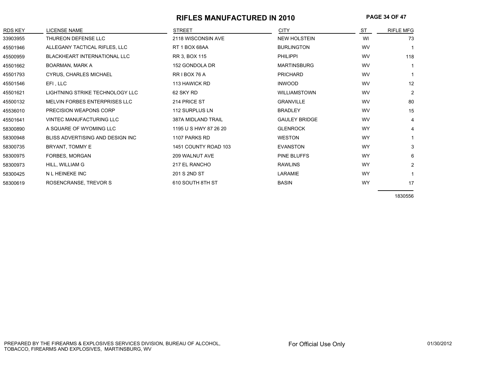## **RIFLES MANUFACTURED IN 2010 PAGE 34 OF 47**

| <b>RDS KEY</b> | <b>LICENSE NAME</b>                 | <b>STREET</b>         | <b>CITY</b>          | <b>ST</b> | <b>RIFLE MFG</b> |
|----------------|-------------------------------------|-----------------------|----------------------|-----------|------------------|
| 33903955       | THUREON DEFENSE LLC                 | 2118 WISCONSIN AVE    | <b>NEW HOLSTEIN</b>  | WI        | 73               |
| 45501946       | ALLEGANY TACTICAL RIFLES, LLC       | RT 1 BOX 68AA         | <b>BURLINGTON</b>    | WV        |                  |
| 45500959       | <b>BLACKHEART INTERNATIONAL LLC</b> | RR 3, BOX 115         | <b>PHILIPPI</b>      | WV        | 118              |
| 45501662       | BOARMAN, MARK A                     | 152 GONDOLA DR        | <b>MARTINSBURG</b>   | WV        |                  |
| 45501793       | <b>CYRUS, CHARLES MICHAEL</b>       | RRIBOX 76 A           | <b>PRICHARD</b>      | WV        |                  |
| 45501546       | EFI, LLC                            | 113 HAWICK RD         | <b>INWOOD</b>        | WV        | 12               |
| 45501621       | LIGHTNING STRIKE TECHNOLOGY LLC     | 62 SKY RD             | <b>WILLIAMSTOWN</b>  | WV        | $\overline{2}$   |
| 45500132       | MELVIN FORBES ENTERPRISES LLC       | 214 PRICE ST          | <b>GRANVILLE</b>     | WV        | 80               |
| 45536010       | PRECISION WEAPONS CORP              | 112 SURPLUS LN        | <b>BRADLEY</b>       | WV        | 15               |
| 45501641       | VINTEC MANUFACTURING LLC            | 387A MIDLAND TRAIL    | <b>GAULEY BRIDGE</b> | WV        | 4                |
| 58300890       | A SQUARE OF WYOMING LLC             | 1195 U S HWY 87 26 20 | <b>GLENROCK</b>      | <b>WY</b> | 4                |
| 58300948       | BLISS ADVERTISING AND DESIGN INC.   | 1107 PARKS RD         | <b>WESTON</b>        | <b>WY</b> |                  |
| 58300735       | BRYANT, TOMMY E                     | 1451 COUNTY ROAD 103  | <b>EVANSTON</b>      | <b>WY</b> | 3                |
| 58300975       | FORBES, MORGAN                      | 209 WALNUT AVE        | PINE BLUFFS          | <b>WY</b> | 6                |
| 58300973       | HILL, WILLIAM G                     | 217 EL RANCHO         | <b>RAWLINS</b>       | <b>WY</b> | $\overline{2}$   |
| 58300425       | N L HEINEKE INC                     | 201 S 2ND ST          | LARAMIE              | <b>WY</b> |                  |
| 58300619       | ROSENCRANSE, TREVOR S               | 610 SOUTH 8TH ST      | <b>BASIN</b>         | <b>WY</b> | 17               |
|                |                                     |                       |                      |           |                  |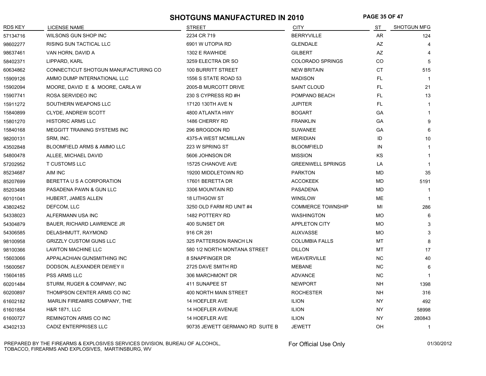### **SHOTGUNS MANUFACTURED IN 2010 PAGE 35 OF 47**

| <b>RDS KEY</b> | <b>LICENSE NAME</b>                  | <b>STREET</b>                   | <b>CITY</b>              | ST        | <b>SHOTGUN MFG</b> |
|----------------|--------------------------------------|---------------------------------|--------------------------|-----------|--------------------|
| 57134716       | WILSONS GUN SHOP INC                 | 2234 CR 719                     | <b>BERRYVILLE</b>        | AR        | 124                |
| 98602277       | RISING SUN TACTICAL LLC              | 6901 W UTOPIA RD                | <b>GLENDALE</b>          | AZ        | 4                  |
| 98637461       | VAN HORN, DAVID A                    | 1302 E RAWHIDE                  | <b>GILBERT</b>           | AZ        |                    |
| 58402371       | LIPPARD, KARL                        | 3259 ELECTRA DR SO              | <b>COLORADO SPRINGS</b>  | CO.       | 5                  |
| 60634862       | CONNECTICUT SHOTGUN MANUFACTURING CO | 100 BURRITT STREET              | <b>NEW BRITAIN</b>       | <b>CT</b> | 515                |
| 15909126       | AMMO DUMP INTERNATIONAL LLC          | 1556 S STATE ROAD 53            | <b>MADISON</b>           | FL.       | $\overline{1}$     |
| 15902094       | MOORE, DAVID E & MOORE, CARLA W      | 2005-B MURCOTT DRIVE            | SAINT CLOUD              | FL.       | 21                 |
| 15907741       | ROSA SERVIDEO INC                    | 230 S CYPRESS RD #H             | POMPANO BEACH            | FL.       | 13                 |
| 15911272       | SOUTHERN WEAPONS LLC                 | 17120 130TH AVE N               | <b>JUPITER</b>           | FL.       | $\mathbf{1}$       |
| 15840899       | <b>CLYDE, ANDREW SCOTT</b>           | 4800 ATLANTA HWY                | <b>BOGART</b>            | GA        | $\mathbf{1}$       |
| 15801270       | <b>HISTORIC ARMS LLC</b>             | 1486 CHERRY RD                  | <b>FRANKLIN</b>          | GA        | 9                  |
| 15840168       | MEGGITT TRAINING SYSTEMS INC         | 296 BROGDON RD                  | <b>SUWANEE</b>           | GА        | 6                  |
| 98200131       | SRM, INC.                            | 4375-A WEST MCMILLAN            | <b>MERIDIAN</b>          | ID        | 10                 |
| 43502848       | BLOOMFIELD ARMS & AMMO LLC           | 223 W SPRING ST                 | <b>BLOOMFIELD</b>        | IN        | $\mathbf{1}$       |
| 54800478       | ALLEE, MICHAEL DAVID                 | 5606 JOHNSON DR                 | <b>MISSION</b>           | KS        | $\mathbf{1}$       |
| 57202952       | T CUSTOMS LLC                        | 15725 CHANOVE AVE               | <b>GREENWELL SPRINGS</b> | LA        | $\mathbf{1}$       |
| 85234687       | AIM INC                              | 19200 MIDDLETOWN RD             | <b>PARKTON</b>           | MD        | 35                 |
| 85207699       | BERETTA U S A CORPORATION            | 17601 BERETTA DR                | <b>ACCOKEEK</b>          | <b>MD</b> | 5191               |
| 85203498       | PASADENA PAWN & GUN LLC              | 3306 MOUNTAIN RD                | <b>PASADENA</b>          | <b>MD</b> | $\mathbf{1}$       |
| 60101041       | HUBERT, JAMES ALLEN                  | <b>18 LITHGOW ST</b>            | <b>WINSLOW</b>           | ME        | $\overline{1}$     |
| 43802452       | DEFCOM, LLC                          | 3250 OLD FARM RD UNIT #4        | <b>COMMERCE TOWNSHIP</b> | MI        | 286                |
| 54338023       | ALFERMANN USA INC                    | 1482 POTTERY RD                 | <b>WASHINGTON</b>        | MO        | 6                  |
| 54304879       | <b>BAUER, RICHARD LAWRENCE JR</b>    | 400 SUNSET DR                   | <b>APPLETON CITY</b>     | <b>MO</b> | 3                  |
| 54306585       | DELASHMUTT, RAYMOND                  | 916 CR 281                      | <b>AUXVASSE</b>          | <b>MO</b> | 3                  |
| 98100958       | <b>GRIZZLY CUSTOM GUNS LLC</b>       | 325 PATTERSON RANCH LN          | <b>COLUMBIA FALLS</b>    | <b>MT</b> | 8                  |
| 98100366       | <b>LAWTON MACHINE LLC</b>            | 580 1/2 NORTH MONTANA STREET    | <b>DILLON</b>            | <b>MT</b> | 17                 |
| 15603066       | APPALACHIAN GUNSMITHING INC          | 8 SNAPFINGER DR                 | <b>WEAVERVILLE</b>       | NC.       | 40                 |
| 15600567       | DODSON, ALEXANDER DEWEY II           | 2725 DAVE SMITH RD              | <b>MEBANE</b>            | NC.       | 6                  |
| 15604185       | PSS ARMS LLC                         | 306 MARCHMONT DR                | <b>ADVANCE</b>           | NC.       | $\mathbf{1}$       |
| 60201484       | STURM, RUGER & COMPANY, INC          | 411 SUNAPEE ST                  | <b>NEWPORT</b>           | NH        | 1398               |
| 60200897       | THOMPSON CENTER ARMS CO INC          | 400 NORTH MAIN STREET           | <b>ROCHESTER</b>         | NH        | 316                |
| 61602182       | MARLIN FIREAMRS COMPANY, THE         | 14 HOEFLER AVE                  | <b>ILION</b>             | NY.       | 492                |
| 61601854       | <b>H&amp;R 1871, LLC</b>             | 14 HOEFLER AVENUE               | <b>ILION</b>             | NY        | 58998              |
| 61600727       | REMINGTON ARMS CO INC                | 14 HOEFLER AVE                  | <b>ILION</b>             | NY        | 280843             |
| 43402133       | CADIZ ENTERPRISES LLC                | 90735 JEWETT GERMANO RD SUITE B | <b>JEWETT</b>            | OH        | $\mathbf{1}$       |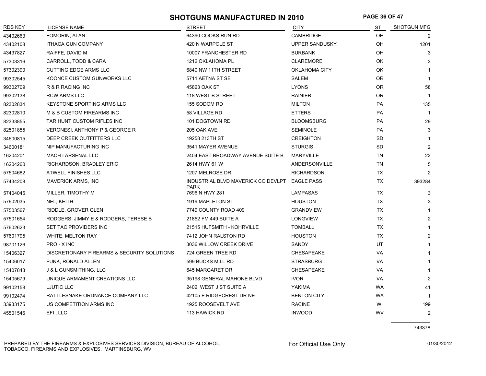## **SHOTGUNS MANUFACTURED IN 2010 PAGE 36 OF 47**

| <b>RDS KEY</b> | <b>LICENSE NAME</b>                         | <b>STREET</b>                                     | <b>CITY</b>           | ST        | SHOTGUN MFG    |
|----------------|---------------------------------------------|---------------------------------------------------|-----------------------|-----------|----------------|
| 43402663       | FOMORIN, ALAN                               | 64390 COOKS RUN RD                                | <b>CAMBRIDGE</b>      | <b>OH</b> | $\overline{2}$ |
| 43402108       | <b>ITHACA GUN COMPANY</b>                   | 420 N WARPOLE ST                                  | <b>UPPER SANDUSKY</b> | <b>OH</b> | 1201           |
| 43437827       | RAIFFE, DAVID M                             | 10007 FRANCHESTER RD                              | <b>BURBANK</b>        | OH        | 3              |
| 57303316       | CARROLL, TODD & CARA                        | 1212 OKLAHOMA PL                                  | <b>CLAREMORE</b>      | OK        | 3              |
| 57302390       | <b>CUTTING EDGE ARMS LLC</b>                | 6840 NW 11TH STREET                               | OKLAHOMA CITY         | OK        |                |
| 99302545       | KOONCE CUSTOM GUNWORKS LLC                  | 5711 AETNA ST SE                                  | SALEM                 | <b>OR</b> |                |
| 99302709       | R & R RACING INC                            | 45823 OAK ST                                      | <b>LYONS</b>          | <b>OR</b> | 58             |
| 99302138       | <b>RCW ARMS LLC</b>                         | 118 WEST B STREET                                 | <b>RAINIER</b>        | <b>OR</b> | $\mathbf 1$    |
| 82302834       | KEYSTONE SPORTING ARMS LLC                  | 155 SODOM RD                                      | <b>MILTON</b>         | PA        | 135            |
| 82302810       | M & B CUSTOM FIREARMS INC                   | 58 VILLAGE RD                                     | <b>ETTERS</b>         | <b>PA</b> | -1             |
| 82333855       | TAR HUNT CUSTOM RIFLES INC                  | 101 DOGTOWN RD                                    | <b>BLOOMSBURG</b>     | <b>PA</b> | 29             |
| 82501855       | <b>VERONESI, ANTHONY P &amp; GEORGE R</b>   | 205 OAK AVE                                       | <b>SEMINOLE</b>       | <b>PA</b> | 3              |
| 34600815       | DEEP CREEK OUTFITTERS LLC                   | 19258 213TH ST                                    | <b>CREIGHTON</b>      | <b>SD</b> | 1              |
| 34600181       | NIP MANUFACTURING INC                       | 3541 MAYER AVENUE                                 | <b>STURGIS</b>        | <b>SD</b> | 2              |
| 16204201       | MACH I ARSENAL LLC                          | 2404 EAST BROADWAY AVENUE SUITE B                 | MARYVILLE             | <b>TN</b> | 22             |
| 16204260       | RICHARDSON, BRADLEY ERIC                    | 2614 HWY 61 W                                     | ANDERSONVILLE         | TN        | 5              |
| 57504682       | <b>ATWELL FINISHES LLC</b>                  | 1207 MELROSE DR                                   | <b>RICHARDSON</b>     | <b>TX</b> | $\overline{2}$ |
| 57434208       | <b>MAVERICK ARMS, INC</b>                   | INDUSTRIAL BLVD MAVERICK CO DEVLPT<br><b>PARK</b> | <b>EAGLE PASS</b>     | <b>TX</b> | 393284         |
| 57404045       | MILLER, TIMOTHY M                           | 7696 N HWY 281                                    | <b>LAMPASAS</b>       | TX        | 3              |
| 57602035       | NEL, KEITH                                  | 1919 MAPLETON ST                                  | <b>HOUSTON</b>        | TX        | 3              |
| 57503567       | RIDDLE, GROVER GLEN                         | 7749 COUNTY ROAD 409                              | GRANDVIEW             | <b>TX</b> |                |
| 57501654       | RODGERS, JIMMY E & RODGERS, TERESE B        | 21852 FM 449 SUITE A                              | <b>LONGVIEW</b>       | TX        | $\overline{2}$ |
| 57602623       | SET TAC PROVIDERS INC                       | 21515 HUFSMITH - KOHRVILLE                        | <b>TOMBALL</b>        | TX        |                |
| 57601795       | WHITE, MELTON RAY                           | 7412 JOHN RALSTON RD                              | <b>HOUSTON</b>        | <b>TX</b> | $\overline{2}$ |
| 98701126       | PRO - X INC                                 | 3036 WILLOW CREEK DRIVE                           | <b>SANDY</b>          | UT        |                |
| 15406327       | DISCRETIONARY FIREARMS & SECURITY SOLUTIONS | 724 GREEN TREE RD                                 | <b>CHESAPEAKE</b>     | <b>VA</b> | 1              |
| 15406017       | FUNK, RONALD ALLEN                          | 599 BUCKS MILL RD                                 | <b>STRASBURG</b>      | VA        |                |
| 15407848       | J & L GUNSMITHING, LLC                      | 645 MARGARET DR                                   | <b>CHESAPEAKE</b>     | <b>VA</b> |                |
| 15405679       | UNIQUE ARMAMENT CREATIONS LLC               | 35198 GENERAL MAHONE BLVD                         | <b>IVOR</b>           | VA        | $\overline{2}$ |
| 99102158       | <b>LJUTIC LLC</b>                           | 2402 WEST J ST SUITE A                            | YAKIMA                | WA        | 41             |
| 99102474       | RATTLESNAKE ORDNANCE COMPANY LLC            | 42105 E RIDGECREST DR NE                          | <b>BENTON CITY</b>    | <b>WA</b> |                |
| 33933175       | US COMPETITION ARMS INC                     | 1925 ROOSEVELT AVE                                | <b>RACINE</b>         | WI        | 199            |
| 45501546       | EFI, LLC                                    | 113 HAWICK RD                                     | <b>INWOOD</b>         | WV        | $\overline{2}$ |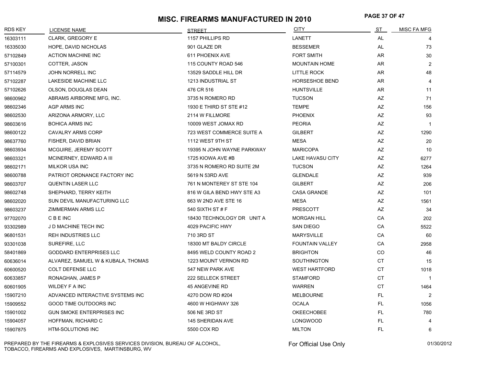# **PAGE 37 OF 47 MISC. FIREARMS MANUFACTURED IN 2010**

| <b>RDS KEY</b> | LICENSE NAME                       | <b>STREET</b>              | <b>CITY</b>             | <u>ST</u> | MISC FA MFG    |
|----------------|------------------------------------|----------------------------|-------------------------|-----------|----------------|
| 16303111       | <b>CLARK, GREGORY E</b>            | 1157 PHILLIPS RD           | LANETT                  | AL        |                |
| 16335030       | HOPE, DAVID NICHOLAS               | 901 GLAZE DR               | <b>BESSEMER</b>         | AL        | 73             |
| 57102849       | <b>ACTION MACHINE INC</b>          | 611 PHOENIX AVE            | <b>FORT SMITH</b>       | AR        | 30             |
| 57100301       | COTTER, JASON                      | 115 COUNTY ROAD 546        | <b>MOUNTAIN HOME</b>    | AR        | 2              |
| 57114579       | <b>JOHN NORRELL INC</b>            | 13529 SADDLE HILL DR       | LITTLE ROCK             | AR.       | 48             |
| 57102287       | <b>LAKESIDE MACHINE LLC</b>        | 1213 INDUSTRIAL ST         | <b>HORSESHOE BEND</b>   | AR        | 4              |
| 57102626       | OLSON, DOUGLAS DEAN                | 476 CR 516                 | <b>HUNTSVILLE</b>       | AR        | 11             |
| 98600962       | ABRAMS AIRBORNE MFG, INC.          | 3735 N ROMERO RD           | <b>TUCSON</b>           | AZ        | 71             |
| 98602346       | AGP ARMS INC                       | 1930 E THIRD ST STE #12    | <b>TEMPE</b>            | AZ        | 156            |
| 98602530       | ARIZONA ARMORY, LLC                | 2114 W FILLMORE            | <b>PHOENIX</b>          | AZ        | 93             |
| 98603616       | <b>BOHICA ARMS INC</b>             | 10009 WEST JOMAX RD        | <b>PEORIA</b>           | AZ        | $\overline{1}$ |
| 98600122       | <b>CAVALRY ARMS CORP</b>           | 723 WEST COMMERCE SUITE A  | <b>GILBERT</b>          | AZ        | 1290           |
| 98637760       | FISHER, DAVID BRIAN                | 1112 WEST 9TH ST           | <b>MESA</b>             | AZ        | 20             |
| 98603934       | MCGUIRE, JEREMY SCOTT              | 19395 N JOHN WAYNE PARKWAY | <b>MARICOPA</b>         | AZ        | 10             |
| 98603321       | MCINERNEY, EDWARD A III            | 1725 KIOWA AVE #B          | <b>LAKE HAVASU CITY</b> | AZ        | 6277           |
| 98602171       | <b>MILKOR USA INC</b>              | 3735 N ROMERO RD SUITE 2M  | <b>TUCSON</b>           | AZ        | 1264           |
| 98600788       | PATRIOT ORDNANCE FACTORY INC       | 5619 N 53RD AVE            | <b>GLENDALE</b>         | AZ        | 939            |
| 98603707       | <b>QUENTIN LASER LLC</b>           | 761 N MONTEREY ST STE 104  | <b>GILBERT</b>          | AZ        | 206            |
| 98602748       | SHEPHARD, TERRY KEITH              | 816 W GILA BEND HWY STE A3 | <b>CASA GRANDE</b>      | AZ        | 101            |
| 98602020       | SUN DEVIL MANUFACTURING LLC        | 663 W 2ND AVE STE 16       | <b>MESA</b>             | AZ        | 1561           |
| 98603237       | ZIMMERMAN ARMS LLC                 | 540 SIXTH ST # F           | <b>PRESCOTT</b>         | AZ        | 34             |
| 97702070       | <b>CBEINC</b>                      | 18430 TECHNOLOGY DR UNIT A | <b>MORGAN HILL</b>      | CA        | 202            |
| 93302989       | J D MACHINE TECH INC               | 4029 PACIFIC HWY           | <b>SAN DIEGO</b>        | CA        | 5522           |
| 96801531       | <b>REH INDUSTRIES LLC</b>          | 710 3RD ST                 | <b>MARYSVILLE</b>       | CA        | 60             |
| 93301038       | SUREFIRE, LLC                      | 18300 MT BALDY CIRCLE      | <b>FOUNTAIN VALLEY</b>  | CA        | 2958           |
| 58401869       | <b>GODDARD ENTERPRISES LLC</b>     | 8495 WELD COUNTY ROAD 2    | <b>BRIGHTON</b>         | CO.       | 46             |
| 60636014       | ALVAREZ, SAMUEL W & KUBALA, THOMAS | 1223 MOUNT VERNON RD       | <b>SOUTHINGTON</b>      | <b>CT</b> | 15             |
| 60600520       | <b>COLT DEFENSE LLC</b>            | 547 NEW PARK AVE           | <b>WEST HARTFORD</b>    | <b>CT</b> | 1018           |
| 60633857       | RONAGHAN, JAMES P                  | 222 SELLECK STREET         | <b>STAMFORD</b>         | <b>CT</b> | $\overline{1}$ |
| 60601905       | <b>WILDEY F A INC</b>              | 45 ANGEVINE RD             | <b>WARREN</b>           | <b>CT</b> | 1464           |
| 15907210       | ADVANCED INTERACTIVE SYSTEMS INC   | 4270 DOW RD #204           | <b>MELBOURNE</b>        | FL.       | $\overline{2}$ |
| 15909552       | GOOD TIME OUTDOORS INC             | 4600 W HIGHWAY 326         | <b>OCALA</b>            | FL.       | 1056           |
| 15901002       | <b>GUN SMOKE ENTERPRISES INC</b>   | 506 NE 3RD ST              | <b>OKEECHOBEE</b>       | FL.       | 780            |
| 15904057       | HOFFMAN, RICHARD C                 | 145 SHERIDAN AVE           | <b>LONGWOOD</b>         | FL.       | 4              |
| 15907875       | <b>HTM-SOLUTIONS INC</b>           | 5500 COX RD                | <b>MILTON</b>           | FL.       | 6              |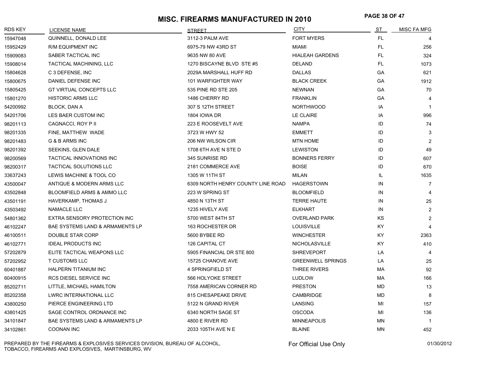# **PAGE 38 OF 47 MISC. FIREARMS MANUFACTURED IN 2010**

| <b>RDS KEY</b> | <b>LICENSE NAME</b>                        | <b>STREET</b>                     | <b>CITY</b>              | ST        | <b>MISC FA MFG</b> |
|----------------|--------------------------------------------|-----------------------------------|--------------------------|-----------|--------------------|
| 15947048       | QUINNELL, DONALD LEE                       | 3112-3 PALM AVE                   | <b>FORT MYERS</b>        | FL.       |                    |
| 15952429       | <b>R/M EQUIPMENT INC</b>                   | 6975-79 NW 43RD ST                | MIAMI                    | FL.       | 256                |
| 15909083       | SABER TACTICAL INC                         | 9635 NW 80 AVE                    | <b>HIALEAH GARDENS</b>   | FL.       | 324                |
| 15908014       | <b>TACTICAL MACHINING, LLC</b>             | 1270 BISCAYNE BLVD STE #5         | <b>DELAND</b>            | FL.       | 1073               |
| 15804628       | C 3 DEFENSE, INC                           | 2029A MARSHALL HUFF RD            | <b>DALLAS</b>            | <b>GA</b> | 621                |
| 15800675       | DANIEL DEFENSE INC                         | 101 WARFIGHTER WAY                | <b>BLACK CREEK</b>       | GA        | 1912               |
| 15805425       | GT VIRTUAL CONCEPTS LLC                    | 535 PINE RD STE 205               | <b>NEWNAN</b>            | GA        | 70                 |
| 15801270       | <b>HISTORIC ARMS LLC</b>                   | 1486 CHERRY RD                    | <b>FRANKLIN</b>          | GA        | $\overline{4}$     |
| 54200992       | BLOCK, DAN A                               | 307 S 12TH STREET                 | <b>NORTHWOOD</b>         | IA        | $\mathbf 1$        |
| 54201706       | LES BAER CUSTOM INC                        | 1804 IOWA DR                      | LE CLAIRE                | IA        | 996                |
| 98201113       | CAGNACCI, ROY P II                         | 223 E ROOSEVELT AVE               | <b>NAMPA</b>             | ID        | 74                 |
| 98201335       | FINE, MATTHEW WADE                         | 3723 W HWY 52                     | <b>EMMETT</b>            | ID        | 3                  |
| 98201483       | G & B ARMS INC                             | 206 NW WILSON CIR                 | <b>MTN HOME</b>          | ID        | $\overline{2}$     |
| 98201392       | SEEKINS, GLEN DALE                         | 1708 6TH AVE N STE D              | <b>LEWISTON</b>          | ID        | 49                 |
| 98200569       | TACTICAL INNOVATIONS INC                   | 345 SUNRISE RD                    | <b>BONNERS FERRY</b>     | ID        | 607                |
| 98200317       | <b>TACTICAL SOLUTIONS LLC</b>              | 2181 COMMERCE AVE                 | <b>BOISE</b>             | ID        | 670                |
| 33637243       | LEWIS MACHINE & TOOL CO                    | 1305 W 11TH ST                    | <b>MILAN</b>             | IL.       | 1635               |
| 43500047       | ANTIQUE & MODERN ARMS LLC                  | 6309 NORTH HENRY COUNTY LINE ROAD | <b>HAGERSTOWN</b>        | IN        | $\overline{7}$     |
| 43502848       | BLOOMFIELD ARMS & AMMO LLC                 | 223 W SPRING ST                   | <b>BLOOMFIELD</b>        | IN        | 4                  |
| 43501191       | HAVERKAMP, THOMAS J                        | 4850 N 13TH ST                    | <b>TERRE HAUTE</b>       | IN        | 25                 |
| 43503492       | NAMACLE LLC                                | 1235 HIVELY AVE                   | <b>ELKHART</b>           | IN        | 2                  |
| 54801362       | EXTRA SENSORY PROTECTION INC               | 5700 WEST 84TH ST                 | <b>OVERLAND PARK</b>     | <b>KS</b> | 2                  |
| 46102247       | <b>BAE SYSTEMS LAND &amp; ARMAMENTS LP</b> | 163 ROCHESTER DR                  | <b>LOUISVILLE</b>        | KY.       | 4                  |
| 46100511       | DOUBLE STAR CORP                           | 5600 BYBEE RD                     | <b>WINCHESTER</b>        | KY.       | 2363               |
| 46102771       | <b>IDEAL PRODUCTS INC</b>                  | 126 CAPITAL CT                    | NICHOLASVILLE            | KY.       | 410                |
| 57202879       | ELITE TACTICAL WEAPONS LLC                 | 5905 FINANCIAL DR STE 800         | <b>SHREVEPORT</b>        | LA        | $\overline{a}$     |
| 57202952       | <b>T CUSTOMS LLC</b>                       | 15725 CHANOVE AVE                 | <b>GREENWELL SPRINGS</b> | LA        | 25                 |
| 60401887       | HALPERN TITANIUM INC                       | 4 SPRINGFIELD ST                  | THREE RIVERS             | МA        | 92                 |
| 60400915       | RCS DIESEL SERVICE INC                     | <b>566 HOLYOKE STREET</b>         | <b>LUDLOW</b>            | МA        | 166                |
| 85202711       | LITTLE, MICHAEL HAMILTON                   | 7558 AMERICAN CORNER RD           | <b>PRESTON</b>           | MD        | 13                 |
| 85202358       | LWRC INTERNATIONAL LLC                     | 815 CHESAPEAKE DRIVE              | CAMBRIDGE                | MD        | 8                  |
| 43800250       | PIERCE ENGINEERING LTD                     | 5122 N GRAND RIVER                | LANSING                  | МI        | 157                |
| 43801425       | SAGE CONTROL ORDNANCE INC                  | 6340 NORTH SAGE ST                | <b>OSCODA</b>            | MI        | 136                |
| 34101847       | BAE SYSTEMS LAND & ARMAMENTS LP            | 4800 E RIVER RD                   | <b>MINNEAPOLIS</b>       | <b>MN</b> | $\overline{1}$     |
| 34102861       | <b>COONAN INC</b>                          | 2033 105TH AVE N E                | <b>BLAINE</b>            | <b>MN</b> | 452                |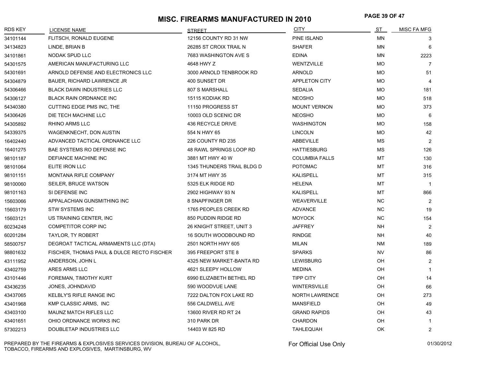# **PAGE 39 OF 47 MISC. FIREARMS MANUFACTURED IN 2010**

| <b>RDS KEY</b> | <b>LICENSE NAME</b>                        | <b>STREET</b>              | <b>CITY</b>           | <u>ST</u> | MISC FA MFG    |
|----------------|--------------------------------------------|----------------------------|-----------------------|-----------|----------------|
| 34101144       | FLITSCH, RONALD EUGENE                     | 12156 COUNTY RD 31 NW      | PINE ISLAND           | MN        | 3              |
| 34134823       | LINDE, BRIAN B                             | 26285 ST CROIX TRAIL N     | <b>SHAFER</b>         | MN        | 6              |
| 34101861       | NODAK SPUD LLC                             | 7683 WASHINGTON AVE S      | <b>EDINA</b>          | MN        | 2223           |
| 54301575       | AMERICAN MANUFACTURING LLC                 | 4648 HWY Z                 | WENTZVILLE            | <b>MO</b> | 7              |
| 54301691       | ARNOLD DEFENSE AND ELECTRONICS LLC         | 3000 ARNOLD TENBROOK RD    | <b>ARNOLD</b>         | МO        | 51             |
| 54304879       | <b>BAUER, RICHARD LAWRENCE JR</b>          | 400 SUNSET DR              | <b>APPLETON CITY</b>  | МO        | 4              |
| 54306466       | <b>BLACK DAWN INDUSTRIES LLC</b>           | 807 S MARSHALL             | <b>SEDALIA</b>        | <b>MO</b> | 181            |
| 54306127       | <b>BLACK RAIN ORDNANCE INC</b>             | 15115 KODIAK RD            | <b>NEOSHO</b>         | <b>MO</b> | 518            |
| 54340380       | CUTTING EDGE PMS INC, THE                  | 11150 PROGRESS ST          | <b>MOUNT VERNON</b>   | <b>MO</b> | 373            |
| 54306426       | DIE TECH MACHINE LLC                       | 10003 OLD SCENIC DR        | <b>NEOSHO</b>         | <b>MO</b> | 6              |
| 54305892       | RHINO ARMS LLC                             | 436 RECYCLE DRIVE          | <b>WASHINGTON</b>     | <b>MO</b> | 158            |
| 54339375       | WAGENKNECHT, DON AUSTIN                    | 554 N HWY 65               | <b>LINCOLN</b>        | <b>MO</b> | 42             |
| 16402440       | ADVANCED TACTICAL ORDNANCE LLC             | 226 COUNTY RD 235          | ABBEVILLE             | <b>MS</b> | 2              |
| 16401275       | BAE SYSTEMS RO DEFENSE INC                 | 48 RAWL SPRINGS LOOP RD    | <b>HATTIESBURG</b>    | <b>MS</b> | 126            |
| 98101187       | DEFIANCE MACHINE INC                       | 3881 MT HWY 40 W           | <b>COLUMBIA FALLS</b> | МT        | 130            |
| 98101064       | ELITE IRON LLC                             | 1345 THUNDERS TRAIL BLDG D | <b>POTOMAC</b>        | МT        | 316            |
| 98101151       | <b>MONTANA RIFLE COMPANY</b>               | 3174 MT HWY 35             | <b>KALISPELL</b>      | MT        | 315            |
| 98100060       | SEILER, BRUCE WATSON                       | 5325 ELK RIDGE RD          | <b>HELENA</b>         | МT        | $\overline{1}$ |
| 98101163       | SI DEFENSE INC                             | 2902 HIGHWAY 93 N          | <b>KALISPELL</b>      | МT        | 866            |
| 15603066       | APPALACHIAN GUNSMITHING INC                | 8 SNAPFINGER DR            | <b>WEAVERVILLE</b>    | NC        | $\overline{2}$ |
| 15603179       | <b>STW SYSTEMS INC</b>                     | 1765 PEOPLES CREEK RD      | <b>ADVANCE</b>        | NC.       | 19             |
| 15603121       | US TRAINING CENTER, INC.                   | 850 PUDDIN RIDGE RD        | <b>MOYOCK</b>         | NC.       | 154            |
| 60234248       | <b>COMPETITOR CORP INC</b>                 | 26 KNIGHT STREET, UNIT 3   | <b>JAFFREY</b>        | <b>NH</b> | 2              |
| 60201284       | TAYLOR, TY ROBERT                          | 16 SOUTH WOODBOUND RD      | <b>RINDGE</b>         | <b>NH</b> | 40             |
| 58500757       | DEGROAT TACTICAL ARMAMENTS LLC (DTA)       | 2501 NORTH HWY 605         | MILAN                 | NM        | 189            |
| 98801632       | FISCHER, THOMAS PAUL & DULCE RECTO FISCHER | 395 FREEPORT STE 8         | <b>SPARKS</b>         | <b>NV</b> | 86             |
| 43111952       | ANDERSON, JOHN L                           | 4325 NEW MARKET-BANTA RD   | <b>LEWISBURG</b>      | OH        | $\overline{2}$ |
| 43402759       | ARES ARMS LLC                              | 4621 SLEEPY HOLLOW         | <b>MEDINA</b>         | OH.       | $\mathbf{1}$   |
| 43101446       | FOREMAN, TIMOTHY KURT                      | 6990 ELIZABETH BETHEL RD   | <b>TIPP CITY</b>      | <b>OH</b> | 14             |
| 43436235       | JONES, JOHNDAVID                           | 590 WOODVUE LANE           | <b>WINTERSVILLE</b>   | OH        | 66             |
| 43437065       | KELBLY'S RIFLE RANGE INC                   | 7222 DALTON FOX LAKE RD    | <b>NORTH LAWRENCE</b> | OH        | 273            |
| 43401968       | KMP CLASSIC ARMS, INC                      | 556 CALDWELL AVE           | <b>MANSFIELD</b>      | OH        | 49             |
| 43403100       | <b>MAUNZ MATCH RIFLES LLC</b>              | 13600 RIVER RD RT 24       | <b>GRAND RAPIDS</b>   | OH        | 43             |
| 43401651       | OHIO ORDNANCE WORKS INC                    | 310 PARK DR                | <b>CHARDON</b>        | OH        | $\mathbf{1}$   |
| 57302213       | DOUBLETAP INDUSTRIES LLC                   | 14403 W 825 RD             | <b>TAHLEQUAH</b>      | <b>OK</b> | 2              |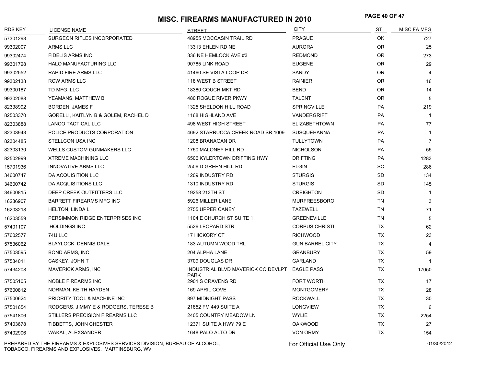# **PAGE 40 OF 47 MISC. FIREARMS MANUFACTURED IN 2010**

| <b>RDS KEY</b> | <b>LICENSE NAME</b>                  | <b>STREET</b>                                     | <b>CITY</b>            | ST        | <b>MISC FA MFG</b> |
|----------------|--------------------------------------|---------------------------------------------------|------------------------|-----------|--------------------|
| 57301293       | SURGEON RIFLES INCORPORATED          | 48955 MOCCASIN TRAIL RD                           | <b>PRAGUE</b>          | <b>OK</b> | 727                |
| 99302007       | ARMS LLC                             | 13313 EHLEN RD NE                                 | <b>AURORA</b>          | <b>OR</b> | 25                 |
| 99302474       | <b>FIDELIS ARMS INC</b>              | 336 NE HEMLOCK AVE #3                             | <b>REDMOND</b>         | <b>OR</b> | 273                |
| 99301728       | HALO MANUFACTURING LLC               | 90785 LINK ROAD                                   | <b>EUGENE</b>          | <b>OR</b> | 29                 |
| 99302552       | RAPID FIRE ARMS LLC                  | 41460 SE VISTA LOOP DR                            | SANDY                  | <b>OR</b> | $\overline{4}$     |
| 99302138       | <b>RCW ARMS LLC</b>                  | 118 WEST B STREET                                 | <b>RAINIER</b>         | <b>OR</b> | 16                 |
| 99300187       | TD MFG, LLC                          | 18380 COUCH MKT RD                                | <b>BEND</b>            | <b>OR</b> | 14                 |
| 99302088       | YEAMANS, MATTHEW B                   | 480 ROGUE RIVER PKWY                              | <b>TALENT</b>          | <b>OR</b> | 5                  |
| 82338992       | BORDEN, JAMES F                      | 1325 SHELDON HILL ROAD                            | SPRINGVILLE            | <b>PA</b> | 219                |
| 82503370       | GORELLI, KAITLYN B & GOLEM, RACHEL D | 1168 HIGHLAND AVE                                 | VANDERGRIFT            | <b>PA</b> | $\mathbf{1}$       |
| 82303888       | LANCO TACTICAL LLC                   | 498 WEST HIGH STREET                              | <b>ELIZABETHTOWN</b>   | PA        | 77                 |
| 82303943       | POLICE PRODUCTS CORPORATION          | 4692 STARRUCCA CREEK ROAD SR 1009                 | <b>SUSQUEHANNA</b>     | PA        | $\mathbf{1}$       |
| 82304485       | STELLCON USA INC                     | 1208 BRANAGAN DR                                  | <b>TULLYTOWN</b>       | <b>PA</b> | $\overline{7}$     |
| 82303130       | <b>WELLS CUSTOM GUNMAKERS LLC</b>    | 1750 MALONEY HILL RD                              | <b>NICHOLSON</b>       | <b>PA</b> | 55                 |
| 82502999       | <b>XTREME MACHINING LLC</b>          | 6506 KYLERTOWN DRIFTING HWY                       | <b>DRIFTING</b>        | PA        | 1283               |
| 15701936       | <b>INNOVATIVE ARMS LLC</b>           | 2506 D GREEN HILL RD                              | <b>ELGIN</b>           | SC        | 286                |
| 34600747       | DA ACQUISITION LLC                   | 1209 INDUSTRY RD                                  | <b>STURGIS</b>         | SD        | 134                |
| 34600742       | DA ACQUISITIONS LLC                  | 1310 INDUSTRY RD                                  | <b>STURGIS</b>         | <b>SD</b> | 145                |
| 34600815       | DEEP CREEK OUTFITTERS LLC            | 19258 213TH ST                                    | <b>CREIGHTON</b>       | <b>SD</b> | 1                  |
| 16236907       | <b>BARRETT FIREARMS MFG INC</b>      | 5926 MILLER LANE                                  | <b>MURFREESBORO</b>    | <b>TN</b> | 3                  |
| 16203218       | <b>HELTON, LINDA L</b>               | 2755 UPPER CANEY                                  | <b>TAZEWELL</b>        | <b>TN</b> | 71                 |
| 16203559       | PERSIMMON RIDGE ENTERPRISES INC      | 1104 E CHURCH ST SUITE 1                          | <b>GREENEVILLE</b>     | <b>TN</b> | 5                  |
| 57401107       | <b>HOLDINGS INC</b>                  | 5526 LEOPARD STR                                  | <b>CORPUS CHRISTI</b>  | <b>TX</b> | 62                 |
| 57602577       | 74U LLC                              | 17 HICKORY CT                                     | <b>RICHWOOD</b>        | <b>TX</b> | 23                 |
| 57536062       | BLAYLOCK, DENNIS DALE                | <b>183 AUTUMN WOOD TRL</b>                        | <b>GUN BARREL CITY</b> | <b>TX</b> | $\overline{4}$     |
| 57503595       | <b>BOND ARMS, INC</b>                | 204 ALPHA LANE                                    | <b>GRANBURY</b>        | <b>TX</b> | 59                 |
| 57534011       | CASKEY, JOHN T                       | 3709 DOUGLAS DR                                   | <b>GARLAND</b>         | TX        | $\mathbf{1}$       |
| 57434208       | <b>MAVERICK ARMS, INC</b>            | INDUSTRIAL BLVD MAVERICK CO DEVLPT<br><b>PARK</b> | <b>EAGLE PASS</b>      | <b>TX</b> | 17050              |
| 57505105       | <b>NOBLE FIREARMS INC</b>            | 2901 S CRAVENS RD                                 | <b>FORT WORTH</b>      | <b>TX</b> | 17                 |
| 57600812       | NORMAN, KEITH HAYDEN                 | 169 APRIL COVE                                    | <b>MONTGOMERY</b>      | <b>TX</b> | 28                 |
| 57500624       | PRIORITY TOOL & MACHINE INC          | <b>897 MIDNIGHT PASS</b>                          | <b>ROCKWALL</b>        | <b>TX</b> | 30                 |
| 57501654       | RODGERS, JIMMY E & RODGERS, TERESE B | 21852 FM 449 SUITE A                              | <b>LONGVIEW</b>        | <b>TX</b> | 6                  |
| 57541806       | STILLERS PRECISION FIREARMS LLC      | 2405 COUNTRY MEADOW LN                            | <b>WYLIE</b>           | <b>TX</b> | 2254               |
| 57403678       | TIBBETTS, JOHN CHESTER               | 12371 SUITE A HWY 79 E                            | <b>OAKWOOD</b>         | <b>TX</b> | 27                 |
| 57402906       | WAKAL, ALEXSANDER                    | 1648 PALO ALTO DR                                 | <b>VON ORMY</b>        | <b>TX</b> | 154                |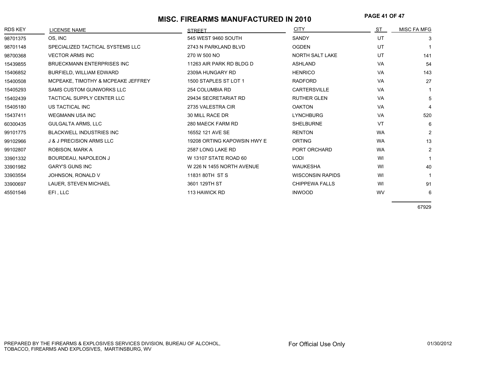# **PAGE 41 OF 47 MISC. FIREARMS MANUFACTURED IN 2010**

| <b>RDS KEY</b> | LICENSE NAME                        | <b>STRFFT</b>               | <b>CITY</b>             | ST        | MISC FA MFG    |
|----------------|-------------------------------------|-----------------------------|-------------------------|-----------|----------------|
| 98701375       | OS, INC                             | 545 WEST 9460 SOUTH         | SANDY                   | UT        | 3              |
| 98701148       | SPECIALIZED TACTICAL SYSTEMS LLC    | 2743 N PARKLAND BLVD        | <b>OGDEN</b>            | UT        |                |
| 98700368       | <b>VECTOR ARMS INC</b>              | 270 W 500 NO                | NORTH SALT LAKE         | UT        | 141            |
| 15439855       | <b>BRUECKMANN ENTERPRISES INC</b>   | 11263 AIR PARK RD BLDG D    | <b>ASHLAND</b>          | VA        | 54             |
| 15406852       | BURFIELD, WILLIAM EDWARD            | 2309A HUNGARY RD            | <b>HENRICO</b>          | <b>VA</b> | 143            |
| 15400508       | MCPEAKE, TIMOTHY & MCPEAKE JEFFREY  | 1500 STAPLES ST LOT 1       | <b>RADFORD</b>          | <b>VA</b> | 27             |
| 15405293       | <b>SAMS CUSTOM GUNWORKS LLC</b>     | 254 COLUMBIA RD             | <b>CARTERSVILLE</b>     | <b>VA</b> |                |
| 15402439       | <b>TACTICAL SUPPLY CENTER LLC</b>   | 29434 SECRETARIAT RD        | <b>RUTHER GLEN</b>      | <b>VA</b> | 5              |
| 15405180       | US TACTICAL INC                     | 2735 VALESTRA CIR           | <b>OAKTON</b>           | <b>VA</b> | 4              |
| 15437411       | <b>WEGMANN USA INC</b>              | 30 MILL RACE DR             | <b>LYNCHBURG</b>        | <b>VA</b> | 520            |
| 60300435       | <b>GULGALTA ARMS, LLC</b>           | 280 MAECK FARM RD           | <b>SHELBURNE</b>        | VT        | 6              |
| 99101775       | <b>BLACKWELL INDUSTRIES INC</b>     | 16552 121 AVE SE            | <b>RENTON</b>           | <b>WA</b> | $\overline{2}$ |
| 99102966       | <b>J &amp; J PRECISION ARMS LLC</b> | 19208 ORTING KAPOWSIN HWY E | <b>ORTING</b>           | <b>WA</b> | 13             |
| 99102807       | ROBISON, MARK A                     | 2587 LONG LAKE RD           | PORT ORCHARD            | <b>WA</b> | $\overline{c}$ |
| 33901332       | BOURDEAU, NAPOLEON J                | W 13107 STATE ROAD 60       | LODI                    | WI        |                |
| 33901982       | <b>GARY'S GUNS INC</b>              | W 226 N 1455 NORTH AVENUE   | <b>WAUKESHA</b>         | WI        | 40             |
| 33903554       | JOHNSON, RONALD V                   | 11831 80TH ST S             | <b>WISCONSIN RAPIDS</b> | WI        |                |
| 33900697       | LAUER, STEVEN MICHAEL               | 3601 129TH ST               | <b>CHIPPEWA FALLS</b>   | WI        | 91             |
| 45501546       | EFI, LLC                            | 113 HAWICK RD               | <b>INWOOD</b>           | WV        | 6              |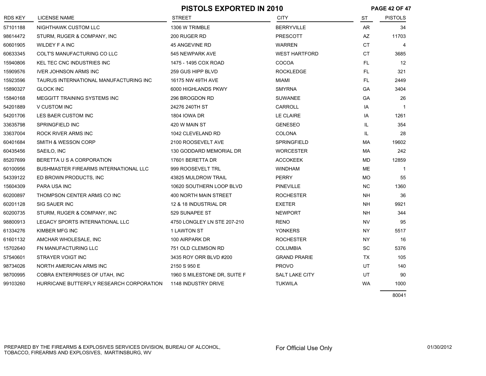|                |                                          | <b>PISTOLS EXPORTED IN 2010</b> |                       | <b>PAGE 42 OF 47</b> |                |
|----------------|------------------------------------------|---------------------------------|-----------------------|----------------------|----------------|
| <b>RDS KEY</b> | <b>LICENSE NAME</b>                      | <b>STREET</b>                   | <b>CITY</b>           | <b>ST</b>            | <b>PISTOLS</b> |
| 57101188       | NIGHTHAWK CUSTOM LLC                     | 1306 W TRIMBLE                  | <b>BERRYVILLE</b>     | <b>AR</b>            | 34             |
| 98614472       | STURM, RUGER & COMPANY, INC              | 200 RUGER RD                    | <b>PRESCOTT</b>       | AZ                   | 11703          |
| 60601905       | WILDEY F A INC                           | 45 ANGEVINE RD                  | <b>WARREN</b>         | СT                   | 4              |
| 60633345       | COLT'S MANUFACTURING CO LLC              | 545 NEWPARK AVE                 | <b>WEST HARTFORD</b>  | СT                   | 3685           |
| 15940806       | KEL TEC CNC INDUSTRIES INC               | 1475 - 1495 COX ROAD            | <b>COCOA</b>          | FL.                  | 12             |
| 15909576       | <b>IVER JOHNSON ARMS INC</b>             | 259 GUS HIPP BLVD               | <b>ROCKLEDGE</b>      | FL.                  | 321            |
| 15923596       | TAURUS INTERNATIONAL MANUFACTURING INC   | 16175 NW 49TH AVE               | <b>MIAMI</b>          | FL.                  | 2449           |
| 15890327       | <b>GLOCK INC</b>                         | 6000 HIGHLANDS PKWY             | <b>SMYRNA</b>         | GA                   | 3404           |
| 15840168       | MEGGITT TRAINING SYSTEMS INC             | 296 BROGDON RD                  | <b>SUWANEE</b>        | GA                   | 26             |
| 54201889       | V CUSTOM INC                             | 24276 240TH ST                  | CARROLL               | IA                   | $\overline{1}$ |
| 54201706       | LES BAER CUSTOM INC                      | <b>1804 IOWA DR</b>             | LE CLAIRE             | IA                   | 1261           |
| 33635798       | SPRINGFIELD INC                          | 420 W MAIN ST                   | <b>GENESEO</b>        | IL.                  | 354            |
| 33637004       | ROCK RIVER ARMS INC                      | 1042 CLEVELAND RD               | COLONA                | IL.                  | 28             |
| 60401684       | SMITH & WESSON CORP                      | 2100 ROOSEVELT AVE              | SPRINGFIELD           | МA                   | 19602          |
| 60435456       | SAEILO, INC                              | 130 GODDARD MEMORIAL DR         | <b>WORCESTER</b>      | МA                   | 242            |
| 85207699       | BERETTA U S A CORPORATION                | 17601 BERETTA DR                | <b>ACCOKEEK</b>       | MD                   | 12859          |
| 60100956       | BUSHMASTER FIREARMS INTERNATIONAL LLC    | 999 ROOSEVELT TRL               | <b>WINDHAM</b>        | ME                   | $\overline{1}$ |
| 54339122       | ED BROWN PRODUCTS, INC                   | 43825 MULDROW TRAIL             | <b>PERRY</b>          | <b>MO</b>            | 55             |
| 15604309       | <b>PARA USA INC</b>                      | 10620 SOUTHERN LOOP BLVD        | <b>PINEVILLE</b>      | <b>NC</b>            | 1360           |
| 60200897       | THOMPSON CENTER ARMS CO INC              | 400 NORTH MAIN STREET           | <b>ROCHESTER</b>      | NΗ                   | 36             |
| 60201128       | <b>SIG SAUER INC</b>                     | 12 & 18 INDUSTRIAL DR           | <b>EXETER</b>         | NH                   | 9921           |
| 60200735       | STURM, RUGER & COMPANY, INC              | 529 SUNAPEE ST                  | <b>NEWPORT</b>        | NΗ                   | 344            |
| 98800913       | LEGACY SPORTS INTERNATIONAL LLC          | 4750 LONGLEY LN STE 207-210     | <b>RENO</b>           | <b>NV</b>            | 95             |
| 61334276       | KIMBER MFG INC                           | 1 LAWTON ST                     | <b>YONKERS</b>        | <b>NY</b>            | 5517           |
| 61601132       | AMCHAR WHOLESALE, INC                    | 100 AIRPARK DR                  | <b>ROCHESTER</b>      | NY.                  | 16             |
| 15702640       | FN MANUFACTURING LLC                     | 751 OLD CLEMSON RD              | <b>COLUMBIA</b>       | SC                   | 5376           |
| 57540601       | STRAYER VOIGT INC                        | 3435 ROY ORR BLVD #200          | <b>GRAND PRARIE</b>   | <b>TX</b>            | 105            |
| 98734026       | NORTH AMERICAN ARMS INC                  | 2150 S 950 E                    | <b>PROVO</b>          | UT                   | 140            |
| 98700995       | COBRA ENTERPRISES OF UTAH, INC           | 1960 S MILESTONE DR, SUITE F    | <b>SALT LAKE CITY</b> | UT                   | 90             |
| 99103260       | HURRICANE BUTTERFLY RESEARCH CORPORATION | 1148 INDUSTRY DRIVE             | <b>TUKWILA</b>        | <b>WA</b>            | 1000           |
|                |                                          |                                 |                       |                      |                |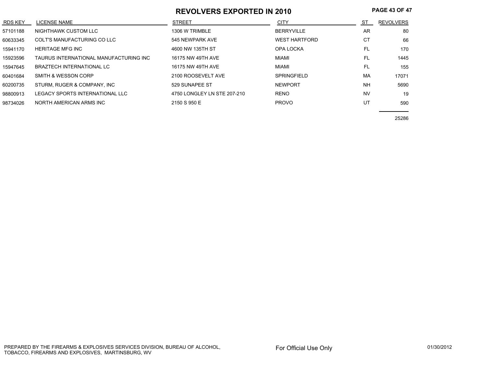## **REVOLVERS EXPORTED IN 2010 PAGE 43 OF 47**

| <b>RDS KEY</b> | LICENSE NAME                           | <b>STREET</b>               | <b>CITY</b>          | ST        | <b>REVOLVERS</b> |
|----------------|----------------------------------------|-----------------------------|----------------------|-----------|------------------|
| 57101188       | NIGHTHAWK CUSTOM LLC                   | 1306 W TRIMBLE              | <b>BERRYVILLE</b>    | AR        | 80               |
| 60633345       | COLT'S MANUFACTURING CO LLC            | 545 NEWPARK AVE             | <b>WEST HARTFORD</b> | <b>CT</b> | 66               |
| 15941170       | <b>HERITAGE MFG INC</b>                | 4600 NW 135TH ST            | OPA LOCKA            | FL        | 170              |
| 15923596       | TAURUS INTERNATIONAL MANUFACTURING INC | 16175 NW 49TH AVE           | MIAMI                | FL        | 1445             |
| 15947645       | <b>BRAZTECH INTERNATIONAL LC</b>       | 16175 NW 49TH AVE           | MIAMI                | FL        | 155              |
| 60401684       | SMITH & WESSON CORP                    | 2100 ROOSEVELT AVE          | <b>SPRINGFIELD</b>   | MA        | 17071            |
| 60200735       | STURM, RUGER & COMPANY, INC.           | 529 SUNAPEE ST              | <b>NEWPORT</b>       | <b>NH</b> | 5690             |
| 98800913       | LEGACY SPORTS INTERNATIONAL LLC        | 4750 LONGLEY LN STE 207-210 | <b>RENO</b>          | <b>NV</b> | 19               |
| 98734026       | NORTH AMERICAN ARMS INC                | 2150 S 950 E                | <b>PROVO</b>         | UT        | 590              |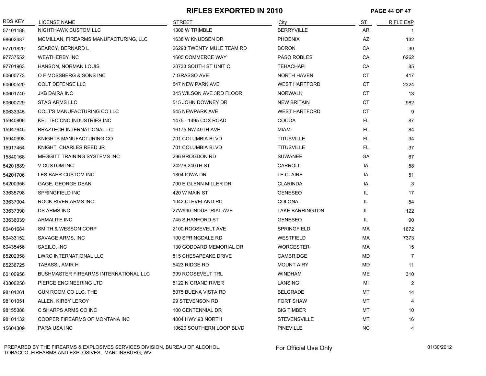#### **RIFLES EXPORTED IN 2010 PAGE 44 OF 47**

| <b>RDS KEY</b> | <b>LICENSE NAME</b>                          | <b>STREET</b>             | City                   | ST        | <b>RIFLE EXP</b> |
|----------------|----------------------------------------------|---------------------------|------------------------|-----------|------------------|
| 57101188       | NIGHTHAWK CUSTOM LLC                         | 1306 W TRIMBLE            | <b>BERRYVILLE</b>      | AR        |                  |
| 98602487       | MCMILLAN, FIREARMS MANUFACTURING, LLC        | 1638 W KNUDSEN DR         | <b>PHOENIX</b>         | AZ        | 132              |
| 97701820       | SEARCY, BERNARD L                            | 26293 TWENTY MULE TEAM RD | <b>BORON</b>           | CA        | 30               |
| 97737552       | <b>WEATHERBY INC</b>                         | 1605 COMMERCE WAY         | <b>PASO ROBLES</b>     | CA        | 6262             |
| 97701963       | HANSON, NORMAN LOUIS                         | 20733 SOUTH ST UNIT C     | <b>TEHACHAPI</b>       | CA        | 85               |
| 60600773       | O F MOSSBERG & SONS INC                      | 7 GRASSO AVE              | <b>NORTH HAVEN</b>     | СT        | 417              |
| 60600520       | <b>COLT DEFENSE LLC</b>                      | 547 NEW PARK AVE          | <b>WEST HARTFORD</b>   | <b>CT</b> | 2324             |
| 60601740       | <b>JKB DAIRA INC</b>                         | 345 WILSON AVE 3RD FLOOR  | <b>NORWALK</b>         | CT        | 13               |
| 60600729       | <b>STAG ARMS LLC</b>                         | 515 JOHN DOWNEY DR        | <b>NEW BRITAIN</b>     | <b>CT</b> | 982              |
| 60633345       | COLT'S MANUFACTURING CO LLC                  | 545 NEWPARK AVE           | <b>WEST HARTFORD</b>   | <b>CT</b> | 9                |
| 15940806       | KEL TEC CNC INDUSTRIES INC                   | 1475 - 1495 COX ROAD      | COCOA                  | FL.       | 87               |
| 15947645       | <b>BRAZTECH INTERNATIONAL LC</b>             | 16175 NW 49TH AVE         | <b>MIAMI</b>           | FL.       | 84               |
| 15940998       | KNIGHTS MANUFACTURING CO                     | 701 COLUMBIA BLVD         | <b>TITUSVILLE</b>      | FL        | 34               |
| 15917454       | KNIGHT, CHARLES REED JR                      | 701 COLUMBIA BLVD         | <b>TITUSVILLE</b>      | FL.       | 37               |
| 15840168       | MEGGITT TRAINING SYSTEMS INC                 | 296 BROGDON RD            | <b>SUWANEE</b>         | GA        | 67               |
| 54201889       | V CUSTOM INC                                 | 24276 240TH ST            | CARROLL                | IA        | 58               |
| 54201706       | LES BAER CUSTOM INC                          | <b>1804 IOWA DR</b>       | <b>LE CLAIRE</b>       | IA        | 51               |
| 54200356       | GAGE, GEORGE DEAN                            | 700 E GLENN MILLER DR     | <b>CLARINDA</b>        | ΙA        | 3                |
| 33635798       | SPRINGFIELD INC                              | 420 W MAIN ST             | <b>GENESEO</b>         | IL        | 17               |
| 33637004       | ROCK RIVER ARMS INC                          | 1042 CLEVELAND RD         | <b>COLONA</b>          | IL        | 54               |
| 33637390       | <b>DS ARMS INC</b>                           | 27W990 INDUSTRIAL AVE     | <b>LAKE BARRINGTON</b> | IL        | 122              |
| 33636039       | <b>ARMALITE INC</b>                          | 745 S HANFORD ST          | <b>GENESEO</b>         | IL        | 90               |
| 60401684       | SMITH & WESSON CORP                          | 2100 ROOSEVELT AVE        | <b>SPRINGFIELD</b>     | МA        | 1672             |
| 60433152       | SAVAGE ARMS, INC                             | 100 SPRINGDALE RD         | <b>WESTFIELD</b>       | <b>MA</b> | 7373             |
| 60435456       | SAEILO, INC                                  | 130 GODDARD MEMORIAL DR   | <b>WORCESTER</b>       | МA        | 15               |
| 85202358       | <b>LWRC INTERNATIONAL LLC</b>                | 815 CHESAPEAKE DRIVE      | CAMBRIDGE              | <b>MD</b> | $\overline{7}$   |
| 85236725       | TABASSI, AMIR H                              | 5423 RIDGE RD             | <b>MOUNT AIRY</b>      | MD        | 11               |
| 60100956       | <b>BUSHMASTER FIREARMS INTERNATIONAL LLC</b> | 999 ROOSEVELT TRL         | <b>WINDHAM</b>         | MЕ        | 310              |
| 43800250       | PIERCE ENGINEERING LTD                       | 5122 N GRAND RIVER        | LANSING                | MI        | $\overline{2}$   |
| 98101261       | GUN ROOM CO LLC, THE                         | 5075 BUENA VISTA RD       | <b>BELGRADE</b>        | MT        | 14               |
| 98101051       | ALLEN, KIRBY LEROY                           | 99 STEVENSON RD           | <b>FORT SHAW</b>       | MT        | 4                |
| 98155388       | C SHARPS ARMS CO INC                         | 100 CENTENNIAL DR         | <b>BIG TIMBER</b>      | MT        | 10               |
| 98101132       | COOPER FIREARMS OF MONTANA INC               | 4004 HWY 93 NORTH         | <b>STEVENSVILLE</b>    | MT        | 16               |
| 15604309       | PARA USA INC                                 | 10620 SOUTHERN LOOP BLVD  | <b>PINEVILLE</b>       | <b>NC</b> | 4                |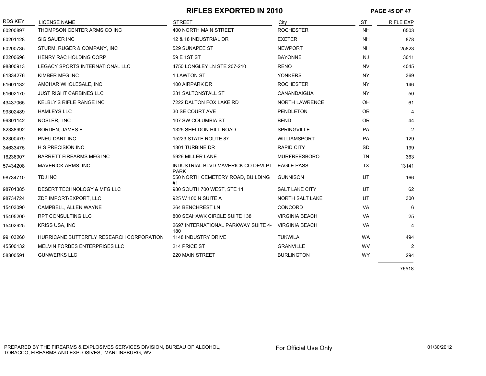## **RIFLES EXPORTED IN 2010 PAGE 45 OF 47**

| <b>RDS KEY</b> | <b>LICENSE NAME</b>                      | <b>STREET</b>                                     | City                  | <b>ST</b> | <b>RIFLE EXP</b> |
|----------------|------------------------------------------|---------------------------------------------------|-----------------------|-----------|------------------|
| 60200897       | THOMPSON CENTER ARMS CO INC              | <b>400 NORTH MAIN STREET</b>                      | <b>ROCHESTER</b>      | <b>NH</b> | 6503             |
| 60201128       | <b>SIG SAUER INC</b>                     | 12 & 18 INDUSTRIAL DR                             | <b>EXETER</b>         | <b>NH</b> | 878              |
| 60200735       | STURM, RUGER & COMPANY, INC              | 529 SUNAPEE ST                                    | <b>NEWPORT</b>        | <b>NH</b> | 25823            |
| 82200698       | <b>HENRY RAC HOLDING CORP</b>            | 59 E 1ST ST                                       | <b>BAYONNE</b>        | <b>NJ</b> | 3011             |
| 98800913       | LEGACY SPORTS INTERNATIONAL LLC          | 4750 LONGLEY LN STE 207-210                       | <b>RENO</b>           | <b>NV</b> | 4045             |
| 61334276       | KIMBER MFG INC                           | <b>1 LAWTON ST</b>                                | <b>YONKERS</b>        | <b>NY</b> | 369              |
| 61601132       | AMCHAR WHOLESALE, INC                    | 100 AIRPARK DR                                    | <b>ROCHESTER</b>      | <b>NY</b> | 146              |
| 61602170       | <b>JUST RIGHT CARBINES LLC</b>           | 231 SALTONSTALL ST                                | CANANDAIGUA           | <b>NY</b> | 50               |
| 43437065       | <b>KELBLY'S RIFLE RANGE INC</b>          | 7222 DALTON FOX LAKE RD                           | <b>NORTH LAWRENCE</b> | OH        | 61               |
| 99302489       | <b>HAMLEYS LLC</b>                       | 30 SE COURT AVE                                   | <b>PENDLETON</b>      | <b>OR</b> | 4                |
| 99301142       | NOSLER, INC                              | 107 SW COLUMBIA ST                                | <b>BEND</b>           | <b>OR</b> | 44               |
| 82338992       | <b>BORDEN, JAMES F</b>                   | 1325 SHELDON HILL ROAD                            | <b>SPRINGVILLE</b>    | <b>PA</b> | $\overline{2}$   |
| 82300479       | PNEU DART INC                            | 15223 STATE ROUTE 87                              | <b>WILLIAMSPORT</b>   | PA        | 129              |
| 34633475       | <b>H S PRECISION INC</b>                 | 1301 TURBINE DR                                   | <b>RAPID CITY</b>     | <b>SD</b> | 199              |
| 16236907       | <b>BARRETT FIREARMS MFG INC</b>          | 5926 MILLER LANE                                  | <b>MURFREESBORO</b>   | <b>TN</b> | 363              |
| 57434208       | <b>MAVERICK ARMS, INC</b>                | INDUSTRIAL BLVD MAVERICK CO DEVLPT<br><b>PARK</b> | <b>EAGLE PASS</b>     | <b>TX</b> | 13141            |
| 98734710       | <b>TDJ INC</b>                           | 550 NORTH CEMETERY ROAD, BUILDING<br>#1           | <b>GUNNISON</b>       | UT        | 166              |
| 98701385       | DESERT TECHNOLOGY & MFG LLC              | 980 SOUTH 700 WEST, STE 11                        | <b>SALT LAKE CITY</b> | UT        | 62               |
| 98734724       | ZDF IMPORT/EXPORT, LLC                   | 925 W 100 N SUITE A                               | NORTH SALT LAKE       | UT        | 300              |
| 15403090       | CAMPBELL, ALLEN WAYNE                    | 264 BENCHREST LN                                  | <b>CONCORD</b>        | <b>VA</b> | 6                |
| 15405200       | <b>RPT CONSULTING LLC</b>                | 800 SEAHAWK CIRCLE SUITE 138                      | <b>VIRGINIA BEACH</b> | VA        | 25               |
| 15402925       | <b>KRISS USA, INC</b>                    | 2697 INTERNATIONAL PARKWAY SUITE 4-<br>180        | <b>VIRGINIA BEACH</b> | <b>VA</b> | $\overline{4}$   |
| 99103260       | HURRICANE BUTTERFLY RESEARCH CORPORATION | 1148 INDUSTRY DRIVE                               | <b>TUKWILA</b>        | <b>WA</b> | 494              |
| 45500132       | MELVIN FORBES ENTERPRISES LLC            | 214 PRICE ST                                      | <b>GRANVILLE</b>      | WV        | $\overline{2}$   |
| 58300591       | <b>GUNWERKS LLC</b>                      | 220 MAIN STREET                                   | <b>BURLINGTON</b>     | <b>WY</b> | 294              |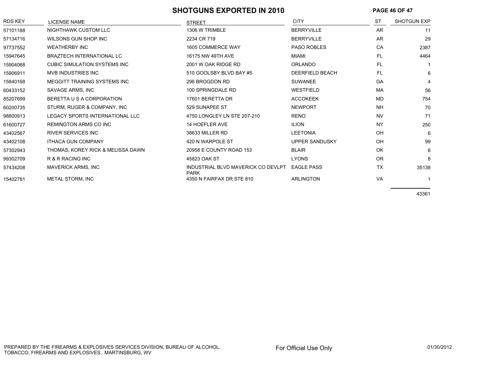#### SHOTGUNS EXPORTED IN 2010 **PAGE 46 OF 47**

| <b>RDS KEY</b> | <b>LICENSE NAME</b>                 | <b>STREET</b>                                     | <b>CITY</b>            | <b>ST</b> | <b>SHOTGUN EXP</b> |
|----------------|-------------------------------------|---------------------------------------------------|------------------------|-----------|--------------------|
| 57101188       | NIGHTHAWK CUSTOM LLC                | 1306 W TRIMBLE                                    | <b>BERRYVILLE</b>      | <b>AR</b> | 11                 |
| 57134716       | WILSONS GUN SHOP INC                | 2234 CR 719                                       | <b>BERRYVILLE</b>      | <b>AR</b> | 29                 |
| 97737552       | <b>WEATHERBY INC</b>                | 1605 COMMERCE WAY                                 | <b>PASO ROBLES</b>     | CA        | 2387               |
| 15947645       | <b>BRAZTECH INTERNATIONAL LC</b>    | 16175 NW 49TH AVE                                 | <b>MIAMI</b>           | FL.       | 4464               |
| 15904068       | <b>CUBIC SIMULATION SYSTEMS INC</b> | 2001 W OAK RIDGE RD                               | <b>ORLANDO</b>         | FL.       |                    |
| 15906911       | <b>MVB INDUSTRIES INC</b>           | 510 GOOLSBY BLVD BAY #5                           | <b>DEERFIELD BEACH</b> | FL.       | 6                  |
| 15840168       | MEGGITT TRAINING SYSTEMS INC        | 296 BROGDON RD                                    | <b>SUWANEE</b>         | GA        | 4                  |
| 60433152       | SAVAGE ARMS, INC                    | 100 SPRINGDALE RD                                 | <b>WESTFIELD</b>       | MA        | 56                 |
| 85207699       | BERETTA U S A CORPORATION           | 17601 BERETTA DR                                  | <b>ACCOKEEK</b>        | <b>MD</b> | 754                |
| 60200735       | STURM, RUGER & COMPANY, INC         | 529 SUNAPEE ST                                    | <b>NEWPORT</b>         | <b>NH</b> | 70                 |
| 98800913       | LEGACY SPORTS INTERNATIONAL LLC     | 4750 LONGLEY LN STE 207-210                       | <b>RENO</b>            | <b>NV</b> | 71                 |
| 61600727       | <b>REMINGTON ARMS CO INC</b>        | <b>14 HOEFLER AVE</b>                             | <b>ILION</b>           | <b>NY</b> | 250                |
| 43402567       | <b>RIVER SERVICES INC</b>           | 38633 MILLER RD                                   | <b>LEETONIA</b>        | OH        | 6                  |
| 43402108       | <b>ITHACA GUN COMPANY</b>           | 420 N WARPOLE ST                                  | UPPER SANDUSKY         | OH        | 99                 |
| 57302943       | THOMAS, KOREY RICK & MELISSA DAWN   | 20958 E COUNTY ROAD 153                           | <b>BLAIR</b>           | OK        | 6                  |
| 99302709       | R & R RACING INC                    | 45823 OAK ST                                      | <b>LYONS</b>           | <b>OR</b> | 8                  |
| 57434208       | <b>MAVERICK ARMS, INC</b>           | INDUSTRIAL BLVD MAVERICK CO DEVLPT<br><b>PARK</b> | <b>EAGLE PASS</b>      | <b>TX</b> | 35138              |
| 15402781       | METAL STORM, INC                    | 4350 N FAIRFAX DR STE 810                         | <b>ARLINGTON</b>       | <b>VA</b> |                    |